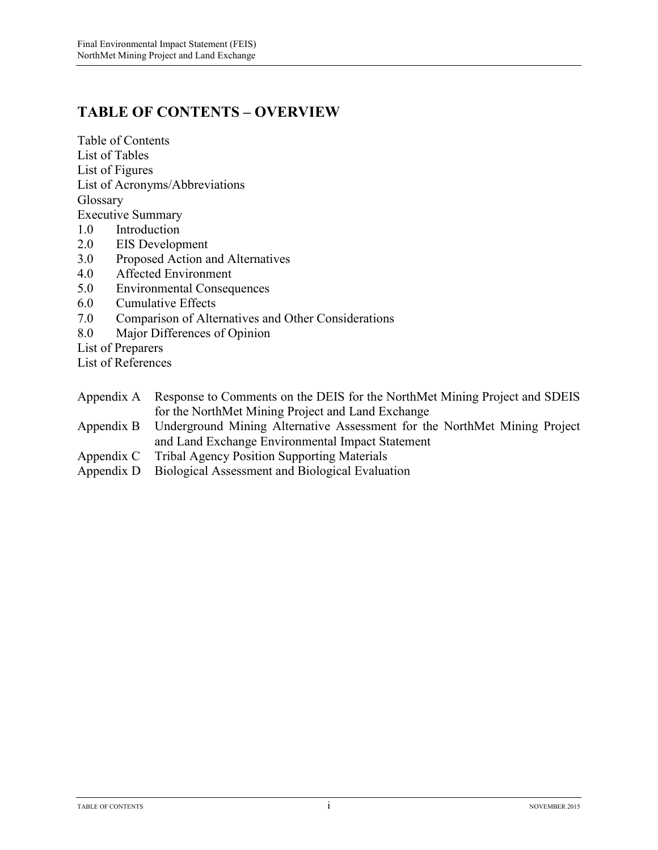### <span id="page-0-0"></span>**TABLE OF CONTENTS – OVERVIEW**

Table of Contents List of Tables List of Figures List of Acronyms/Abbreviations Glossary Executive Summary 1.0 Introduction 2.0 EIS Development

- 3.0 Proposed Action and Alternatives
- 4.0 Affected Environment
- 5.0 Environmental Consequences
- 6.0 Cumulative Effects
- 7.0 Comparison of Alternatives and Other Considerations
- 8.0 Major Differences of Opinion

List of Preparers

List of References

- Appendix A Response to Comments on the DEIS for the NorthMet Mining Project and SDEIS for the NorthMet Mining Project and Land Exchange
- Appendix B Underground Mining Alternative Assessment for the NorthMet Mining Project and Land Exchange Environmental Impact Statement
- Appendix C Tribal Agency Position Supporting Materials
- Appendix D Biological Assessment and Biological Evaluation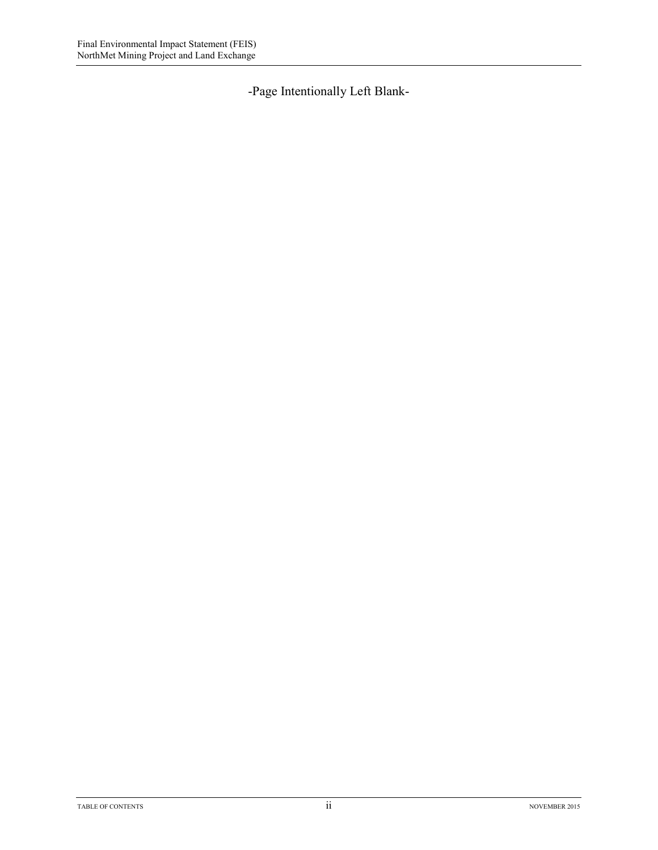-Page Intentionally Left Blank-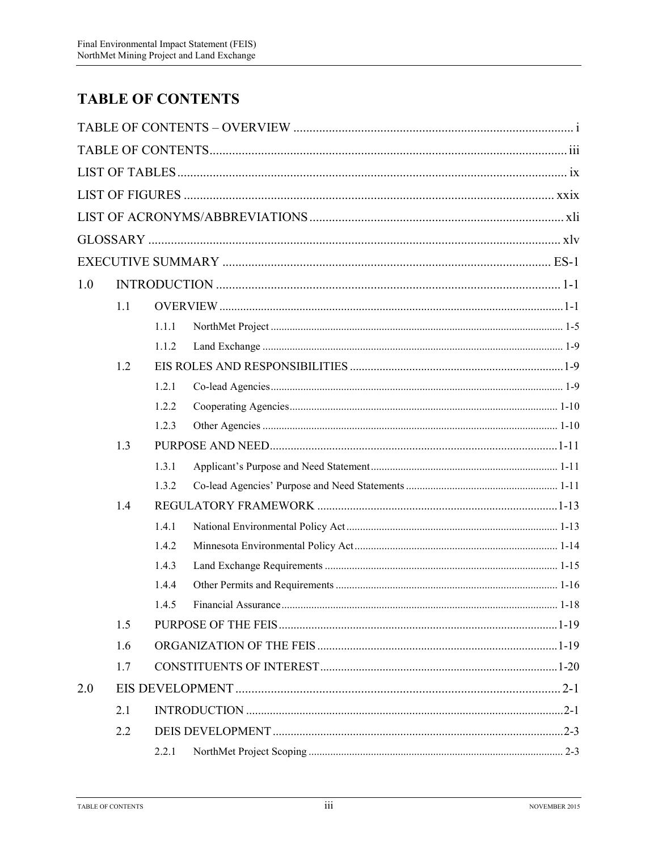## <span id="page-2-0"></span>**TABLE OF CONTENTS**

| 1.0 |     |       |  |
|-----|-----|-------|--|
|     | 1.1 |       |  |
|     |     | 1.1.1 |  |
|     |     | 1.1.2 |  |
|     | 1.2 |       |  |
|     |     | 1.2.1 |  |
|     |     | 1.2.2 |  |
|     |     | 1.2.3 |  |
|     | 1.3 |       |  |
|     |     | 1.3.1 |  |
|     |     | 1.3.2 |  |
|     | 1.4 |       |  |
|     |     | 1.4.1 |  |
|     |     | 1.4.2 |  |
|     |     | 1.4.3 |  |
|     |     | 1.4.4 |  |
|     |     | 1.4.5 |  |
|     | 1.5 |       |  |
|     | 1.6 |       |  |
|     | 1.7 |       |  |
| 2.0 |     |       |  |
|     | 2.1 |       |  |
|     | 2.2 |       |  |
|     |     | 2.2.1 |  |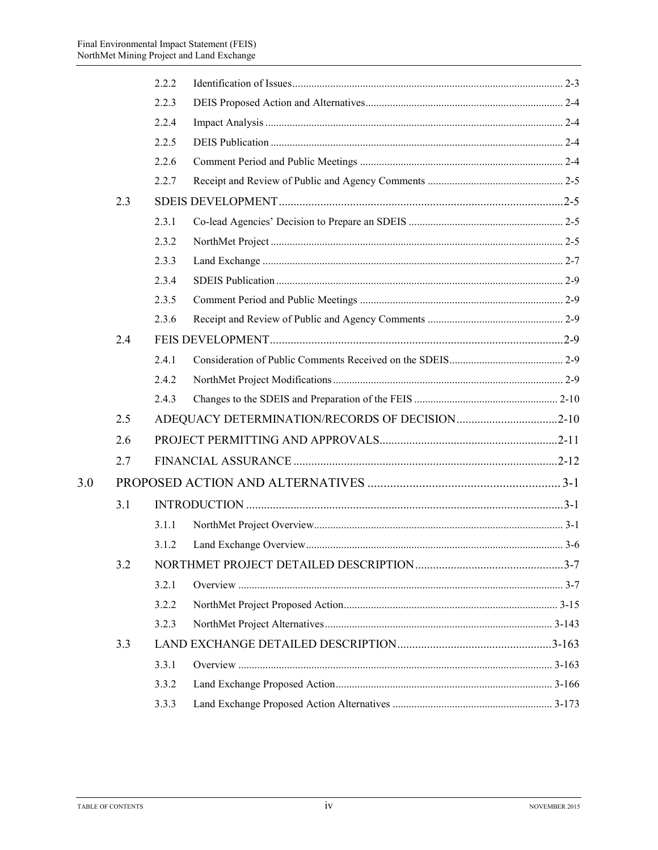|     | 2.2.2 |  |
|-----|-------|--|
|     | 2.2.3 |  |
|     | 2.2.4 |  |
|     | 2.2.5 |  |
|     | 2.2.6 |  |
|     | 2.2.7 |  |
| 2.3 |       |  |
|     | 2.3.1 |  |
|     | 2.3.2 |  |
|     | 2.3.3 |  |
|     | 2.3.4 |  |
|     | 2.3.5 |  |
|     | 2.3.6 |  |
| 2.4 |       |  |
|     | 2.4.1 |  |
|     | 2.4.2 |  |
|     | 2.4.3 |  |
| 2.5 |       |  |
| 2.6 |       |  |
| 2.7 |       |  |
|     |       |  |
| 3.1 |       |  |
|     | 3.1.1 |  |
|     | 3.1.2 |  |
| 3.2 |       |  |
|     | 3.2.1 |  |
|     | 3.2.2 |  |
|     | 3.2.3 |  |
| 3.3 |       |  |
|     | 3.3.1 |  |
|     | 3.3.2 |  |
|     | 3.3.3 |  |
|     |       |  |

 $3.0\,$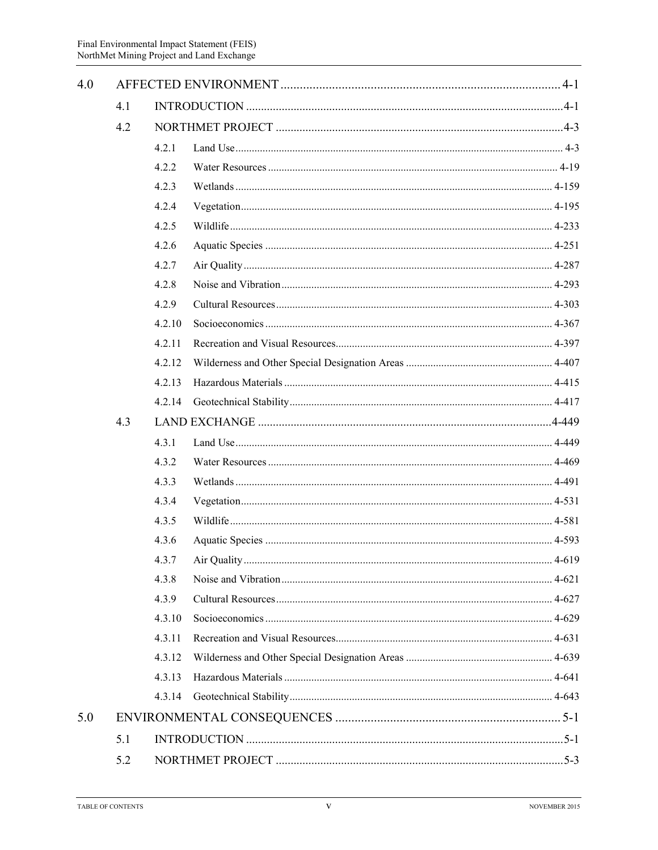| 4.0 |     |        |  |  |  |
|-----|-----|--------|--|--|--|
|     | 4.1 |        |  |  |  |
|     | 4.2 |        |  |  |  |
|     |     | 4.2.1  |  |  |  |
|     |     | 4.2.2  |  |  |  |
|     |     | 4.2.3  |  |  |  |
|     |     | 4.2.4  |  |  |  |
|     |     | 4.2.5  |  |  |  |
|     |     | 4.2.6  |  |  |  |
|     |     | 4.2.7  |  |  |  |
|     |     | 4.2.8  |  |  |  |
|     |     | 4.2.9  |  |  |  |
|     |     | 4.2.10 |  |  |  |
|     |     | 4.2.11 |  |  |  |
|     |     | 4.2.12 |  |  |  |
|     |     | 4.2.13 |  |  |  |
|     |     | 4.2.14 |  |  |  |
|     | 4.3 |        |  |  |  |
|     |     | 4.3.1  |  |  |  |
|     |     | 4.3.2  |  |  |  |
|     |     | 4.3.3  |  |  |  |
|     |     | 4.3.4  |  |  |  |
|     |     | 4.3.5  |  |  |  |
|     |     | 4.3.6  |  |  |  |
|     |     | 4.3.7  |  |  |  |
|     |     | 4.3.8  |  |  |  |
|     |     | 4.3.9  |  |  |  |
|     |     | 4.3.10 |  |  |  |
|     |     | 4.3.11 |  |  |  |
|     |     | 4.3.12 |  |  |  |
|     |     | 4.3.13 |  |  |  |
|     |     | 4.3.14 |  |  |  |
| 5.0 |     |        |  |  |  |
|     | 5.1 |        |  |  |  |
|     | 5.2 |        |  |  |  |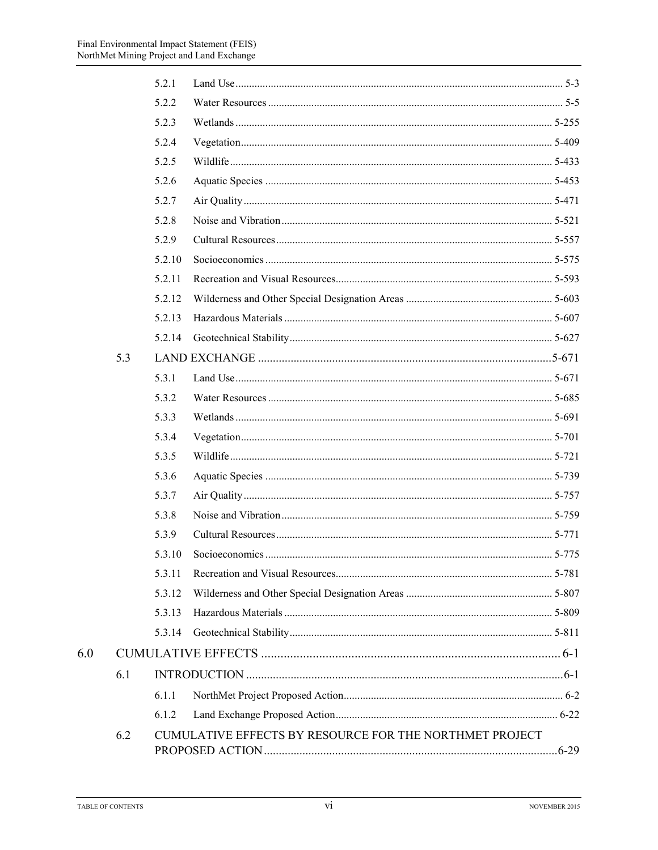|     | 5.2.1  |                                                         |       |
|-----|--------|---------------------------------------------------------|-------|
|     | 5.2.2  |                                                         |       |
|     | 5.2.3  |                                                         |       |
|     | 5.2.4  |                                                         |       |
|     | 5.2.5  |                                                         |       |
|     | 5.2.6  |                                                         |       |
|     | 5.2.7  |                                                         |       |
|     | 5.2.8  |                                                         |       |
|     | 5.2.9  |                                                         |       |
|     | 5.2.10 |                                                         |       |
|     | 5.2.11 |                                                         |       |
|     | 5.2.12 |                                                         |       |
|     | 5.2.13 |                                                         |       |
|     | 5.2.14 |                                                         |       |
| 5.3 |        |                                                         |       |
|     | 5.3.1  |                                                         |       |
|     | 5.3.2  |                                                         |       |
|     | 5.3.3  |                                                         |       |
|     | 5.3.4  |                                                         |       |
|     | 5.3.5  |                                                         |       |
|     | 5.3.6  |                                                         |       |
|     | 5.3.7  |                                                         |       |
|     | 5.3.8  |                                                         |       |
|     | 5.3.9  |                                                         |       |
|     |        |                                                         | 5-775 |
|     | 5.3.11 |                                                         |       |
|     | 5.3.12 |                                                         |       |
|     | 5.3.13 |                                                         |       |
|     | 5.3.14 |                                                         |       |
|     |        |                                                         |       |
| 6.1 |        |                                                         |       |
|     | 6.1.1  |                                                         |       |
|     | 6.1.2  |                                                         |       |
| 6.2 |        | CUMULATIVE EFFECTS BY RESOURCE FOR THE NORTHMET PROJECT |       |
|     |        |                                                         |       |

6.0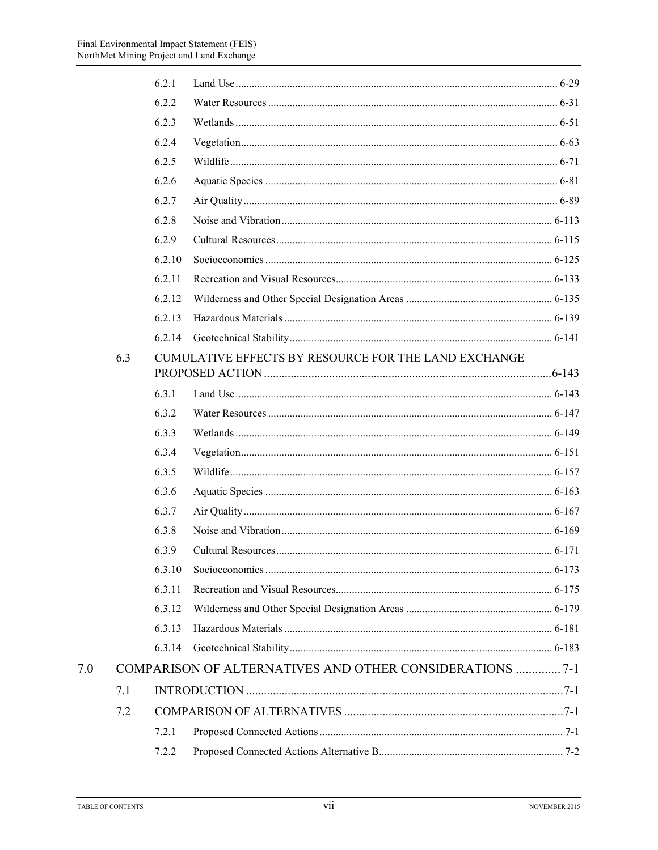|     | 6.2.1  |                                                          |  |
|-----|--------|----------------------------------------------------------|--|
|     | 6.2.2  |                                                          |  |
|     | 6.2.3  |                                                          |  |
|     | 6.2.4  |                                                          |  |
|     | 6.2.5  |                                                          |  |
|     | 6.2.6  |                                                          |  |
|     | 6.2.7  |                                                          |  |
|     | 6.2.8  |                                                          |  |
|     | 6.2.9  |                                                          |  |
|     | 6.2.10 |                                                          |  |
|     | 6.2.11 |                                                          |  |
|     | 6.2.12 |                                                          |  |
|     | 6.2.13 |                                                          |  |
|     | 6.2.14 |                                                          |  |
| 6.3 |        | CUMULATIVE EFFECTS BY RESOURCE FOR THE LAND EXCHANGE     |  |
|     |        |                                                          |  |
|     | 6.3.1  |                                                          |  |
|     | 6.3.2  |                                                          |  |
|     | 6.3.3  |                                                          |  |
|     | 6.3.4  |                                                          |  |
|     | 6.3.5  |                                                          |  |
|     | 6.3.6  |                                                          |  |
|     | 6.3.7  |                                                          |  |
|     | 6.3.8  |                                                          |  |
|     | 6.3.9  |                                                          |  |
|     | 6.3.10 |                                                          |  |
|     | 6.3.11 |                                                          |  |
|     | 6.3.12 |                                                          |  |
|     | 6.3.13 |                                                          |  |
|     | 6.3.14 |                                                          |  |
|     |        | COMPARISON OF ALTERNATIVES AND OTHER CONSIDERATIONS  7-1 |  |
| 7.1 |        |                                                          |  |
| 7.2 |        |                                                          |  |
|     | 7.2.1  |                                                          |  |
|     | 7.2.2  |                                                          |  |
|     |        |                                                          |  |

 $7.0\,$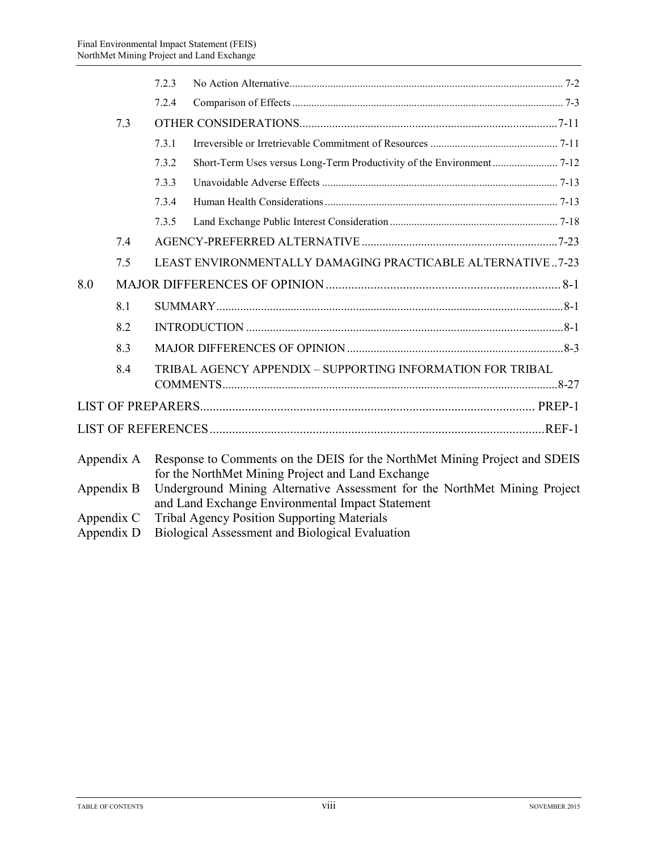|                          |     | 7.2.3 |                                                                                                                                 |  |
|--------------------------|-----|-------|---------------------------------------------------------------------------------------------------------------------------------|--|
|                          |     | 7.2.4 |                                                                                                                                 |  |
|                          | 7.3 |       |                                                                                                                                 |  |
|                          |     | 7.3.1 |                                                                                                                                 |  |
|                          |     | 7.3.2 |                                                                                                                                 |  |
|                          |     | 7.3.3 |                                                                                                                                 |  |
|                          |     | 7.3.4 |                                                                                                                                 |  |
|                          |     | 7.3.5 |                                                                                                                                 |  |
|                          | 7.4 |       |                                                                                                                                 |  |
|                          | 7.5 |       | LEAST ENVIRONMENTALLY DAMAGING PRACTICABLE ALTERNATIVE7-23                                                                      |  |
| 8.0                      |     |       |                                                                                                                                 |  |
|                          | 8.1 |       |                                                                                                                                 |  |
|                          | 8.2 |       |                                                                                                                                 |  |
|                          | 8.3 |       |                                                                                                                                 |  |
|                          | 8.4 |       | TRIBAL AGENCY APPENDIX - SUPPORTING INFORMATION FOR TRIBAL                                                                      |  |
|                          |     |       |                                                                                                                                 |  |
|                          |     |       |                                                                                                                                 |  |
|                          |     |       |                                                                                                                                 |  |
| Appendix A               |     |       | Response to Comments on the DEIS for the NorthMet Mining Project and SDEIS<br>for the NorthMet Mining Project and Land Exchange |  |
| Appendix B               |     |       | Underground Mining Alternative Assessment for the NorthMet Mining Project<br>and Land Exchange Environmental Impact Statement   |  |
| Appendix C<br>Appendix D |     |       | Tribal Agency Position Supporting Materials<br>Biological Assessment and Biological Evaluation                                  |  |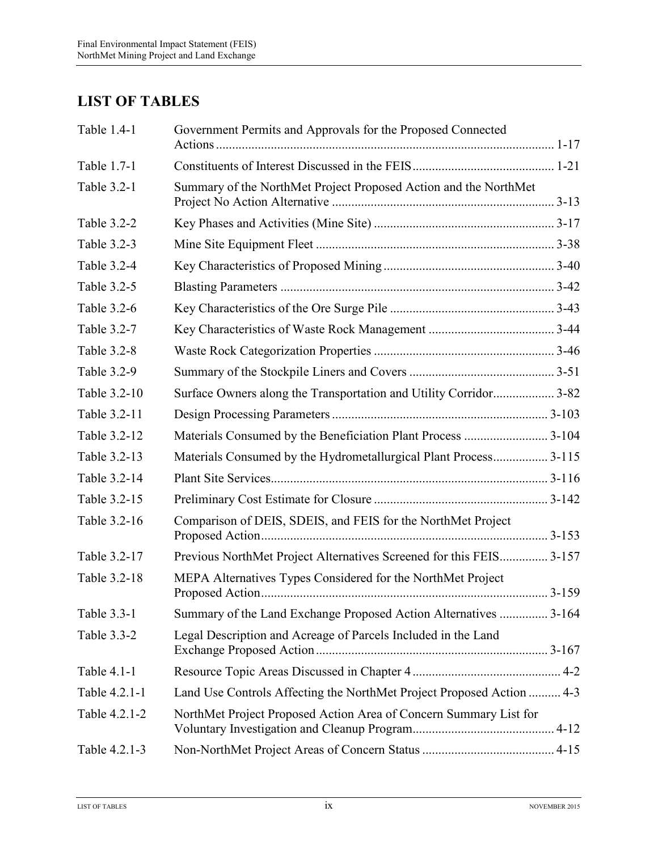# <span id="page-8-0"></span>**LIST OF TABLES**

| Table 1.4-1   | Government Permits and Approvals for the Proposed Connected           |  |
|---------------|-----------------------------------------------------------------------|--|
| Table 1.7-1   |                                                                       |  |
| Table 3.2-1   | Summary of the NorthMet Project Proposed Action and the NorthMet      |  |
| Table 3.2-2   |                                                                       |  |
| Table 3.2-3   |                                                                       |  |
| Table 3.2-4   |                                                                       |  |
| Table 3.2-5   |                                                                       |  |
| Table 3.2-6   |                                                                       |  |
| Table 3.2-7   |                                                                       |  |
| Table 3.2-8   |                                                                       |  |
| Table 3.2-9   |                                                                       |  |
| Table 3.2-10  | Surface Owners along the Transportation and Utility Corridor3-82      |  |
| Table 3.2-11  |                                                                       |  |
| Table 3.2-12  | Materials Consumed by the Beneficiation Plant Process  3-104          |  |
| Table 3.2-13  | Materials Consumed by the Hydrometallurgical Plant Process3-115       |  |
| Table 3.2-14  |                                                                       |  |
| Table 3.2-15  |                                                                       |  |
| Table 3.2-16  | Comparison of DEIS, SDEIS, and FEIS for the NorthMet Project          |  |
| Table 3.2-17  | Previous NorthMet Project Alternatives Screened for this FEIS 3-157   |  |
| Table 3.2-18  | MEPA Alternatives Types Considered for the NorthMet Project           |  |
| Table 3.3-1   | Summary of the Land Exchange Proposed Action Alternatives  3-164      |  |
| Table 3.3-2   | Legal Description and Acreage of Parcels Included in the Land         |  |
| Table 4.1-1   |                                                                       |  |
| Table 4.2.1-1 | Land Use Controls Affecting the NorthMet Project Proposed Action  4-3 |  |
| Table 4.2.1-2 | NorthMet Project Proposed Action Area of Concern Summary List for     |  |
| Table 4.2.1-3 |                                                                       |  |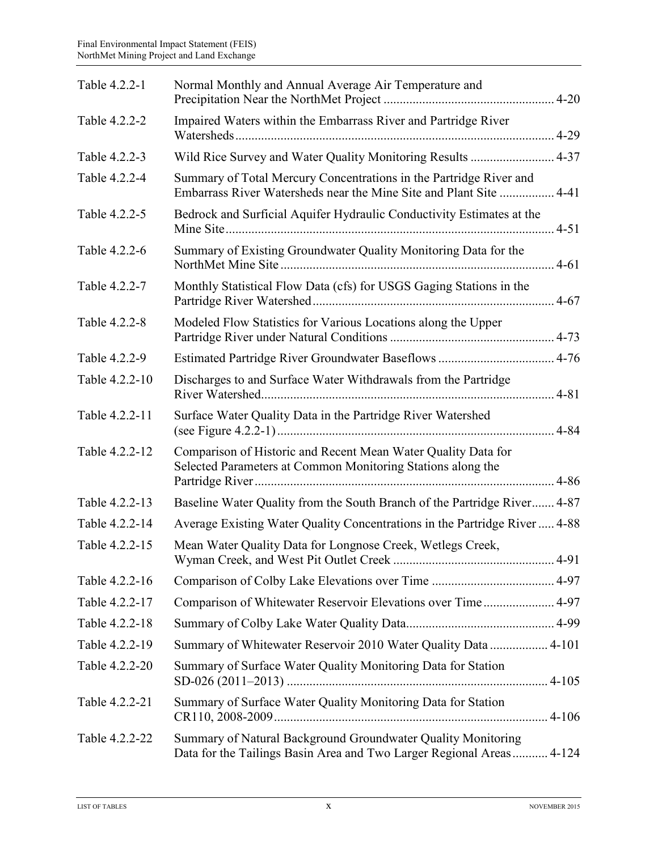| Table 4.2.2-1  | Normal Monthly and Annual Average Air Temperature and                                                                                    |  |
|----------------|------------------------------------------------------------------------------------------------------------------------------------------|--|
| Table 4.2.2-2  | Impaired Waters within the Embarrass River and Partridge River                                                                           |  |
| Table 4.2.2-3  | Wild Rice Survey and Water Quality Monitoring Results  4-37                                                                              |  |
| Table 4.2.2-4  | Summary of Total Mercury Concentrations in the Partridge River and<br>Embarrass River Watersheds near the Mine Site and Plant Site  4-41 |  |
| Table 4.2.2-5  | Bedrock and Surficial Aquifer Hydraulic Conductivity Estimates at the                                                                    |  |
| Table 4.2.2-6  | Summary of Existing Groundwater Quality Monitoring Data for the                                                                          |  |
| Table 4.2.2-7  | Monthly Statistical Flow Data (cfs) for USGS Gaging Stations in the                                                                      |  |
| Table 4.2.2-8  | Modeled Flow Statistics for Various Locations along the Upper                                                                            |  |
| Table 4.2.2-9  |                                                                                                                                          |  |
| Table 4.2.2-10 | Discharges to and Surface Water Withdrawals from the Partridge                                                                           |  |
| Table 4.2.2-11 | Surface Water Quality Data in the Partridge River Watershed                                                                              |  |
| Table 4.2.2-12 | Comparison of Historic and Recent Mean Water Quality Data for<br>Selected Parameters at Common Monitoring Stations along the             |  |
| Table 4.2.2-13 | Baseline Water Quality from the South Branch of the Partridge River 4-87                                                                 |  |
| Table 4.2.2-14 | Average Existing Water Quality Concentrations in the Partridge River  4-88                                                               |  |
| Table 4.2.2-15 | Mean Water Quality Data for Longnose Creek, Wetlegs Creek,                                                                               |  |
| Table 4.2.2-16 |                                                                                                                                          |  |
| Table 4.2.2-17 | Comparison of Whitewater Reservoir Elevations over Time 4-97                                                                             |  |
| Table 4.2.2-18 |                                                                                                                                          |  |
| Table 4.2.2-19 | Summary of Whitewater Reservoir 2010 Water Quality Data  4-101                                                                           |  |
| Table 4.2.2-20 | Summary of Surface Water Quality Monitoring Data for Station                                                                             |  |
| Table 4.2.2-21 | Summary of Surface Water Quality Monitoring Data for Station                                                                             |  |
| Table 4.2.2-22 | Summary of Natural Background Groundwater Quality Monitoring<br>Data for the Tailings Basin Area and Two Larger Regional Areas 4-124     |  |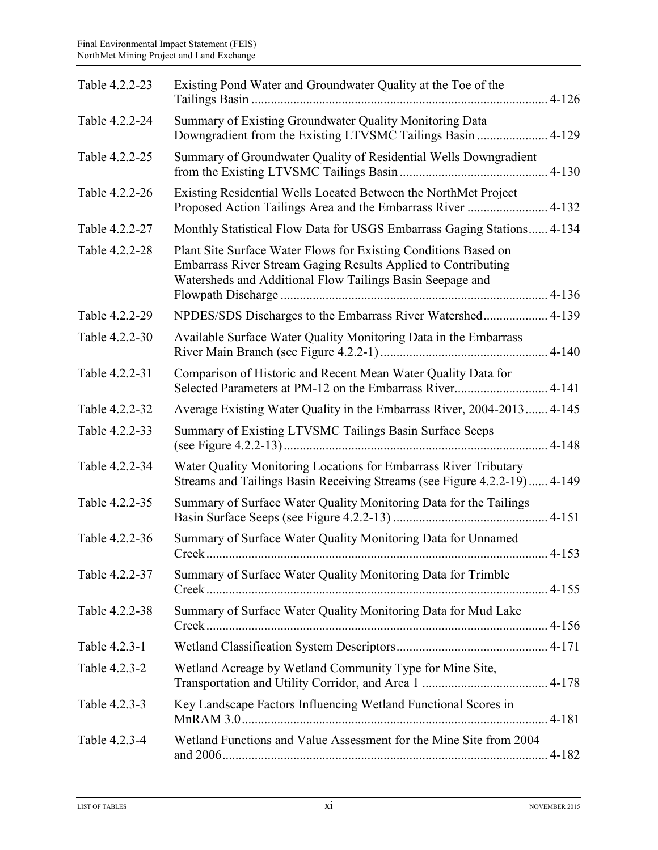| Table 4.2.2-23 | Existing Pond Water and Groundwater Quality at the Toe of the                                                                                                                                        |
|----------------|------------------------------------------------------------------------------------------------------------------------------------------------------------------------------------------------------|
| Table 4.2.2-24 | Summary of Existing Groundwater Quality Monitoring Data<br>Downgradient from the Existing LTVSMC Tailings Basin  4-129                                                                               |
| Table 4.2.2-25 | Summary of Groundwater Quality of Residential Wells Downgradient                                                                                                                                     |
| Table 4.2.2-26 | Existing Residential Wells Located Between the NorthMet Project<br>Proposed Action Tailings Area and the Embarrass River  4-132                                                                      |
| Table 4.2.2-27 | Monthly Statistical Flow Data for USGS Embarrass Gaging Stations 4-134                                                                                                                               |
| Table 4.2.2-28 | Plant Site Surface Water Flows for Existing Conditions Based on<br><b>Embarrass River Stream Gaging Results Applied to Contributing</b><br>Watersheds and Additional Flow Tailings Basin Seepage and |
| Table 4.2.2-29 | NPDES/SDS Discharges to the Embarrass River Watershed 4-139                                                                                                                                          |
| Table 4.2.2-30 | Available Surface Water Quality Monitoring Data in the Embarrass                                                                                                                                     |
| Table 4.2.2-31 | Comparison of Historic and Recent Mean Water Quality Data for<br>Selected Parameters at PM-12 on the Embarrass River 4-141                                                                           |
| Table 4.2.2-32 | Average Existing Water Quality in the Embarrass River, 2004-2013 4-145                                                                                                                               |
| Table 4.2.2-33 | Summary of Existing LTVSMC Tailings Basin Surface Seeps                                                                                                                                              |
| Table 4.2.2-34 | Water Quality Monitoring Locations for Embarrass River Tributary<br>Streams and Tailings Basin Receiving Streams (see Figure 4.2.2-19) 4-149                                                         |
| Table 4.2.2-35 | Summary of Surface Water Quality Monitoring Data for the Tailings                                                                                                                                    |
| Table 4.2.2-36 | Summary of Surface Water Quality Monitoring Data for Unnamed<br>$4 - 153$<br>Creek.                                                                                                                  |
| Table 4.2.2-37 | Summary of Surface Water Quality Monitoring Data for Trimble                                                                                                                                         |
| Table 4.2.2-38 | Summary of Surface Water Quality Monitoring Data for Mud Lake                                                                                                                                        |
| Table 4.2.3-1  |                                                                                                                                                                                                      |
| Table 4.2.3-2  | Wetland Acreage by Wetland Community Type for Mine Site,                                                                                                                                             |
| Table 4.2.3-3  | Key Landscape Factors Influencing Wetland Functional Scores in                                                                                                                                       |
| Table 4.2.3-4  | Wetland Functions and Value Assessment for the Mine Site from 2004                                                                                                                                   |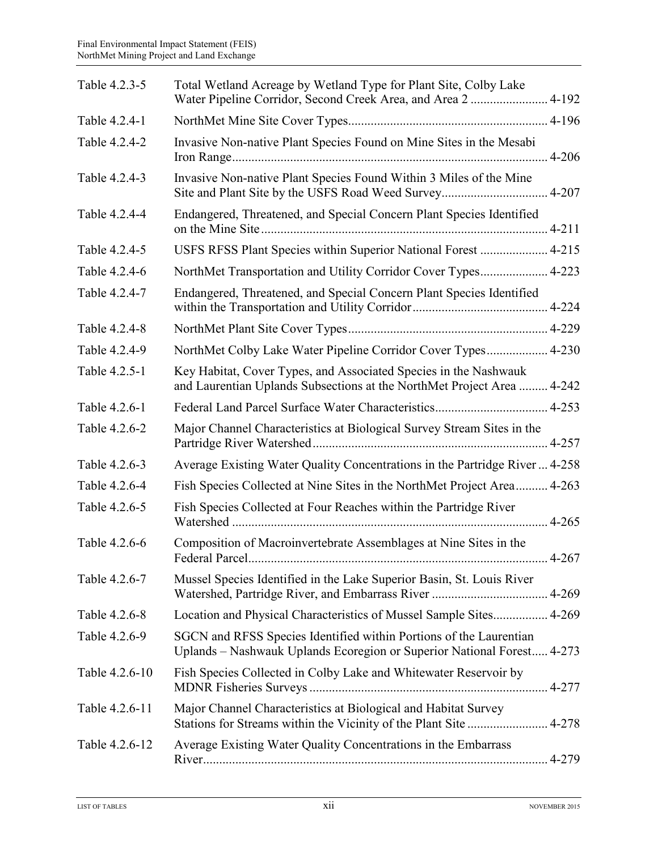| Table 4.2.3-5  | Total Wetland Acreage by Wetland Type for Plant Site, Colby Lake<br>Water Pipeline Corridor, Second Creek Area, and Area 2  4-192            |
|----------------|----------------------------------------------------------------------------------------------------------------------------------------------|
| Table 4.2.4-1  |                                                                                                                                              |
| Table 4.2.4-2  | Invasive Non-native Plant Species Found on Mine Sites in the Mesabi<br>4-206                                                                 |
| Table 4.2.4-3  | Invasive Non-native Plant Species Found Within 3 Miles of the Mine                                                                           |
| Table 4.2.4-4  | Endangered, Threatened, and Special Concern Plant Species Identified                                                                         |
| Table 4.2.4-5  | USFS RFSS Plant Species within Superior National Forest  4-215                                                                               |
| Table 4.2.4-6  | NorthMet Transportation and Utility Corridor Cover Types 4-223                                                                               |
| Table 4.2.4-7  | Endangered, Threatened, and Special Concern Plant Species Identified                                                                         |
| Table 4.2.4-8  |                                                                                                                                              |
| Table 4.2.4-9  | NorthMet Colby Lake Water Pipeline Corridor Cover Types 4-230                                                                                |
| Table 4.2.5-1  | Key Habitat, Cover Types, and Associated Species in the Nashwauk<br>and Laurentian Uplands Subsections at the NorthMet Project Area  4-242   |
| Table 4.2.6-1  |                                                                                                                                              |
| Table 4.2.6-2  | Major Channel Characteristics at Biological Survey Stream Sites in the<br>$4 - 257$                                                          |
| Table 4.2.6-3  | Average Existing Water Quality Concentrations in the Partridge River  4-258                                                                  |
| Table 4.2.6-4  | Fish Species Collected at Nine Sites in the NorthMet Project Area 4-263                                                                      |
| Table 4.2.6-5  | Fish Species Collected at Four Reaches within the Partridge River                                                                            |
| Table 4.2.6-6  | Composition of Macroinvertebrate Assemblages at Nine Sites in the                                                                            |
| Table 4.2.6-7  | Mussel Species Identified in the Lake Superior Basin, St. Louis River                                                                        |
| Table 4.2.6-8  | Location and Physical Characteristics of Mussel Sample Sites 4-269                                                                           |
| Table 4.2.6-9  | SGCN and RFSS Species Identified within Portions of the Laurentian<br>Uplands – Nashwauk Uplands Ecoregion or Superior National Forest 4-273 |
| Table 4.2.6-10 | Fish Species Collected in Colby Lake and Whitewater Reservoir by                                                                             |
| Table 4.2.6-11 | Major Channel Characteristics at Biological and Habitat Survey                                                                               |
| Table 4.2.6-12 | Average Existing Water Quality Concentrations in the Embarrass                                                                               |
|                |                                                                                                                                              |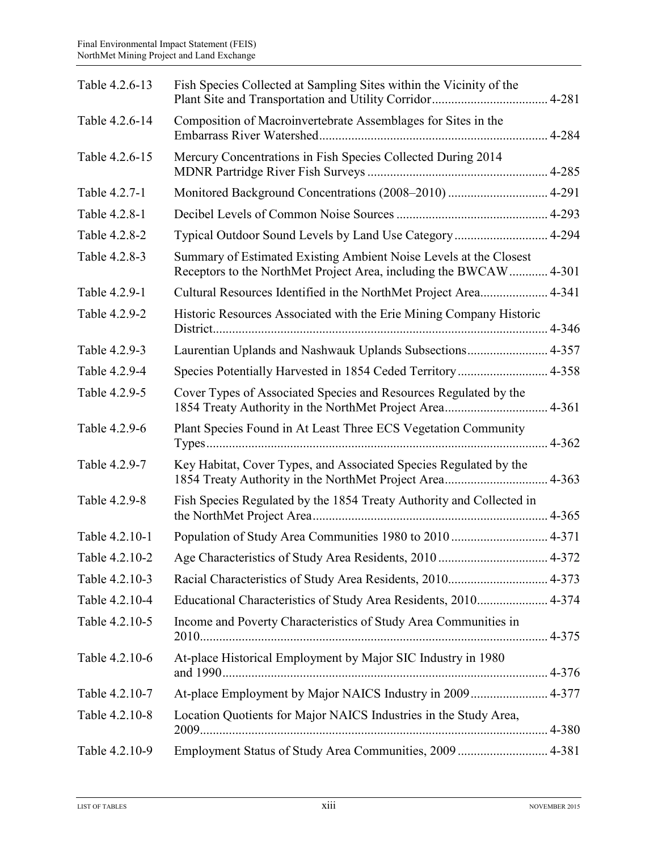| Table 4.2.6-13 | Fish Species Collected at Sampling Sites within the Vicinity of the                                                                    |           |
|----------------|----------------------------------------------------------------------------------------------------------------------------------------|-----------|
| Table 4.2.6-14 | Composition of Macroinvertebrate Assemblages for Sites in the                                                                          |           |
| Table 4.2.6-15 | Mercury Concentrations in Fish Species Collected During 2014                                                                           |           |
| Table 4.2.7-1  | Monitored Background Concentrations (2008-2010)  4-291                                                                                 |           |
| Table 4.2.8-1  |                                                                                                                                        |           |
| Table 4.2.8-2  | Typical Outdoor Sound Levels by Land Use Category  4-294                                                                               |           |
| Table 4.2.8-3  | Summary of Estimated Existing Ambient Noise Levels at the Closest<br>Receptors to the NorthMet Project Area, including the BWCAW 4-301 |           |
| Table 4.2.9-1  | Cultural Resources Identified in the NorthMet Project Area 4-341                                                                       |           |
| Table 4.2.9-2  | Historic Resources Associated with the Erie Mining Company Historic                                                                    | 4-346     |
| Table 4.2.9-3  | Laurentian Uplands and Nashwauk Uplands Subsections 4-357                                                                              |           |
| Table 4.2.9-4  | Species Potentially Harvested in 1854 Ceded Territory 4-358                                                                            |           |
| Table 4.2.9-5  | Cover Types of Associated Species and Resources Regulated by the<br>1854 Treaty Authority in the NorthMet Project Area 4-361           |           |
| Table 4.2.9-6  | Plant Species Found in At Least Three ECS Vegetation Community                                                                         | $4 - 362$ |
| Table 4.2.9-7  | Key Habitat, Cover Types, and Associated Species Regulated by the<br>1854 Treaty Authority in the NorthMet Project Area 4-363          |           |
| Table 4.2.9-8  | Fish Species Regulated by the 1854 Treaty Authority and Collected in                                                                   |           |
| Table 4.2.10-1 | Population of Study Area Communities 1980 to 2010  4-371                                                                               |           |
| Table 4.2.10-2 |                                                                                                                                        |           |
| Table 4.2.10-3 |                                                                                                                                        |           |
| Table 4.2.10-4 | Educational Characteristics of Study Area Residents, 2010 4-374                                                                        |           |
| Table 4.2.10-5 | Income and Poverty Characteristics of Study Area Communities in                                                                        |           |
| Table 4.2.10-6 | At-place Historical Employment by Major SIC Industry in 1980                                                                           |           |
| Table 4.2.10-7 | At-place Employment by Major NAICS Industry in 2009 4-377                                                                              |           |
| Table 4.2.10-8 | Location Quotients for Major NAICS Industries in the Study Area,                                                                       |           |
| Table 4.2.10-9 | Employment Status of Study Area Communities, 2009  4-381                                                                               |           |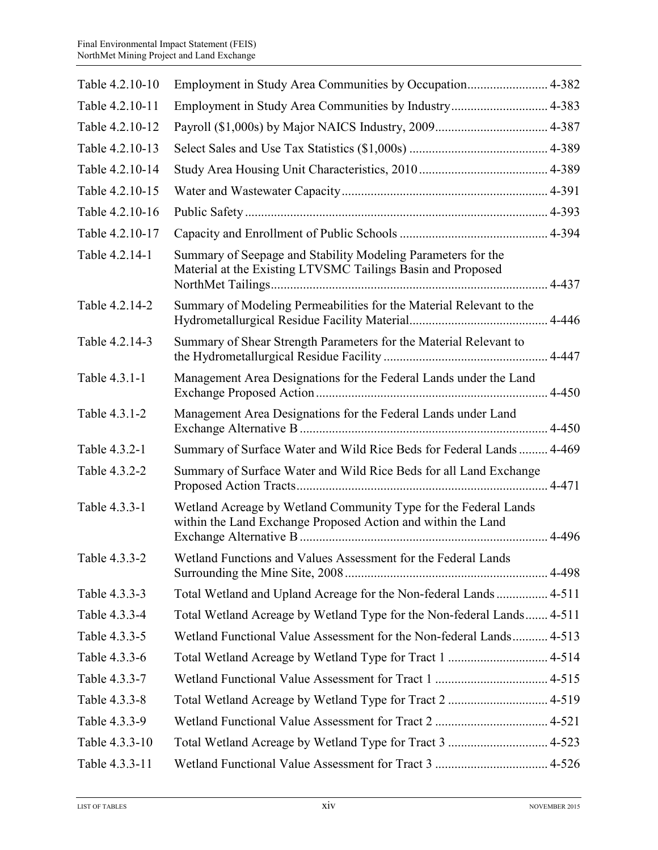| Table 4.2.10-10 | Employment in Study Area Communities by Occupation 4-382                                                                        |  |
|-----------------|---------------------------------------------------------------------------------------------------------------------------------|--|
| Table 4.2.10-11 |                                                                                                                                 |  |
| Table 4.2.10-12 |                                                                                                                                 |  |
| Table 4.2.10-13 |                                                                                                                                 |  |
| Table 4.2.10-14 |                                                                                                                                 |  |
| Table 4.2.10-15 |                                                                                                                                 |  |
| Table 4.2.10-16 |                                                                                                                                 |  |
| Table 4.2.10-17 |                                                                                                                                 |  |
| Table 4.2.14-1  | Summary of Seepage and Stability Modeling Parameters for the<br>Material at the Existing LTVSMC Tailings Basin and Proposed     |  |
| Table 4.2.14-2  | Summary of Modeling Permeabilities for the Material Relevant to the                                                             |  |
| Table 4.2.14-3  | Summary of Shear Strength Parameters for the Material Relevant to                                                               |  |
| Table 4.3.1-1   | Management Area Designations for the Federal Lands under the Land                                                               |  |
| Table 4.3.1-2   | Management Area Designations for the Federal Lands under Land                                                                   |  |
| Table 4.3.2-1   | Summary of Surface Water and Wild Rice Beds for Federal Lands 4-469                                                             |  |
| Table 4.3.2-2   | Summary of Surface Water and Wild Rice Beds for all Land Exchange                                                               |  |
| Table 4.3.3-1   | Wetland Acreage by Wetland Community Type for the Federal Lands<br>within the Land Exchange Proposed Action and within the Land |  |
|                 | Table 4.3.3-2 Wetland Functions and Values Assessment for the Federal Lands                                                     |  |
| Table 4.3.3-3   | Total Wetland and Upland Acreage for the Non-federal Lands 4-511                                                                |  |
| Table 4.3.3-4   | Total Wetland Acreage by Wetland Type for the Non-federal Lands 4-511                                                           |  |
| Table 4.3.3-5   | Wetland Functional Value Assessment for the Non-federal Lands 4-513                                                             |  |
| Table 4.3.3-6   |                                                                                                                                 |  |
| Table 4.3.3-7   |                                                                                                                                 |  |
| Table 4.3.3-8   |                                                                                                                                 |  |
| Table 4.3.3-9   |                                                                                                                                 |  |
| Table 4.3.3-10  |                                                                                                                                 |  |
| Table 4.3.3-11  |                                                                                                                                 |  |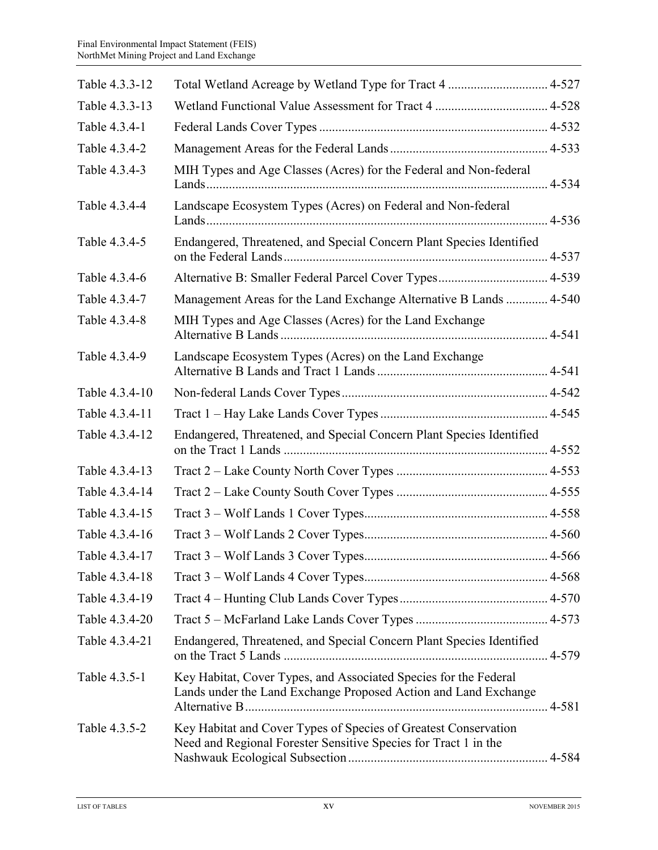| Table 4.3.3-12 |                                                                                                                                     |       |
|----------------|-------------------------------------------------------------------------------------------------------------------------------------|-------|
| Table 4.3.3-13 |                                                                                                                                     |       |
| Table 4.3.4-1  |                                                                                                                                     |       |
| Table 4.3.4-2  |                                                                                                                                     |       |
| Table 4.3.4-3  | MIH Types and Age Classes (Acres) for the Federal and Non-federal                                                                   | 4-534 |
| Table 4.3.4-4  | Landscape Ecosystem Types (Acres) on Federal and Non-federal                                                                        |       |
| Table 4.3.4-5  | Endangered, Threatened, and Special Concern Plant Species Identified                                                                |       |
| Table 4.3.4-6  | Alternative B: Smaller Federal Parcel Cover Types 4-539                                                                             |       |
| Table 4.3.4-7  | Management Areas for the Land Exchange Alternative B Lands  4-540                                                                   |       |
| Table 4.3.4-8  | MIH Types and Age Classes (Acres) for the Land Exchange                                                                             |       |
| Table 4.3.4-9  | Landscape Ecosystem Types (Acres) on the Land Exchange                                                                              |       |
| Table 4.3.4-10 |                                                                                                                                     |       |
| Table 4.3.4-11 |                                                                                                                                     |       |
| Table 4.3.4-12 | Endangered, Threatened, and Special Concern Plant Species Identified                                                                |       |
| Table 4.3.4-13 |                                                                                                                                     |       |
| Table 4.3.4-14 |                                                                                                                                     |       |
| Table 4.3.4-15 |                                                                                                                                     |       |
| Table 4.3.4-16 |                                                                                                                                     |       |
| Table 4.3.4-17 |                                                                                                                                     |       |
| Table 4.3.4-18 |                                                                                                                                     |       |
| Table 4.3.4-19 |                                                                                                                                     |       |
| Table 4.3.4-20 |                                                                                                                                     |       |
| Table 4.3.4-21 | Endangered, Threatened, and Special Concern Plant Species Identified                                                                |       |
| Table 4.3.5-1  | Key Habitat, Cover Types, and Associated Species for the Federal<br>Lands under the Land Exchange Proposed Action and Land Exchange |       |
| Table 4.3.5-2  | Key Habitat and Cover Types of Species of Greatest Conservation<br>Need and Regional Forester Sensitive Species for Tract 1 in the  |       |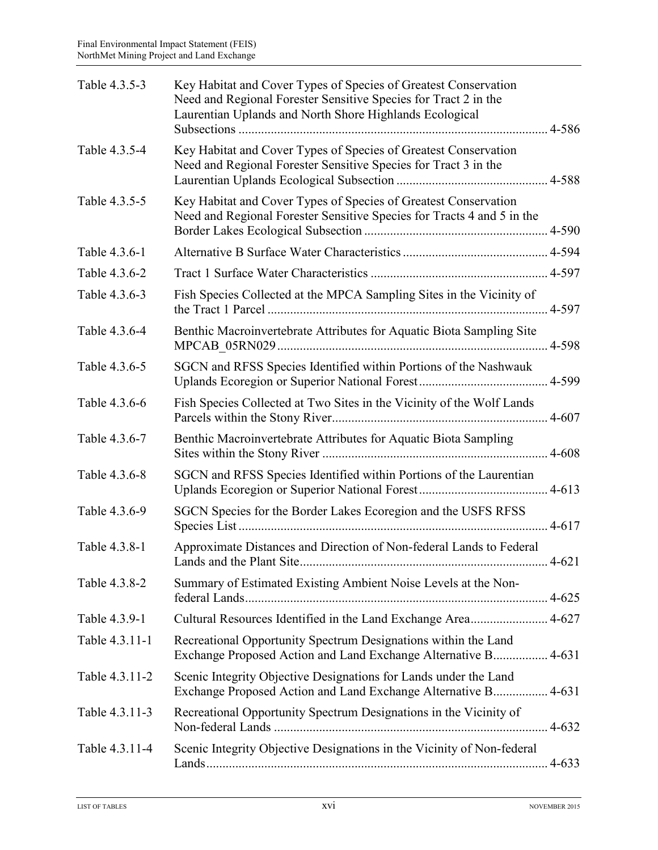| Table 4.3.5-3  | Key Habitat and Cover Types of Species of Greatest Conservation<br>Need and Regional Forester Sensitive Species for Tract 2 in the<br>Laurentian Uplands and North Shore Highlands Ecological |  |
|----------------|-----------------------------------------------------------------------------------------------------------------------------------------------------------------------------------------------|--|
| Table 4.3.5-4  | Key Habitat and Cover Types of Species of Greatest Conservation<br>Need and Regional Forester Sensitive Species for Tract 3 in the                                                            |  |
| Table 4.3.5-5  | Key Habitat and Cover Types of Species of Greatest Conservation<br>Need and Regional Forester Sensitive Species for Tracts 4 and 5 in the                                                     |  |
| Table 4.3.6-1  |                                                                                                                                                                                               |  |
| Table 4.3.6-2  |                                                                                                                                                                                               |  |
| Table 4.3.6-3  | Fish Species Collected at the MPCA Sampling Sites in the Vicinity of                                                                                                                          |  |
| Table 4.3.6-4  | Benthic Macroinvertebrate Attributes for Aquatic Biota Sampling Site                                                                                                                          |  |
| Table 4.3.6-5  | SGCN and RFSS Species Identified within Portions of the Nashwauk                                                                                                                              |  |
| Table 4.3.6-6  | Fish Species Collected at Two Sites in the Vicinity of the Wolf Lands                                                                                                                         |  |
| Table 4.3.6-7  | Benthic Macroinvertebrate Attributes for Aquatic Biota Sampling                                                                                                                               |  |
| Table 4.3.6-8  | SGCN and RFSS Species Identified within Portions of the Laurentian                                                                                                                            |  |
| Table 4.3.6-9  | SGCN Species for the Border Lakes Ecoregion and the USFS RFSS                                                                                                                                 |  |
| Table 4.3.8-1  | Approximate Distances and Direction of Non-federal Lands to Federal                                                                                                                           |  |
| Table 4.3.8-2  | Summary of Estimated Existing Ambient Noise Levels at the Non-                                                                                                                                |  |
| Table 4.3.9-1  |                                                                                                                                                                                               |  |
| Table 4.3.11-1 | Recreational Opportunity Spectrum Designations within the Land<br>Exchange Proposed Action and Land Exchange Alternative B 4-631                                                              |  |
| Table 4.3.11-2 | Scenic Integrity Objective Designations for Lands under the Land<br>Exchange Proposed Action and Land Exchange Alternative B 4-631                                                            |  |
| Table 4.3.11-3 | Recreational Opportunity Spectrum Designations in the Vicinity of                                                                                                                             |  |
| Table 4.3.11-4 | Scenic Integrity Objective Designations in the Vicinity of Non-federal                                                                                                                        |  |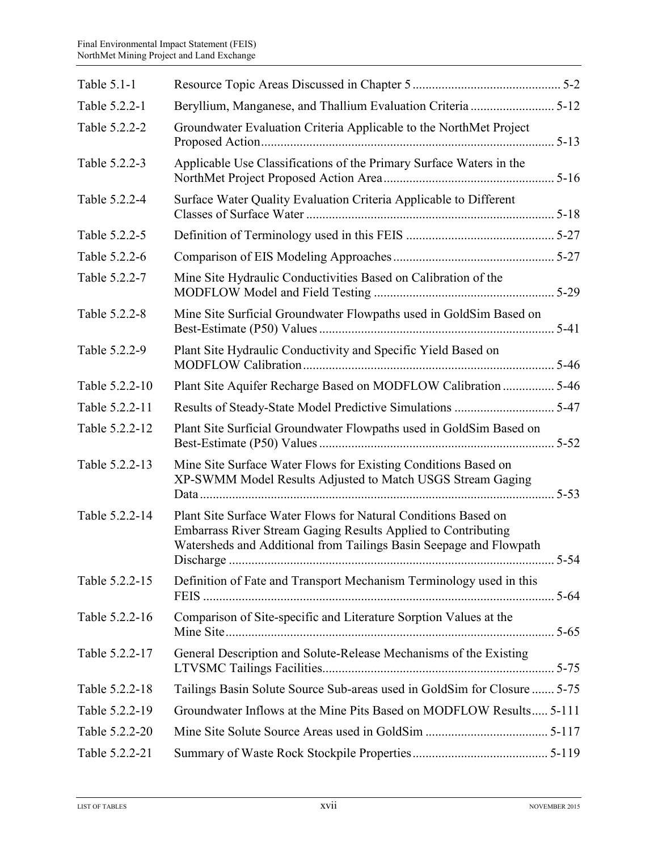| Groundwater Evaluation Criteria Applicable to the NorthMet Project                                                                                                                                           | $5-13$                                                                                                                                                                                                                                                                            |
|--------------------------------------------------------------------------------------------------------------------------------------------------------------------------------------------------------------|-----------------------------------------------------------------------------------------------------------------------------------------------------------------------------------------------------------------------------------------------------------------------------------|
| Applicable Use Classifications of the Primary Surface Waters in the                                                                                                                                          |                                                                                                                                                                                                                                                                                   |
| Surface Water Quality Evaluation Criteria Applicable to Different                                                                                                                                            |                                                                                                                                                                                                                                                                                   |
|                                                                                                                                                                                                              |                                                                                                                                                                                                                                                                                   |
|                                                                                                                                                                                                              |                                                                                                                                                                                                                                                                                   |
| Mine Site Hydraulic Conductivities Based on Calibration of the                                                                                                                                               |                                                                                                                                                                                                                                                                                   |
| Mine Site Surficial Groundwater Flowpaths used in GoldSim Based on                                                                                                                                           |                                                                                                                                                                                                                                                                                   |
| Plant Site Hydraulic Conductivity and Specific Yield Based on                                                                                                                                                |                                                                                                                                                                                                                                                                                   |
|                                                                                                                                                                                                              |                                                                                                                                                                                                                                                                                   |
|                                                                                                                                                                                                              |                                                                                                                                                                                                                                                                                   |
| Plant Site Surficial Groundwater Flowpaths used in GoldSim Based on                                                                                                                                          |                                                                                                                                                                                                                                                                                   |
| Mine Site Surface Water Flows for Existing Conditions Based on<br>XP-SWMM Model Results Adjusted to Match USGS Stream Gaging                                                                                 |                                                                                                                                                                                                                                                                                   |
| Plant Site Surface Water Flows for Natural Conditions Based on<br><b>Embarrass River Stream Gaging Results Applied to Contributing</b><br>Watersheds and Additional from Tailings Basin Seepage and Flowpath |                                                                                                                                                                                                                                                                                   |
| Definition of Fate and Transport Mechanism Terminology used in this                                                                                                                                          |                                                                                                                                                                                                                                                                                   |
| Comparison of Site-specific and Literature Sorption Values at the                                                                                                                                            |                                                                                                                                                                                                                                                                                   |
| General Description and Solute-Release Mechanisms of the Existing                                                                                                                                            |                                                                                                                                                                                                                                                                                   |
|                                                                                                                                                                                                              |                                                                                                                                                                                                                                                                                   |
|                                                                                                                                                                                                              |                                                                                                                                                                                                                                                                                   |
|                                                                                                                                                                                                              |                                                                                                                                                                                                                                                                                   |
|                                                                                                                                                                                                              |                                                                                                                                                                                                                                                                                   |
|                                                                                                                                                                                                              | Beryllium, Manganese, and Thallium Evaluation Criteria  5-12<br>Plant Site Aquifer Recharge Based on MODFLOW Calibration  5-46<br>Tailings Basin Solute Source Sub-areas used in GoldSim for Closure  5-75<br>Groundwater Inflows at the Mine Pits Based on MODFLOW Results 5-111 |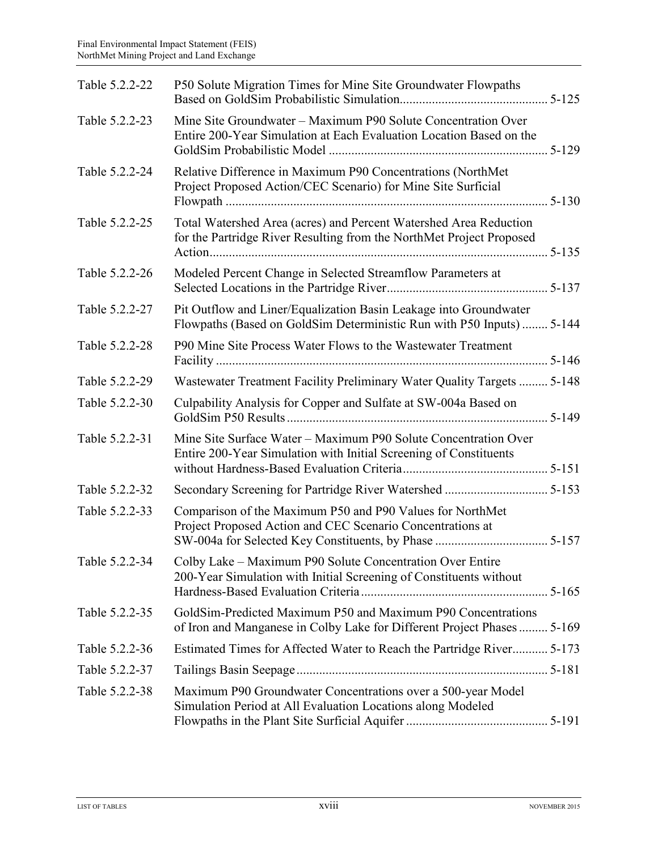| Table 5.2.2-22 | P50 Solute Migration Times for Mine Site Groundwater Flowpaths                                                                             |
|----------------|--------------------------------------------------------------------------------------------------------------------------------------------|
| Table 5.2.2-23 | Mine Site Groundwater – Maximum P90 Solute Concentration Over<br>Entire 200-Year Simulation at Each Evaluation Location Based on the       |
| Table 5.2.2-24 | Relative Difference in Maximum P90 Concentrations (NorthMet<br>Project Proposed Action/CEC Scenario) for Mine Site Surficial               |
| Table 5.2.2-25 | Total Watershed Area (acres) and Percent Watershed Area Reduction<br>for the Partridge River Resulting from the NorthMet Project Proposed  |
| Table 5.2.2-26 | Modeled Percent Change in Selected Streamflow Parameters at                                                                                |
| Table 5.2.2-27 | Pit Outflow and Liner/Equalization Basin Leakage into Groundwater<br>Flowpaths (Based on GoldSim Deterministic Run with P50 Inputs)  5-144 |
| Table 5.2.2-28 | P90 Mine Site Process Water Flows to the Wastewater Treatment                                                                              |
| Table 5.2.2-29 | Wastewater Treatment Facility Preliminary Water Quality Targets  5-148                                                                     |
| Table 5.2.2-30 | Culpability Analysis for Copper and Sulfate at SW-004a Based on                                                                            |
| Table 5.2.2-31 | Mine Site Surface Water - Maximum P90 Solute Concentration Over<br>Entire 200-Year Simulation with Initial Screening of Constituents       |
| Table 5.2.2-32 |                                                                                                                                            |
| Table 5.2.2-33 | Comparison of the Maximum P50 and P90 Values for NorthMet<br>Project Proposed Action and CEC Scenario Concentrations at                    |
| Table 5.2.2-34 | Colby Lake – Maximum P90 Solute Concentration Over Entire<br>200-Year Simulation with Initial Screening of Constituents without            |
| Table 5.2.2-35 | GoldSim-Predicted Maximum P50 and Maximum P90 Concentrations<br>of Iron and Manganese in Colby Lake for Different Project Phases 5-169     |
| Table 5.2.2-36 | Estimated Times for Affected Water to Reach the Partridge River 5-173                                                                      |
| Table 5.2.2-37 |                                                                                                                                            |
| Table 5.2.2-38 | Maximum P90 Groundwater Concentrations over a 500-year Model<br>Simulation Period at All Evaluation Locations along Modeled                |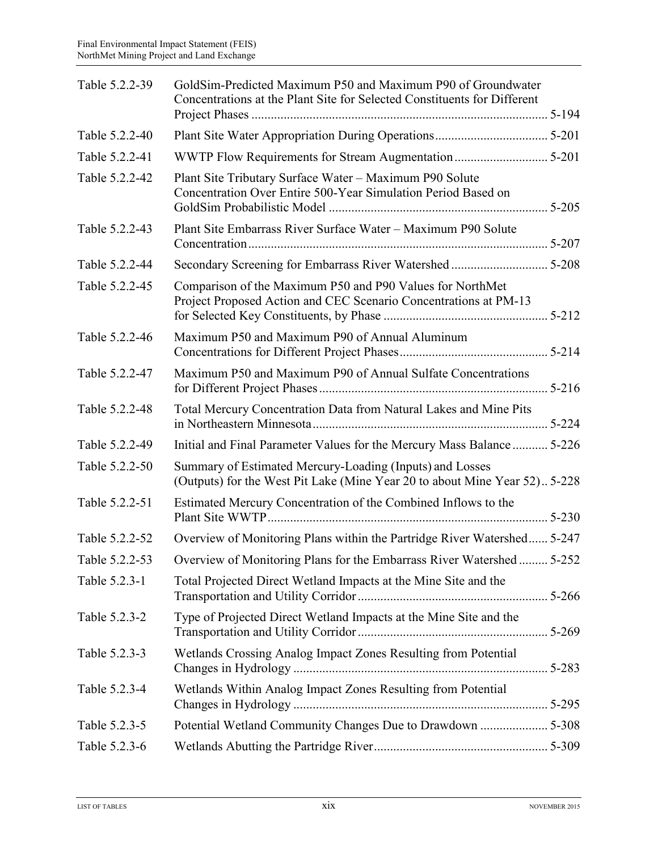| Table 5.2.2-39 | GoldSim-Predicted Maximum P50 and Maximum P90 of Groundwater<br>Concentrations at the Plant Site for Selected Constituents for Different |  |
|----------------|------------------------------------------------------------------------------------------------------------------------------------------|--|
| Table 5.2.2-40 |                                                                                                                                          |  |
| Table 5.2.2-41 | WWTP Flow Requirements for Stream Augmentation  5-201                                                                                    |  |
| Table 5.2.2-42 | Plant Site Tributary Surface Water - Maximum P90 Solute<br>Concentration Over Entire 500-Year Simulation Period Based on                 |  |
| Table 5.2.2-43 | Plant Site Embarrass River Surface Water - Maximum P90 Solute                                                                            |  |
| Table 5.2.2-44 |                                                                                                                                          |  |
| Table 5.2.2-45 | Comparison of the Maximum P50 and P90 Values for NorthMet<br>Project Proposed Action and CEC Scenario Concentrations at PM-13            |  |
| Table 5.2.2-46 | Maximum P50 and Maximum P90 of Annual Aluminum                                                                                           |  |
| Table 5.2.2-47 | Maximum P50 and Maximum P90 of Annual Sulfate Concentrations                                                                             |  |
| Table 5.2.2-48 | Total Mercury Concentration Data from Natural Lakes and Mine Pits                                                                        |  |
| Table 5.2.2-49 | Initial and Final Parameter Values for the Mercury Mass Balance  5-226                                                                   |  |
| Table 5.2.2-50 | Summary of Estimated Mercury-Loading (Inputs) and Losses<br>(Outputs) for the West Pit Lake (Mine Year 20 to about Mine Year 52) 5-228   |  |
| Table 5.2.2-51 | Estimated Mercury Concentration of the Combined Inflows to the                                                                           |  |
| Table 5.2.2-52 | Overview of Monitoring Plans within the Partridge River Watershed 5-247                                                                  |  |
| Table 5.2.2-53 | Overview of Monitoring Plans for the Embarrass River Watershed 5-252                                                                     |  |
| Table 5.2.3-1  | Total Projected Direct Wetland Impacts at the Mine Site and the                                                                          |  |
| Table 5.2.3-2  | Type of Projected Direct Wetland Impacts at the Mine Site and the                                                                        |  |
| Table 5.2.3-3  | Wetlands Crossing Analog Impact Zones Resulting from Potential                                                                           |  |
| Table 5.2.3-4  | Wetlands Within Analog Impact Zones Resulting from Potential                                                                             |  |
| Table 5.2.3-5  |                                                                                                                                          |  |
| Table 5.2.3-6  |                                                                                                                                          |  |
|                |                                                                                                                                          |  |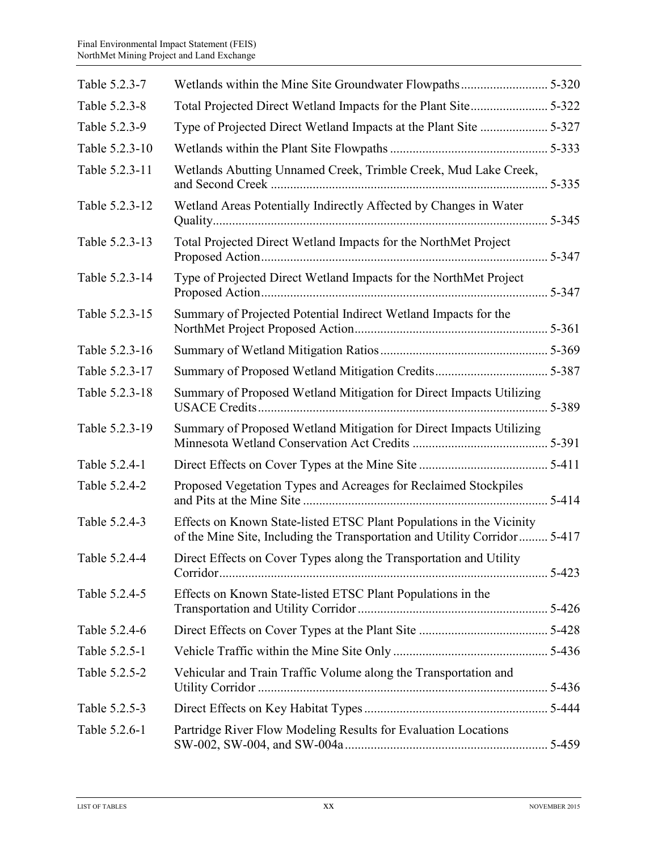| Table 5.2.3-7  |                                                                                                                                                   |           |
|----------------|---------------------------------------------------------------------------------------------------------------------------------------------------|-----------|
| Table 5.2.3-8  |                                                                                                                                                   |           |
| Table 5.2.3-9  |                                                                                                                                                   |           |
| Table 5.2.3-10 |                                                                                                                                                   |           |
| Table 5.2.3-11 | Wetlands Abutting Unnamed Creek, Trimble Creek, Mud Lake Creek,                                                                                   | $5 - 335$ |
| Table 5.2.3-12 | Wetland Areas Potentially Indirectly Affected by Changes in Water                                                                                 | $5 - 345$ |
| Table 5.2.3-13 | Total Projected Direct Wetland Impacts for the NorthMet Project                                                                                   | 5-347     |
| Table 5.2.3-14 | Type of Projected Direct Wetland Impacts for the NorthMet Project                                                                                 |           |
| Table 5.2.3-15 | Summary of Projected Potential Indirect Wetland Impacts for the                                                                                   |           |
| Table 5.2.3-16 |                                                                                                                                                   |           |
| Table 5.2.3-17 |                                                                                                                                                   |           |
| Table 5.2.3-18 | Summary of Proposed Wetland Mitigation for Direct Impacts Utilizing                                                                               |           |
| Table 5.2.3-19 | Summary of Proposed Wetland Mitigation for Direct Impacts Utilizing                                                                               |           |
| Table 5.2.4-1  |                                                                                                                                                   |           |
| Table 5.2.4-2  | Proposed Vegetation Types and Acreages for Reclaimed Stockpiles                                                                                   |           |
| Table 5.2.4-3  | Effects on Known State-listed ETSC Plant Populations in the Vicinity<br>of the Mine Site, Including the Transportation and Utility Corridor 5-417 |           |
| Table 5.2.4-4  | Direct Effects on Cover Types along the Transportation and Utility                                                                                |           |
| Table 5.2.4-5  | Effects on Known State-listed ETSC Plant Populations in the                                                                                       |           |
| Table 5.2.4-6  |                                                                                                                                                   |           |
| Table 5.2.5-1  |                                                                                                                                                   |           |
| Table 5.2.5-2  | Vehicular and Train Traffic Volume along the Transportation and                                                                                   |           |
| Table 5.2.5-3  |                                                                                                                                                   |           |
| Table 5.2.6-1  | Partridge River Flow Modeling Results for Evaluation Locations                                                                                    |           |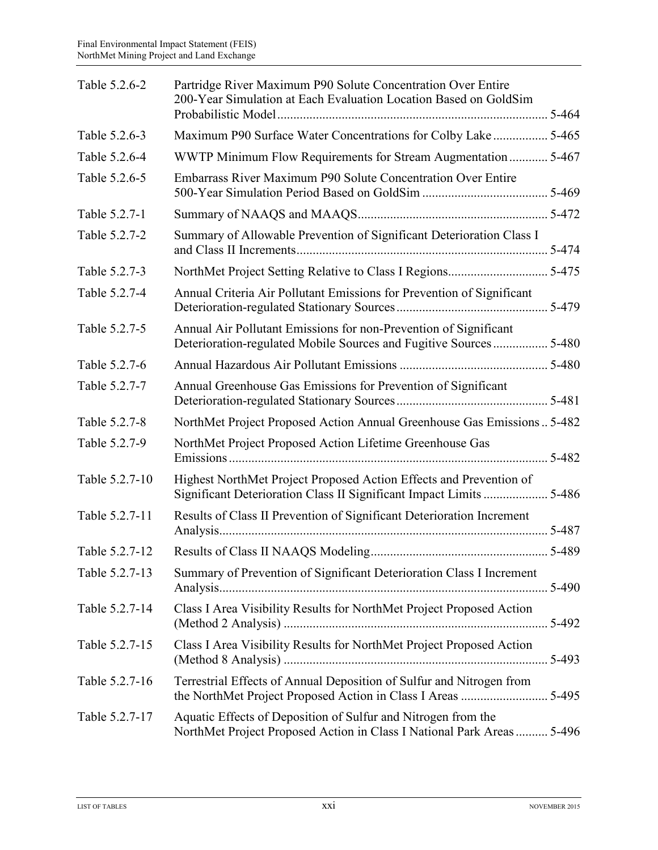| Table 5.2.6-2  | Partridge River Maximum P90 Solute Concentration Over Entire<br>200-Year Simulation at Each Evaluation Location Based on GoldSim<br>5-464 |  |
|----------------|-------------------------------------------------------------------------------------------------------------------------------------------|--|
| Table 5.2.6-3  | Maximum P90 Surface Water Concentrations for Colby Lake  5-465                                                                            |  |
| Table 5.2.6-4  | WWTP Minimum Flow Requirements for Stream Augmentation  5-467                                                                             |  |
| Table 5.2.6-5  | <b>Embarrass River Maximum P90 Solute Concentration Over Entire</b>                                                                       |  |
| Table 5.2.7-1  |                                                                                                                                           |  |
| Table 5.2.7-2  | Summary of Allowable Prevention of Significant Deterioration Class I<br>5-474                                                             |  |
| Table 5.2.7-3  |                                                                                                                                           |  |
| Table 5.2.7-4  | Annual Criteria Air Pollutant Emissions for Prevention of Significant                                                                     |  |
| Table 5.2.7-5  | Annual Air Pollutant Emissions for non-Prevention of Significant<br>Deterioration-regulated Mobile Sources and Fugitive Sources 5-480     |  |
| Table 5.2.7-6  |                                                                                                                                           |  |
| Table 5.2.7-7  | Annual Greenhouse Gas Emissions for Prevention of Significant                                                                             |  |
| Table 5.2.7-8  | NorthMet Project Proposed Action Annual Greenhouse Gas Emissions 5-482                                                                    |  |
| Table 5.2.7-9  | NorthMet Project Proposed Action Lifetime Greenhouse Gas<br>5-482                                                                         |  |
| Table 5.2.7-10 | Highest NorthMet Project Proposed Action Effects and Prevention of<br>Significant Deterioration Class II Significant Impact Limits  5-486 |  |
| Table 5.2.7-11 | Results of Class II Prevention of Significant Deterioration Increment<br>5-487                                                            |  |
| Table 5.2.7-12 |                                                                                                                                           |  |
| Table 5.2.7-13 | Summary of Prevention of Significant Deterioration Class I Increment<br>5-490                                                             |  |
| Table 5.2.7-14 | Class I Area Visibility Results for NorthMet Project Proposed Action<br>5-492                                                             |  |
| Table 5.2.7-15 | Class I Area Visibility Results for NorthMet Project Proposed Action<br>5-493                                                             |  |
| Table 5.2.7-16 | Terrestrial Effects of Annual Deposition of Sulfur and Nitrogen from<br>the NorthMet Project Proposed Action in Class I Areas<br>5-495    |  |
| Table 5.2.7-17 | Aquatic Effects of Deposition of Sulfur and Nitrogen from the<br>NorthMet Project Proposed Action in Class I National Park Areas  5-496   |  |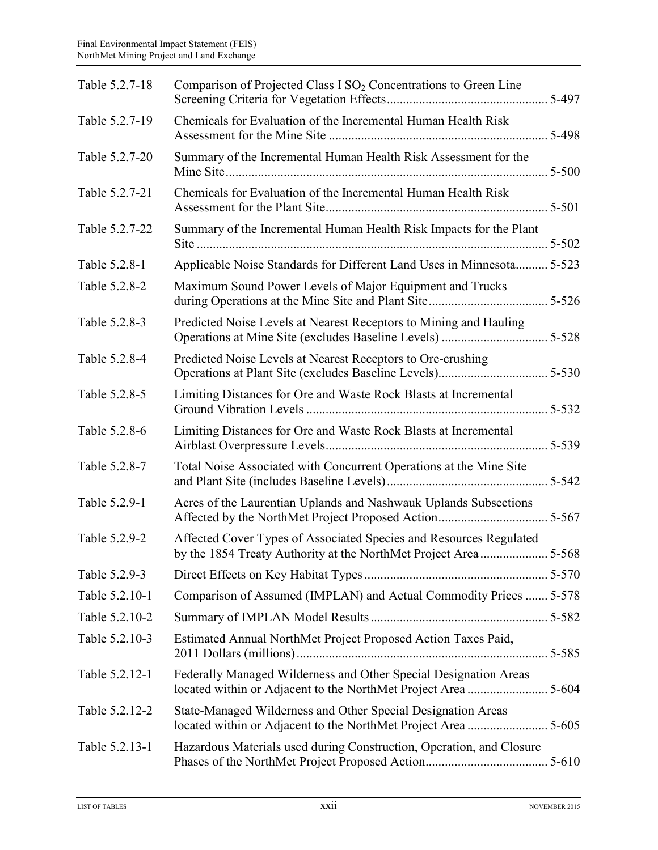| Table 5.2.7-18 | Comparison of Projected Class I SO <sub>2</sub> Concentrations to Green Line                                                                 |
|----------------|----------------------------------------------------------------------------------------------------------------------------------------------|
| Table 5.2.7-19 | Chemicals for Evaluation of the Incremental Human Health Risk<br>5-498                                                                       |
| Table 5.2.7-20 | Summary of the Incremental Human Health Risk Assessment for the<br>$5 - 500$                                                                 |
| Table 5.2.7-21 | Chemicals for Evaluation of the Incremental Human Health Risk<br>$5 - 501$                                                                   |
| Table 5.2.7-22 | Summary of the Incremental Human Health Risk Impacts for the Plant                                                                           |
| Table 5.2.8-1  | Applicable Noise Standards for Different Land Uses in Minnesota 5-523                                                                        |
| Table 5.2.8-2  | Maximum Sound Power Levels of Major Equipment and Trucks                                                                                     |
| Table 5.2.8-3  | Predicted Noise Levels at Nearest Receptors to Mining and Hauling                                                                            |
| Table 5.2.8-4  | Predicted Noise Levels at Nearest Receptors to Ore-crushing                                                                                  |
| Table 5.2.8-5  | Limiting Distances for Ore and Waste Rock Blasts at Incremental                                                                              |
| Table 5.2.8-6  | Limiting Distances for Ore and Waste Rock Blasts at Incremental                                                                              |
| Table 5.2.8-7  | Total Noise Associated with Concurrent Operations at the Mine Site                                                                           |
| Table 5.2.9-1  | Acres of the Laurentian Uplands and Nashwauk Uplands Subsections                                                                             |
| Table 5.2.9-2  | Affected Cover Types of Associated Species and Resources Regulated<br>$5 - 568$<br>by the 1854 Treaty Authority at the NorthMet Project Area |
| Table 5.2.9-3  |                                                                                                                                              |
| Table 5.2.10-1 | Comparison of Assumed (IMPLAN) and Actual Commodity Prices  5-578                                                                            |
| Table 5.2.10-2 |                                                                                                                                              |
| Table 5.2.10-3 | Estimated Annual NorthMet Project Proposed Action Taxes Paid,                                                                                |
| Table 5.2.12-1 | Federally Managed Wilderness and Other Special Designation Areas                                                                             |
| Table 5.2.12-2 | State-Managed Wilderness and Other Special Designation Areas                                                                                 |
| Table 5.2.13-1 | Hazardous Materials used during Construction, Operation, and Closure                                                                         |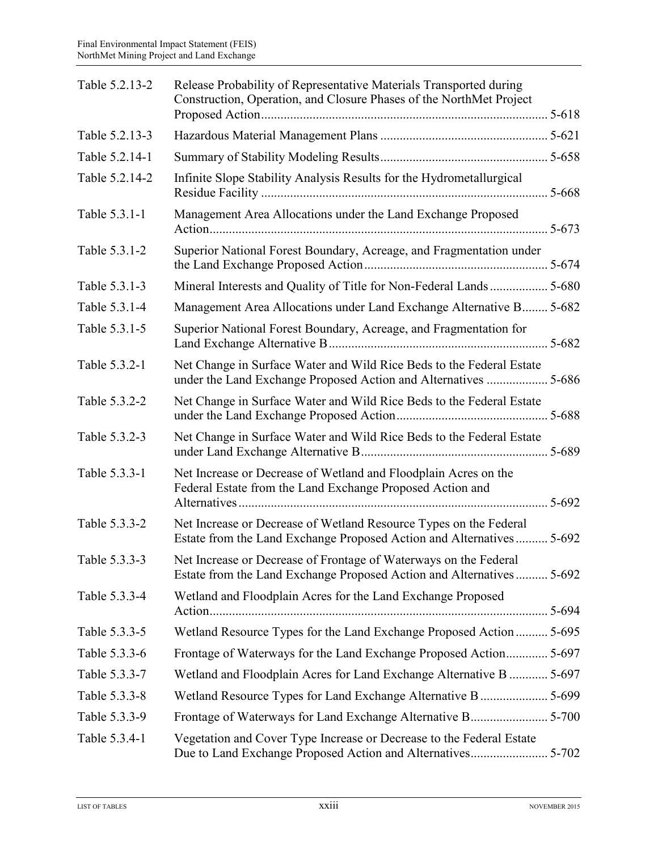| Table 5.2.13-2 | Release Probability of Representative Materials Transported during<br>Construction, Operation, and Closure Phases of the NorthMet Project |           |
|----------------|-------------------------------------------------------------------------------------------------------------------------------------------|-----------|
| Table 5.2.13-3 |                                                                                                                                           |           |
| Table 5.2.14-1 |                                                                                                                                           |           |
| Table 5.2.14-2 | Infinite Slope Stability Analysis Results for the Hydrometallurgical                                                                      |           |
| Table 5.3.1-1  | Management Area Allocations under the Land Exchange Proposed                                                                              | $5 - 673$ |
| Table 5.3.1-2  | Superior National Forest Boundary, Acreage, and Fragmentation under                                                                       |           |
| Table 5.3.1-3  | Mineral Interests and Quality of Title for Non-Federal Lands 5-680                                                                        |           |
| Table 5.3.1-4  | Management Area Allocations under Land Exchange Alternative B 5-682                                                                       |           |
| Table 5.3.1-5  | Superior National Forest Boundary, Acreage, and Fragmentation for                                                                         |           |
| Table 5.3.2-1  | Net Change in Surface Water and Wild Rice Beds to the Federal Estate<br>under the Land Exchange Proposed Action and Alternatives  5-686   |           |
| Table 5.3.2-2  | Net Change in Surface Water and Wild Rice Beds to the Federal Estate                                                                      |           |
| Table 5.3.2-3  | Net Change in Surface Water and Wild Rice Beds to the Federal Estate                                                                      |           |
| Table 5.3.3-1  | Net Increase or Decrease of Wetland and Floodplain Acres on the<br>Federal Estate from the Land Exchange Proposed Action and              |           |
| Table 5.3.3-2  | Net Increase or Decrease of Wetland Resource Types on the Federal<br>Estate from the Land Exchange Proposed Action and Alternatives 5-692 |           |
| Table 5.3.3-3  | Net Increase or Decrease of Frontage of Waterways on the Federal<br>Estate from the Land Exchange Proposed Action and Alternatives 5-692  |           |
| Table 5.3.3-4  | Wetland and Floodplain Acres for the Land Exchange Proposed                                                                               |           |
| Table 5.3.3-5  | Wetland Resource Types for the Land Exchange Proposed Action  5-695                                                                       |           |
| Table 5.3.3-6  |                                                                                                                                           |           |
| Table 5.3.3-7  | Wetland and Floodplain Acres for Land Exchange Alternative B  5-697                                                                       |           |
| Table 5.3.3-8  |                                                                                                                                           |           |
| Table 5.3.3-9  |                                                                                                                                           |           |
| Table 5.3.4-1  | Vegetation and Cover Type Increase or Decrease to the Federal Estate                                                                      |           |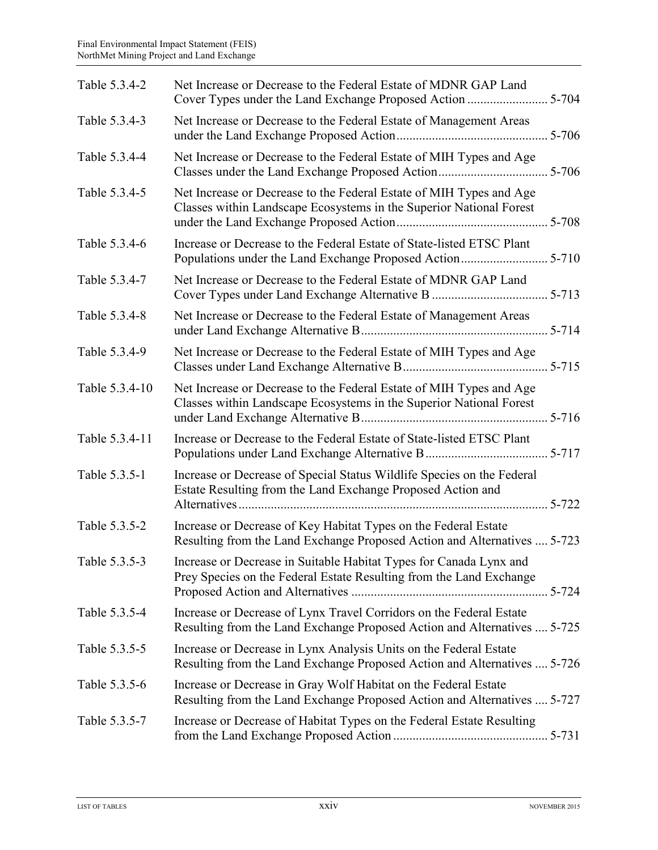| Table 5.3.4-2  | Net Increase or Decrease to the Federal Estate of MDNR GAP Land                                                                                     |
|----------------|-----------------------------------------------------------------------------------------------------------------------------------------------------|
| Table 5.3.4-3  | Net Increase or Decrease to the Federal Estate of Management Areas<br>5-706                                                                         |
| Table 5.3.4-4  | Net Increase or Decrease to the Federal Estate of MIH Types and Age<br>5-706<br>Classes under the Land Exchange Proposed Action                     |
| Table 5.3.4-5  | Net Increase or Decrease to the Federal Estate of MIH Types and Age<br>Classes within Landscape Ecosystems in the Superior National Forest<br>5-708 |
| Table 5.3.4-6  | Increase or Decrease to the Federal Estate of State-listed ETSC Plant<br>Populations under the Land Exchange Proposed Action5-710                   |
| Table 5.3.4-7  | Net Increase or Decrease to the Federal Estate of MDNR GAP Land                                                                                     |
| Table 5.3.4-8  | Net Increase or Decrease to the Federal Estate of Management Areas                                                                                  |
| Table 5.3.4-9  | Net Increase or Decrease to the Federal Estate of MIH Types and Age                                                                                 |
| Table 5.3.4-10 | Net Increase or Decrease to the Federal Estate of MIH Types and Age<br>Classes within Landscape Ecosystems in the Superior National Forest          |
| Table 5.3.4-11 | Increase or Decrease to the Federal Estate of State-listed ETSC Plant                                                                               |
| Table 5.3.5-1  | Increase or Decrease of Special Status Wildlife Species on the Federal<br>Estate Resulting from the Land Exchange Proposed Action and               |
| Table 5.3.5-2  | Increase or Decrease of Key Habitat Types on the Federal Estate<br>Resulting from the Land Exchange Proposed Action and Alternatives  5-723         |
| Table 5.3.5-3  | Increase or Decrease in Suitable Habitat Types for Canada Lynx and<br>Prey Species on the Federal Estate Resulting from the Land Exchange           |
| Table 5.3.5-4  | Increase or Decrease of Lynx Travel Corridors on the Federal Estate<br>Resulting from the Land Exchange Proposed Action and Alternatives  5-725     |
| Table 5.3.5-5  | Increase or Decrease in Lynx Analysis Units on the Federal Estate<br>Resulting from the Land Exchange Proposed Action and Alternatives  5-726       |
| Table 5.3.5-6  | Increase or Decrease in Gray Wolf Habitat on the Federal Estate<br>Resulting from the Land Exchange Proposed Action and Alternatives  5-727         |
| Table 5.3.5-7  | Increase or Decrease of Habitat Types on the Federal Estate Resulting                                                                               |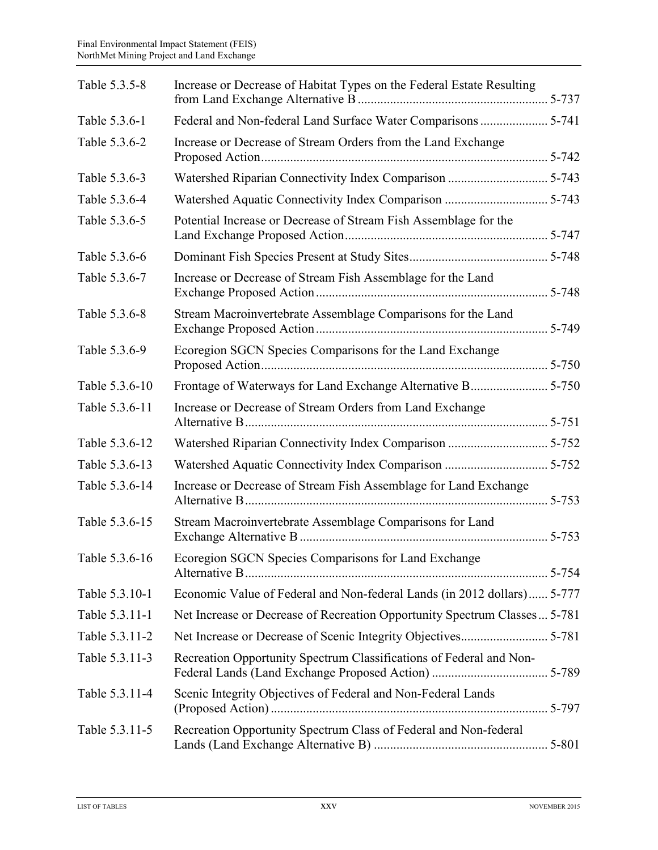| Table 5.3.5-8  | Increase or Decrease of Habitat Types on the Federal Estate Resulting      |       |
|----------------|----------------------------------------------------------------------------|-------|
| Table 5.3.6-1  | Federal and Non-federal Land Surface Water Comparisons  5-741              |       |
| Table 5.3.6-2  | Increase or Decrease of Stream Orders from the Land Exchange               |       |
| Table 5.3.6-3  |                                                                            |       |
| Table 5.3.6-4  |                                                                            |       |
| Table 5.3.6-5  | Potential Increase or Decrease of Stream Fish Assemblage for the           |       |
| Table 5.3.6-6  |                                                                            |       |
| Table 5.3.6-7  | Increase or Decrease of Stream Fish Assemblage for the Land                |       |
| Table 5.3.6-8  | Stream Macroinvertebrate Assemblage Comparisons for the Land               |       |
| Table 5.3.6-9  | Ecoregion SGCN Species Comparisons for the Land Exchange                   | 5-750 |
| Table 5.3.6-10 |                                                                            |       |
| Table 5.3.6-11 | Increase or Decrease of Stream Orders from Land Exchange                   |       |
| Table 5.3.6-12 |                                                                            |       |
| Table 5.3.6-13 |                                                                            |       |
| Table 5.3.6-14 | Increase or Decrease of Stream Fish Assemblage for Land Exchange           |       |
| Table 5.3.6-15 | Stream Macroinvertebrate Assemblage Comparisons for Land                   | 5-753 |
|                | Table 5.3.6-16 Ecoregion SGCN Species Comparisons for Land Exchange        |       |
| Table 5.3.10-1 | Economic Value of Federal and Non-federal Lands (in 2012 dollars) 5-777    |       |
| Table 5.3.11-1 | Net Increase or Decrease of Recreation Opportunity Spectrum Classes  5-781 |       |
| Table 5.3.11-2 |                                                                            |       |
| Table 5.3.11-3 | Recreation Opportunity Spectrum Classifications of Federal and Non-        |       |
| Table 5.3.11-4 | Scenic Integrity Objectives of Federal and Non-Federal Lands               |       |
| Table 5.3.11-5 | Recreation Opportunity Spectrum Class of Federal and Non-federal           |       |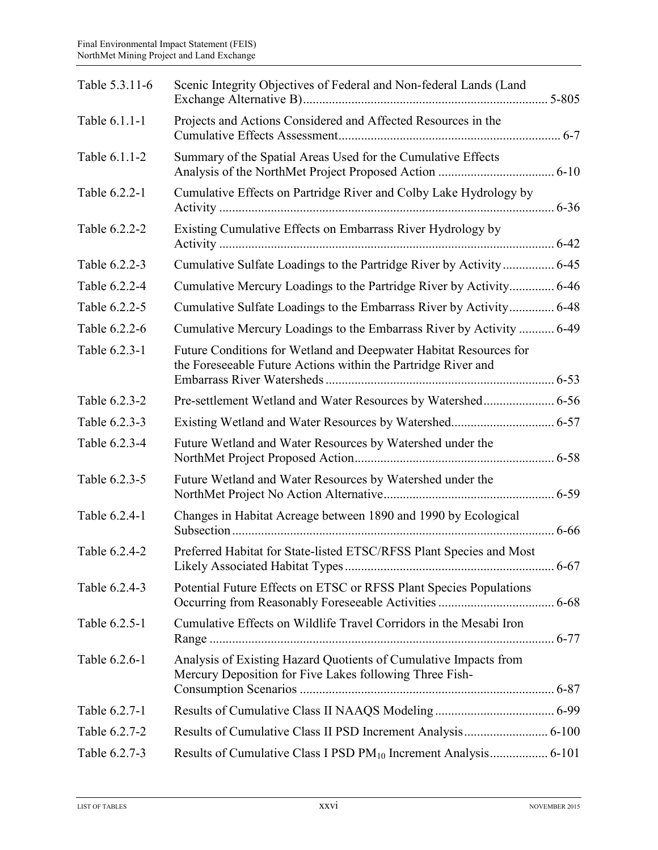| Table 5.3.11-6 | Scenic Integrity Objectives of Federal and Non-federal Lands (Land                                                                 |          |
|----------------|------------------------------------------------------------------------------------------------------------------------------------|----------|
| Table 6.1.1-1  | Projects and Actions Considered and Affected Resources in the                                                                      |          |
| Table 6.1.1-2  | Summary of the Spatial Areas Used for the Cumulative Effects                                                                       |          |
| Table 6.2.2-1  | Cumulative Effects on Partridge River and Colby Lake Hydrology by                                                                  | $6 - 36$ |
| Table 6.2.2-2  | Existing Cumulative Effects on Embarrass River Hydrology by                                                                        |          |
| Table 6.2.2-3  |                                                                                                                                    |          |
| Table 6.2.2-4  |                                                                                                                                    |          |
| Table 6.2.2-5  |                                                                                                                                    |          |
| Table 6.2.2-6  | Cumulative Mercury Loadings to the Embarrass River by Activity  6-49                                                               |          |
| Table 6.2.3-1  | Future Conditions for Wetland and Deepwater Habitat Resources for<br>the Foreseeable Future Actions within the Partridge River and |          |
|                |                                                                                                                                    |          |
| Table 6.2.3-2  |                                                                                                                                    |          |
| Table 6.2.3-3  |                                                                                                                                    |          |
| Table 6.2.3-4  | Future Wetland and Water Resources by Watershed under the                                                                          |          |
| Table 6.2.3-5  | Future Wetland and Water Resources by Watershed under the                                                                          |          |
| Table 6.2.4-1  | Changes in Habitat Acreage between 1890 and 1990 by Ecological                                                                     | $6 - 66$ |
| Table 6.2.4-2  | Preferred Habitat for State-listed ETSC/RFSS Plant Species and Most                                                                |          |
| Table 6.2.4-3  | Potential Future Effects on ETSC or RFSS Plant Species Populations                                                                 |          |
| Table 6.2.5-1  | Cumulative Effects on Wildlife Travel Corridors in the Mesabi Iron                                                                 |          |
| Table 6.2.6-1  | Analysis of Existing Hazard Quotients of Cumulative Impacts from<br>Mercury Deposition for Five Lakes following Three Fish-        |          |
| Table 6.2.7-1  |                                                                                                                                    |          |
| Table 6.2.7-2  | Results of Cumulative Class II PSD Increment Analysis 6-100                                                                        |          |
| Table 6.2.7-3  | Results of Cumulative Class I PSD PM <sub>10</sub> Increment Analysis 6-101                                                        |          |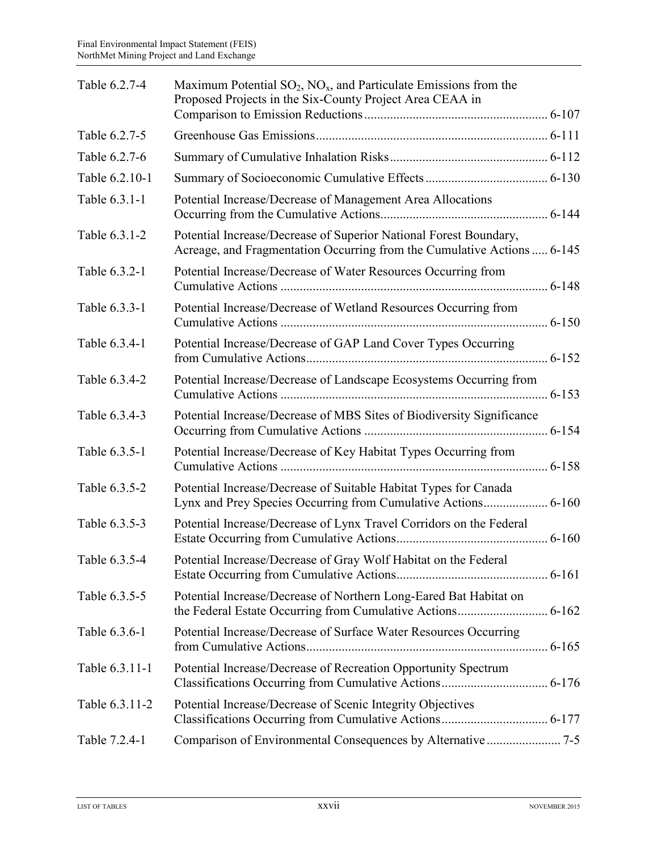| Table 6.2.7-4  | Maximum Potential $SO_2$ , $NO_x$ , and Particulate Emissions from the<br>Proposed Projects in the Six-County Project Area CEAA in           |
|----------------|----------------------------------------------------------------------------------------------------------------------------------------------|
| Table 6.2.7-5  |                                                                                                                                              |
| Table 6.2.7-6  |                                                                                                                                              |
| Table 6.2.10-1 |                                                                                                                                              |
| Table 6.3.1-1  | Potential Increase/Decrease of Management Area Allocations                                                                                   |
| Table 6.3.1-2  | Potential Increase/Decrease of Superior National Forest Boundary,<br>Acreage, and Fragmentation Occurring from the Cumulative Actions  6-145 |
| Table 6.3.2-1  | Potential Increase/Decrease of Water Resources Occurring from                                                                                |
| Table 6.3.3-1  | Potential Increase/Decrease of Wetland Resources Occurring from                                                                              |
| Table 6.3.4-1  | Potential Increase/Decrease of GAP Land Cover Types Occurring                                                                                |
| Table 6.3.4-2  | Potential Increase/Decrease of Landscape Ecosystems Occurring from                                                                           |
| Table 6.3.4-3  | Potential Increase/Decrease of MBS Sites of Biodiversity Significance                                                                        |
| Table 6.3.5-1  | Potential Increase/Decrease of Key Habitat Types Occurring from                                                                              |
| Table 6.3.5-2  | Potential Increase/Decrease of Suitable Habitat Types for Canada<br>Lynx and Prey Species Occurring from Cumulative Actions 6-160            |
| Table 6.3.5-3  | Potential Increase/Decrease of Lynx Travel Corridors on the Federal                                                                          |
| Table 6.3.5-4  | Potential Increase/Decrease of Gray Wolf Habitat on the Federal                                                                              |
| Table 6.3.5-5  | Potential Increase/Decrease of Northern Long-Eared Bat Habitat on                                                                            |
| Table 6.3.6-1  | Potential Increase/Decrease of Surface Water Resources Occurring                                                                             |
| Table 6.3.11-1 | Potential Increase/Decrease of Recreation Opportunity Spectrum                                                                               |
| Table 6.3.11-2 | Potential Increase/Decrease of Scenic Integrity Objectives                                                                                   |
| Table 7.2.4-1  |                                                                                                                                              |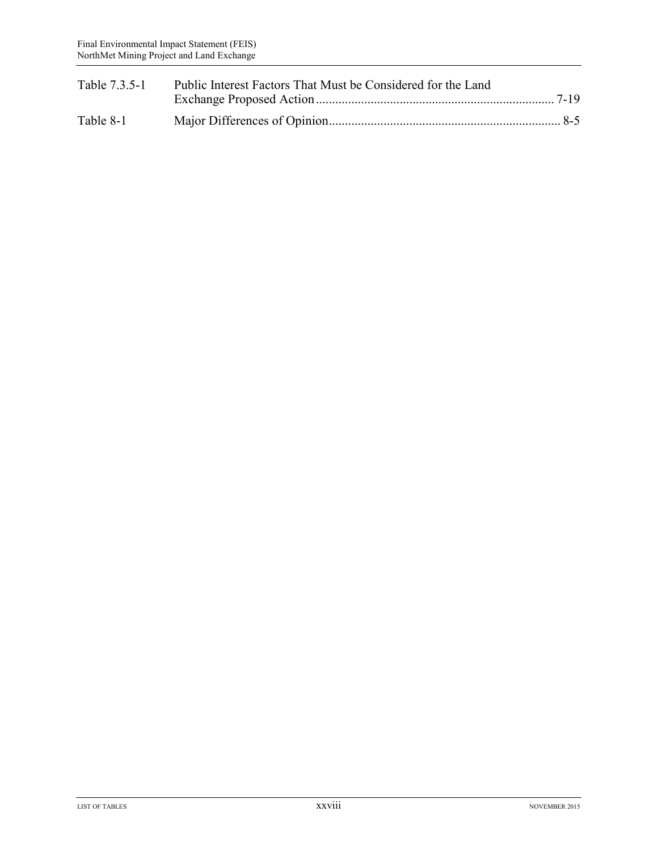| Table 7.3.5-1 | Public Interest Factors That Must be Considered for the Land |  |
|---------------|--------------------------------------------------------------|--|
|               |                                                              |  |
| Table 8-1     |                                                              |  |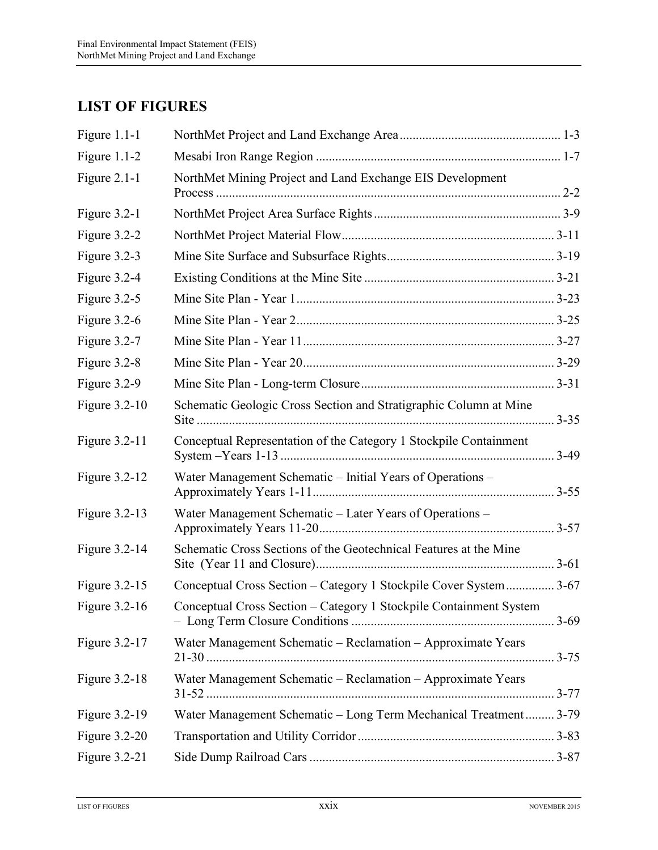## <span id="page-28-0"></span>**LIST OF FIGURES**

| Figure $1.1-1$  |                                                                    |          |
|-----------------|--------------------------------------------------------------------|----------|
| Figure 1.1-2    |                                                                    |          |
| Figure $2.1-1$  | NorthMet Mining Project and Land Exchange EIS Development          |          |
| Figure 3.2-1    |                                                                    |          |
| Figure 3.2-2    |                                                                    |          |
| Figure 3.2-3    |                                                                    |          |
| Figure 3.2-4    |                                                                    |          |
| Figure 3.2-5    |                                                                    |          |
| Figure 3.2-6    |                                                                    |          |
| Figure 3.2-7    |                                                                    |          |
| Figure 3.2-8    |                                                                    |          |
| Figure 3.2-9    |                                                                    |          |
| Figure $3.2-10$ | Schematic Geologic Cross Section and Stratigraphic Column at Mine  | $3 - 35$ |
| Figure 3.2-11   | Conceptual Representation of the Category 1 Stockpile Containment  |          |
| Figure 3.2-12   | Water Management Schematic - Initial Years of Operations -         |          |
| Figure 3.2-13   | Water Management Schematic – Later Years of Operations –           |          |
| Figure 3.2-14   | Schematic Cross Sections of the Geotechnical Features at the Mine  |          |
| Figure 3.2-15   | Conceptual Cross Section - Category 1 Stockpile Cover System  3-67 |          |
| Figure 3.2-16   | Conceptual Cross Section - Category 1 Stockpile Containment System |          |
| Figure 3.2-17   | Water Management Schematic - Reclamation - Approximate Years       |          |
| Figure 3.2-18   | Water Management Schematic - Reclamation - Approximate Years       |          |
| Figure 3.2-19   | Water Management Schematic - Long Term Mechanical Treatment 3-79   |          |
| Figure $3.2-20$ |                                                                    |          |
| Figure 3.2-21   |                                                                    |          |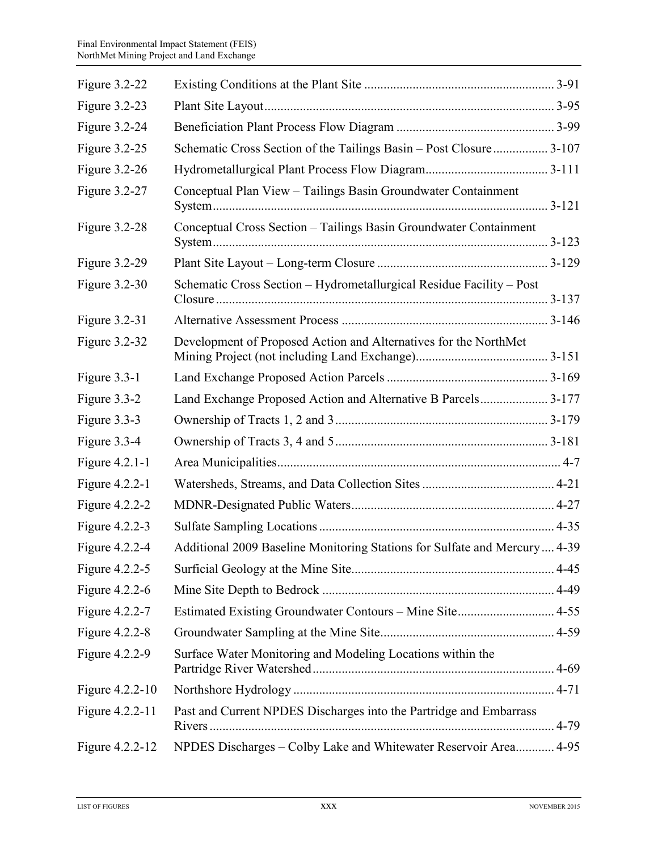| Figure $3.2-22$  |                                                                           |           |
|------------------|---------------------------------------------------------------------------|-----------|
| Figure 3.2-23    |                                                                           |           |
| Figure $3.2-24$  |                                                                           |           |
| Figure $3.2-25$  | Schematic Cross Section of the Tailings Basin - Post Closure  3-107       |           |
| Figure $3.2-26$  |                                                                           |           |
| Figure 3.2-27    | Conceptual Plan View - Tailings Basin Groundwater Containment             |           |
| Figure $3.2-28$  | Conceptual Cross Section - Tailings Basin Groundwater Containment         |           |
| Figure 3.2-29    |                                                                           |           |
| Figure $3.2-30$  | Schematic Cross Section - Hydrometallurgical Residue Facility - Post      | $3 - 137$ |
| Figure 3.2-31    |                                                                           |           |
| Figure 3.2-32    | Development of Proposed Action and Alternatives for the NorthMet          |           |
| Figure 3.3-1     |                                                                           |           |
| Figure 3.3-2     | Land Exchange Proposed Action and Alternative B Parcels 3-177             |           |
| Figure 3.3-3     |                                                                           |           |
| Figure 3.3-4     |                                                                           |           |
| Figure 4.2.1-1   |                                                                           |           |
| Figure 4.2.2-1   |                                                                           |           |
| Figure 4.2.2-2   |                                                                           |           |
| Figure 4.2.2-3   |                                                                           |           |
| Figure 4.2.2-4   | Additional 2009 Baseline Monitoring Stations for Sulfate and Mercury 4-39 |           |
| Figure $4.2.2-5$ |                                                                           |           |
| Figure 4.2.2-6   |                                                                           |           |
| Figure 4.2.2-7   | Estimated Existing Groundwater Contours - Mine Site 4-55                  |           |
| Figure 4.2.2-8   |                                                                           |           |
| Figure 4.2.2-9   | Surface Water Monitoring and Modeling Locations within the                |           |
| Figure 4.2.2-10  |                                                                           |           |
| Figure 4.2.2-11  | Past and Current NPDES Discharges into the Partridge and Embarrass        |           |
| Figure 4.2.2-12  | NPDES Discharges - Colby Lake and Whitewater Reservoir Area 4-95          |           |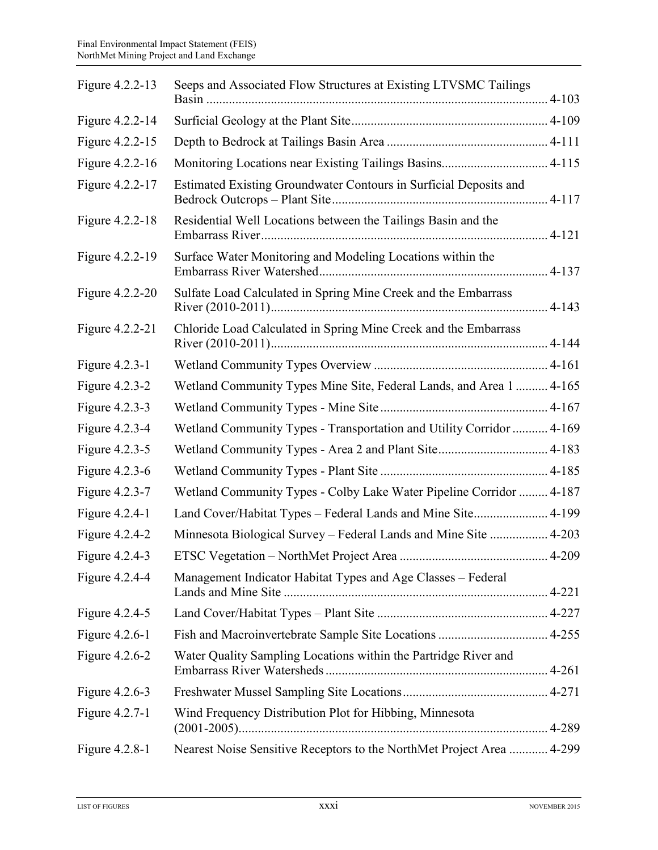| Figure 4.2.2-13 | Seeps and Associated Flow Structures at Existing LTVSMC Tailings      |  |
|-----------------|-----------------------------------------------------------------------|--|
| Figure 4.2.2-14 |                                                                       |  |
| Figure 4.2.2-15 |                                                                       |  |
| Figure 4.2.2-16 |                                                                       |  |
| Figure 4.2.2-17 | Estimated Existing Groundwater Contours in Surficial Deposits and     |  |
| Figure 4.2.2-18 | Residential Well Locations between the Tailings Basin and the         |  |
| Figure 4.2.2-19 | Surface Water Monitoring and Modeling Locations within the            |  |
| Figure 4.2.2-20 | Sulfate Load Calculated in Spring Mine Creek and the Embarrass        |  |
| Figure 4.2.2-21 | Chloride Load Calculated in Spring Mine Creek and the Embarrass       |  |
| Figure 4.2.3-1  |                                                                       |  |
| Figure 4.2.3-2  | Wetland Community Types Mine Site, Federal Lands, and Area 1  4-165   |  |
| Figure 4.2.3-3  |                                                                       |  |
| Figure 4.2.3-4  | Wetland Community Types - Transportation and Utility Corridor  4-169  |  |
| Figure 4.2.3-5  |                                                                       |  |
| Figure 4.2.3-6  |                                                                       |  |
| Figure 4.2.3-7  | Wetland Community Types - Colby Lake Water Pipeline Corridor  4-187   |  |
| Figure 4.2.4-1  | Land Cover/Habitat Types - Federal Lands and Mine Site 4-199          |  |
| Figure 4.2.4-2  | Minnesota Biological Survey – Federal Lands and Mine Site  4-203      |  |
| Figure 4.2.4-3  |                                                                       |  |
| Figure 4.2.4-4  | Management Indicator Habitat Types and Age Classes - Federal          |  |
| Figure 4.2.4-5  |                                                                       |  |
| Figure 4.2.6-1  |                                                                       |  |
| Figure 4.2.6-2  | Water Quality Sampling Locations within the Partridge River and       |  |
| Figure 4.2.6-3  |                                                                       |  |
| Figure 4.2.7-1  | Wind Frequency Distribution Plot for Hibbing, Minnesota               |  |
| Figure 4.2.8-1  | Nearest Noise Sensitive Receptors to the NorthMet Project Area  4-299 |  |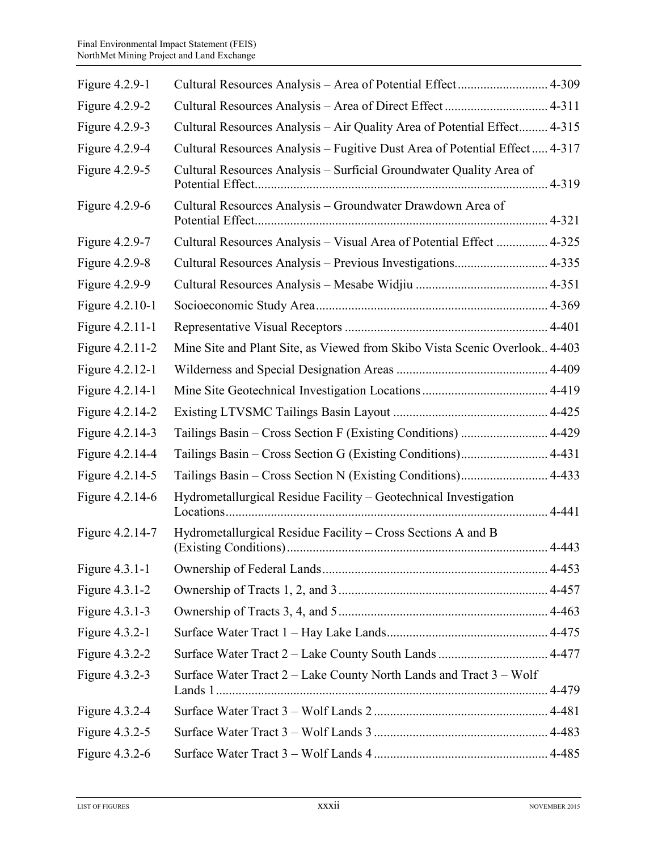| Figure 4.2.9-1  |                                                                              |
|-----------------|------------------------------------------------------------------------------|
| Figure 4.2.9-2  |                                                                              |
| Figure 4.2.9-3  | Cultural Resources Analysis - Air Quality Area of Potential Effect 4-315     |
| Figure 4.2.9-4  | Cultural Resources Analysis - Fugitive Dust Area of Potential Effect 4-317   |
| Figure 4.2.9-5  | Cultural Resources Analysis - Surficial Groundwater Quality Area of<br>4-319 |
| Figure 4.2.9-6  | Cultural Resources Analysis - Groundwater Drawdown Area of                   |
| Figure 4.2.9-7  | Cultural Resources Analysis - Visual Area of Potential Effect  4-325         |
| Figure 4.2.9-8  | Cultural Resources Analysis - Previous Investigations 4-335                  |
| Figure 4.2.9-9  |                                                                              |
| Figure 4.2.10-1 |                                                                              |
| Figure 4.2.11-1 |                                                                              |
| Figure 4.2.11-2 | Mine Site and Plant Site, as Viewed from Skibo Vista Scenic Overlook 4-403   |
| Figure 4.2.12-1 |                                                                              |
| Figure 4.2.14-1 |                                                                              |
| Figure 4.2.14-2 |                                                                              |
| Figure 4.2.14-3 | Tailings Basin - Cross Section F (Existing Conditions)  4-429                |
| Figure 4.2.14-4 | Tailings Basin - Cross Section G (Existing Conditions) 4-431                 |
| Figure 4.2.14-5 |                                                                              |
| Figure 4.2.14-6 | Hydrometallurgical Residue Facility – Geotechnical Investigation             |
| Figure 4.2.14-7 | Hydrometallurgical Residue Facility – Cross Sections A and B                 |
| Figure 4.3.1-1  |                                                                              |
| Figure 4.3.1-2  |                                                                              |
| Figure 4.3.1-3  |                                                                              |
| Figure 4.3.2-1  |                                                                              |
| Figure 4.3.2-2  |                                                                              |
| Figure 4.3.2-3  | Surface Water Tract 2 - Lake County North Lands and Tract 3 - Wolf           |
| Figure 4.3.2-4  |                                                                              |
| Figure 4.3.2-5  |                                                                              |
| Figure 4.3.2-6  |                                                                              |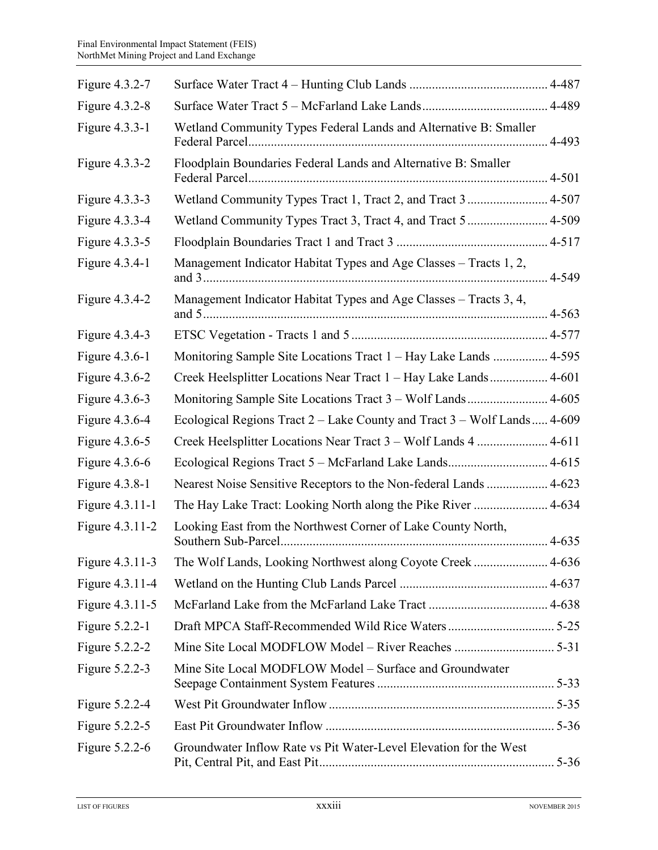| Figure 4.3.2-7  |                                                                         |       |
|-----------------|-------------------------------------------------------------------------|-------|
| Figure 4.3.2-8  |                                                                         |       |
| Figure 4.3.3-1  | Wetland Community Types Federal Lands and Alternative B: Smaller        | 4-493 |
| Figure 4.3.3-2  | Floodplain Boundaries Federal Lands and Alternative B: Smaller          |       |
| Figure 4.3.3-3  | Wetland Community Types Tract 1, Tract 2, and Tract 3  4-507            |       |
| Figure 4.3.3-4  | Wetland Community Types Tract 3, Tract 4, and Tract 5  4-509            |       |
| Figure 4.3.3-5  |                                                                         |       |
| Figure 4.3.4-1  | Management Indicator Habitat Types and Age Classes – Tracts 1, 2,       |       |
| Figure 4.3.4-2  | Management Indicator Habitat Types and Age Classes – Tracts 3, 4,       |       |
| Figure 4.3.4-3  |                                                                         |       |
| Figure 4.3.6-1  | Monitoring Sample Site Locations Tract 1 - Hay Lake Lands  4-595        |       |
| Figure 4.3.6-2  | Creek Heelsplitter Locations Near Tract 1 - Hay Lake Lands 4-601        |       |
| Figure 4.3.6-3  | Monitoring Sample Site Locations Tract 3 – Wolf Lands 4-605             |       |
| Figure 4.3.6-4  | Ecological Regions Tract 2 - Lake County and Tract 3 - Wolf Lands 4-609 |       |
| Figure 4.3.6-5  | Creek Heelsplitter Locations Near Tract 3 – Wolf Lands 4  4-611         |       |
| Figure 4.3.6-6  |                                                                         |       |
| Figure 4.3.8-1  | Nearest Noise Sensitive Receptors to the Non-federal Lands  4-623       |       |
| Figure 4.3.11-1 |                                                                         |       |
| Figure 4.3.11-2 | Looking East from the Northwest Corner of Lake County North,            |       |
| Figure 4.3.11-3 |                                                                         |       |
| Figure 4.3.11-4 |                                                                         |       |
| Figure 4.3.11-5 |                                                                         |       |
| Figure 5.2.2-1  |                                                                         |       |
| Figure 5.2.2-2  |                                                                         |       |
| Figure 5.2.2-3  | Mine Site Local MODFLOW Model – Surface and Groundwater                 |       |
| Figure 5.2.2-4  |                                                                         |       |
| Figure 5.2.2-5  |                                                                         |       |
| Figure 5.2.2-6  | Groundwater Inflow Rate vs Pit Water-Level Elevation for the West       |       |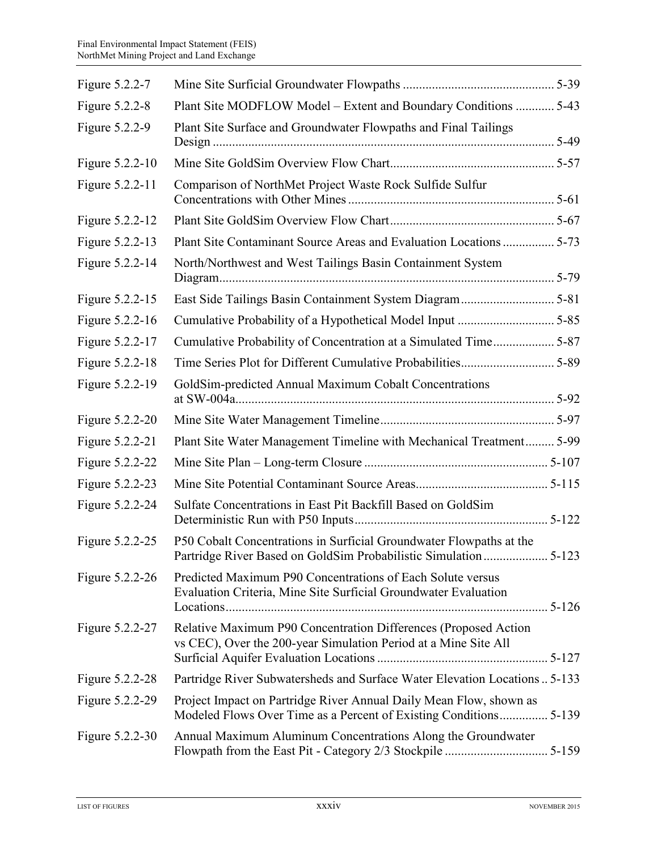| Figure 5.2.2-7  |                                                                                                                                         |  |
|-----------------|-----------------------------------------------------------------------------------------------------------------------------------------|--|
| Figure 5.2.2-8  | Plant Site MODFLOW Model – Extent and Boundary Conditions  5-43                                                                         |  |
| Figure 5.2.2-9  | Plant Site Surface and Groundwater Flowpaths and Final Tailings                                                                         |  |
| Figure 5.2.2-10 |                                                                                                                                         |  |
| Figure 5.2.2-11 | Comparison of NorthMet Project Waste Rock Sulfide Sulfur                                                                                |  |
| Figure 5.2.2-12 |                                                                                                                                         |  |
| Figure 5.2.2-13 |                                                                                                                                         |  |
| Figure 5.2.2-14 | North/Northwest and West Tailings Basin Containment System                                                                              |  |
| Figure 5.2.2-15 |                                                                                                                                         |  |
| Figure 5.2.2-16 |                                                                                                                                         |  |
| Figure 5.2.2-17 | Cumulative Probability of Concentration at a Simulated Time 5-87                                                                        |  |
| Figure 5.2.2-18 |                                                                                                                                         |  |
| Figure 5.2.2-19 | GoldSim-predicted Annual Maximum Cobalt Concentrations                                                                                  |  |
| Figure 5.2.2-20 |                                                                                                                                         |  |
| Figure 5.2.2-21 | Plant Site Water Management Timeline with Mechanical Treatment 5-99                                                                     |  |
| Figure 5.2.2-22 |                                                                                                                                         |  |
| Figure 5.2.2-23 |                                                                                                                                         |  |
| Figure 5.2.2-24 | Sulfate Concentrations in East Pit Backfill Based on GoldSim                                                                            |  |
| Figure 5.2.2-25 | P50 Cobalt Concentrations in Surficial Groundwater Flowpaths at the<br>Partridge River Based on GoldSim Probabilistic Simulation  5-123 |  |
| Figure 5.2.2-26 | Predicted Maximum P90 Concentrations of Each Solute versus<br>Evaluation Criteria, Mine Site Surficial Groundwater Evaluation           |  |
| Figure 5.2.2-27 | Relative Maximum P90 Concentration Differences (Proposed Action<br>vs CEC), Over the 200-year Simulation Period at a Mine Site All      |  |
| Figure 5.2.2-28 | Partridge River Subwatersheds and Surface Water Elevation Locations 5-133                                                               |  |
| Figure 5.2.2-29 | Project Impact on Partridge River Annual Daily Mean Flow, shown as<br>Modeled Flows Over Time as a Percent of Existing Conditions5-139  |  |
| Figure 5.2.2-30 | Annual Maximum Aluminum Concentrations Along the Groundwater                                                                            |  |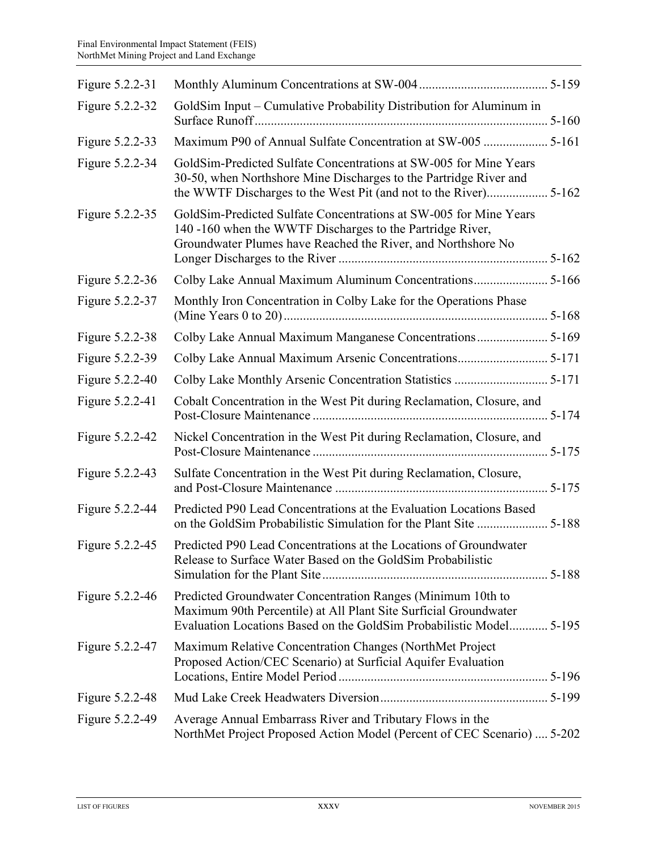| Figure 5.2.2-31 |                                                                                                                                                                                                        |  |
|-----------------|--------------------------------------------------------------------------------------------------------------------------------------------------------------------------------------------------------|--|
| Figure 5.2.2-32 | GoldSim Input - Cumulative Probability Distribution for Aluminum in                                                                                                                                    |  |
| Figure 5.2.2-33 | Maximum P90 of Annual Sulfate Concentration at SW-005 5-161                                                                                                                                            |  |
| Figure 5.2.2-34 | GoldSim-Predicted Sulfate Concentrations at SW-005 for Mine Years<br>30-50, when Northshore Mine Discharges to the Partridge River and                                                                 |  |
| Figure 5.2.2-35 | GoldSim-Predicted Sulfate Concentrations at SW-005 for Mine Years<br>140 -160 when the WWTF Discharges to the Partridge River,<br>Groundwater Plumes have Reached the River, and Northshore No         |  |
| Figure 5.2.2-36 | Colby Lake Annual Maximum Aluminum Concentrations 5-166                                                                                                                                                |  |
| Figure 5.2.2-37 | Monthly Iron Concentration in Colby Lake for the Operations Phase                                                                                                                                      |  |
| Figure 5.2.2-38 | Colby Lake Annual Maximum Manganese Concentrations 5-169                                                                                                                                               |  |
| Figure 5.2.2-39 |                                                                                                                                                                                                        |  |
| Figure 5.2.2-40 | Colby Lake Monthly Arsenic Concentration Statistics  5-171                                                                                                                                             |  |
| Figure 5.2.2-41 | Cobalt Concentration in the West Pit during Reclamation, Closure, and                                                                                                                                  |  |
| Figure 5.2.2-42 | Nickel Concentration in the West Pit during Reclamation, Closure, and                                                                                                                                  |  |
| Figure 5.2.2-43 | Sulfate Concentration in the West Pit during Reclamation, Closure,                                                                                                                                     |  |
| Figure 5.2.2-44 | Predicted P90 Lead Concentrations at the Evaluation Locations Based                                                                                                                                    |  |
| Figure 5.2.2-45 | Predicted P90 Lead Concentrations at the Locations of Groundwater<br>Release to Surface Water Based on the GoldSim Probabilistic                                                                       |  |
| Figure 5.2.2-46 | Predicted Groundwater Concentration Ranges (Minimum 10th to<br>Maximum 90th Percentile) at All Plant Site Surficial Groundwater<br>Evaluation Locations Based on the GoldSim Probabilistic Model 5-195 |  |
| Figure 5.2.2-47 | Maximum Relative Concentration Changes (NorthMet Project<br>Proposed Action/CEC Scenario) at Surficial Aquifer Evaluation                                                                              |  |
| Figure 5.2.2-48 |                                                                                                                                                                                                        |  |
| Figure 5.2.2-49 | Average Annual Embarrass River and Tributary Flows in the<br>NorthMet Project Proposed Action Model (Percent of CEC Scenario)  5-202                                                                   |  |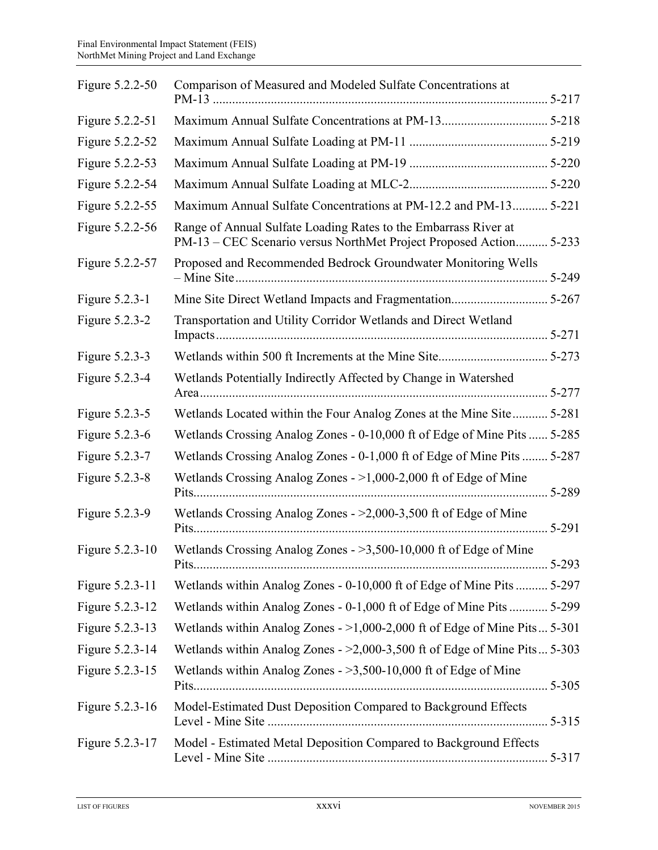| Figure 5.2.2-50 | Comparison of Measured and Modeled Sulfate Concentrations at                                                                          |
|-----------------|---------------------------------------------------------------------------------------------------------------------------------------|
| Figure 5.2.2-51 |                                                                                                                                       |
| Figure 5.2.2-52 |                                                                                                                                       |
| Figure 5.2.2-53 |                                                                                                                                       |
| Figure 5.2.2-54 |                                                                                                                                       |
| Figure 5.2.2-55 | Maximum Annual Sulfate Concentrations at PM-12.2 and PM-13 5-221                                                                      |
| Figure 5.2.2-56 | Range of Annual Sulfate Loading Rates to the Embarrass River at<br>PM-13 – CEC Scenario versus NorthMet Project Proposed Action 5-233 |
| Figure 5.2.2-57 | Proposed and Recommended Bedrock Groundwater Monitoring Wells<br>$5 - 249$                                                            |
| Figure 5.2.3-1  |                                                                                                                                       |
| Figure 5.2.3-2  | Transportation and Utility Corridor Wetlands and Direct Wetland                                                                       |
| Figure 5.2.3-3  |                                                                                                                                       |
| Figure 5.2.3-4  | Wetlands Potentially Indirectly Affected by Change in Watershed                                                                       |
| Figure 5.2.3-5  | Wetlands Located within the Four Analog Zones at the Mine Site 5-281                                                                  |
| Figure 5.2.3-6  | Wetlands Crossing Analog Zones - 0-10,000 ft of Edge of Mine Pits  5-285                                                              |
| Figure 5.2.3-7  | Wetlands Crossing Analog Zones - 0-1,000 ft of Edge of Mine Pits  5-287                                                               |
| Figure 5.2.3-8  | Wetlands Crossing Analog Zones $\sim$ 1,000-2,000 ft of Edge of Mine<br>5-289                                                         |
| Figure 5.2.3-9  | Wetlands Crossing Analog Zones $-$ >2,000-3,500 ft of Edge of Mine<br>5-291                                                           |
| Figure 5.2.3-10 | Wetlands Crossing Analog Zones - >3,500-10,000 ft of Edge of Mine                                                                     |
| Figure 5.2.3-11 | Wetlands within Analog Zones - 0-10,000 ft of Edge of Mine Pits  5-297                                                                |
| Figure 5.2.3-12 | Wetlands within Analog Zones - 0-1,000 ft of Edge of Mine Pits  5-299                                                                 |
| Figure 5.2.3-13 | Wetlands within Analog Zones $-$ >1,000-2,000 ft of Edge of Mine Pits 5-301                                                           |
| Figure 5.2.3-14 | Wetlands within Analog Zones - $>2,000-3,500$ ft of Edge of Mine Pits 5-303                                                           |
| Figure 5.2.3-15 | Wetlands within Analog Zones - $>3,500-10,000$ ft of Edge of Mine                                                                     |
| Figure 5.2.3-16 | Model-Estimated Dust Deposition Compared to Background Effects<br>$5 - 315$                                                           |
| Figure 5.2.3-17 | Model - Estimated Metal Deposition Compared to Background Effects                                                                     |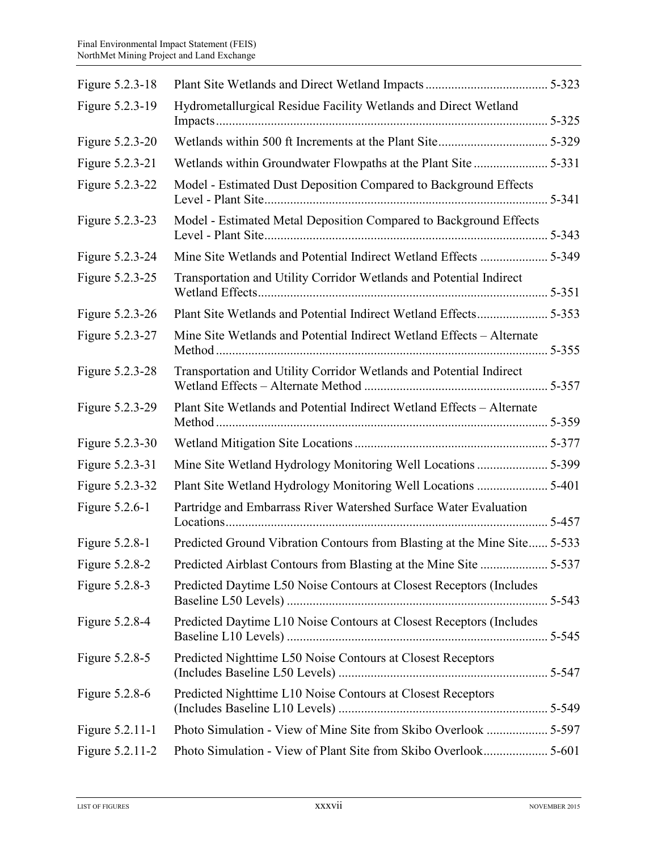| Figure 5.2.3-18 |                                                                          |           |
|-----------------|--------------------------------------------------------------------------|-----------|
| Figure 5.2.3-19 | Hydrometallurgical Residue Facility Wetlands and Direct Wetland          |           |
| Figure 5.2.3-20 |                                                                          |           |
| Figure 5.2.3-21 | Wetlands within Groundwater Flowpaths at the Plant Site  5-331           |           |
| Figure 5.2.3-22 | Model - Estimated Dust Deposition Compared to Background Effects         |           |
| Figure 5.2.3-23 | Model - Estimated Metal Deposition Compared to Background Effects        | 5-343     |
| Figure 5.2.3-24 | Mine Site Wetlands and Potential Indirect Wetland Effects  5-349         |           |
| Figure 5.2.3-25 | Transportation and Utility Corridor Wetlands and Potential Indirect      |           |
| Figure 5.2.3-26 |                                                                          |           |
| Figure 5.2.3-27 | Mine Site Wetlands and Potential Indirect Wetland Effects - Alternate    | 5-355     |
| Figure 5.2.3-28 | Transportation and Utility Corridor Wetlands and Potential Indirect      |           |
| Figure 5.2.3-29 | Plant Site Wetlands and Potential Indirect Wetland Effects - Alternate   |           |
| Figure 5.2.3-30 |                                                                          |           |
| Figure 5.2.3-31 | Mine Site Wetland Hydrology Monitoring Well Locations  5-399             |           |
| Figure 5.2.3-32 | Plant Site Wetland Hydrology Monitoring Well Locations  5-401            |           |
| Figure 5.2.6-1  | Partridge and Embarrass River Watershed Surface Water Evaluation         |           |
| Figure 5.2.8-1  | Predicted Ground Vibration Contours from Blasting at the Mine Site 5-533 |           |
| Figure 5.2.8-2  |                                                                          |           |
| Figure 5.2.8-3  | Predicted Daytime L50 Noise Contours at Closest Receptors (Includes      | $5 - 543$ |
| Figure 5.2.8-4  | Predicted Daytime L10 Noise Contours at Closest Receptors (Includes      |           |
| Figure 5.2.8-5  | Predicted Nighttime L50 Noise Contours at Closest Receptors              |           |
| Figure 5.2.8-6  | Predicted Nighttime L10 Noise Contours at Closest Receptors              |           |
| Figure 5.2.11-1 |                                                                          |           |
| Figure 5.2.11-2 |                                                                          |           |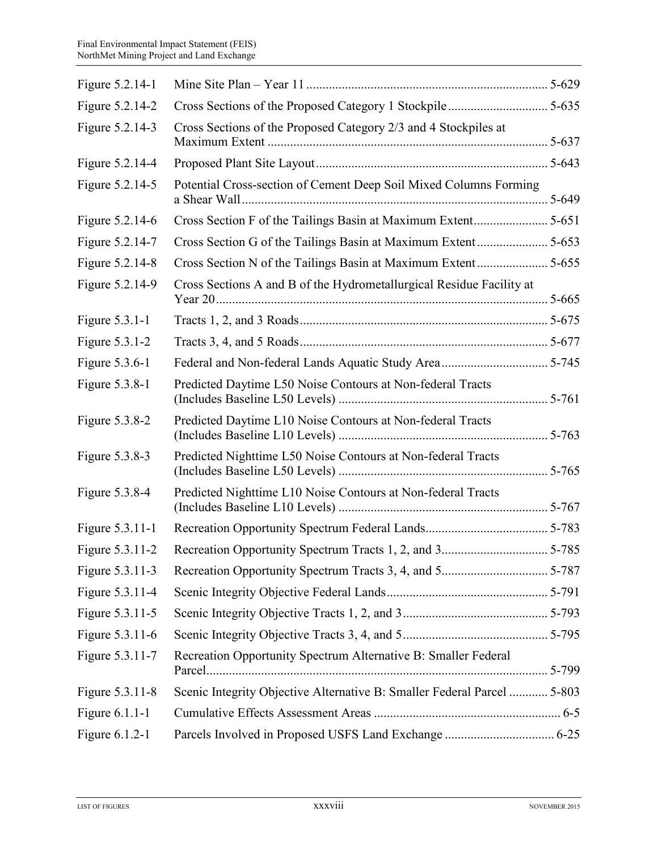| Figure 5.2.14-1 |                                                                         |           |
|-----------------|-------------------------------------------------------------------------|-----------|
| Figure 5.2.14-2 |                                                                         |           |
| Figure 5.2.14-3 | Cross Sections of the Proposed Category 2/3 and 4 Stockpiles at         | 5-637     |
| Figure 5.2.14-4 |                                                                         | 5-643     |
| Figure 5.2.14-5 | Potential Cross-section of Cement Deep Soil Mixed Columns Forming       |           |
| Figure 5.2.14-6 |                                                                         |           |
| Figure 5.2.14-7 |                                                                         |           |
| Figure 5.2.14-8 |                                                                         |           |
| Figure 5.2.14-9 | Cross Sections A and B of the Hydrometallurgical Residue Facility at    | $5 - 665$ |
| Figure 5.3.1-1  |                                                                         |           |
| Figure 5.3.1-2  |                                                                         |           |
| Figure 5.3.6-1  |                                                                         |           |
| Figure 5.3.8-1  | Predicted Daytime L50 Noise Contours at Non-federal Tracts              |           |
| Figure 5.3.8-2  | Predicted Daytime L10 Noise Contours at Non-federal Tracts              |           |
| Figure 5.3.8-3  | Predicted Nighttime L50 Noise Contours at Non-federal Tracts            |           |
| Figure 5.3.8-4  | Predicted Nighttime L10 Noise Contours at Non-federal Tracts            |           |
| Figure 5.3.11-1 |                                                                         |           |
| Figure 5.3.11-2 |                                                                         |           |
| Figure 5.3.11-3 |                                                                         |           |
| Figure 5.3.11-4 |                                                                         |           |
| Figure 5.3.11-5 |                                                                         |           |
| Figure 5.3.11-6 |                                                                         |           |
| Figure 5.3.11-7 | Recreation Opportunity Spectrum Alternative B: Smaller Federal          |           |
| Figure 5.3.11-8 | Scenic Integrity Objective Alternative B: Smaller Federal Parcel  5-803 |           |
| Figure 6.1.1-1  |                                                                         |           |
| Figure 6.1.2-1  |                                                                         |           |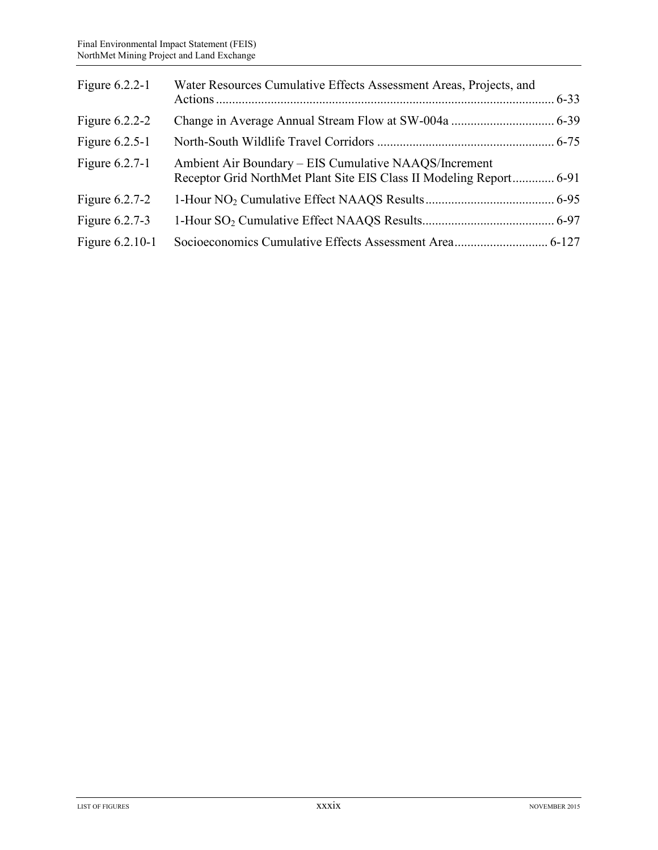| Figure $6.2.2-1$ | Water Resources Cumulative Effects Assessment Areas, Projects, and                                                           |  |
|------------------|------------------------------------------------------------------------------------------------------------------------------|--|
| Figure $6.2.2-2$ |                                                                                                                              |  |
| Figure $6.2.5-1$ |                                                                                                                              |  |
| Figure $6.2.7-1$ | Ambient Air Boundary – EIS Cumulative NAAQS/Increment<br>Receptor Grid NorthMet Plant Site EIS Class II Modeling Report 6-91 |  |
| Figure $6.2.7-2$ |                                                                                                                              |  |
| Figure 6.2.7-3   |                                                                                                                              |  |
| Figure 6.2.10-1  |                                                                                                                              |  |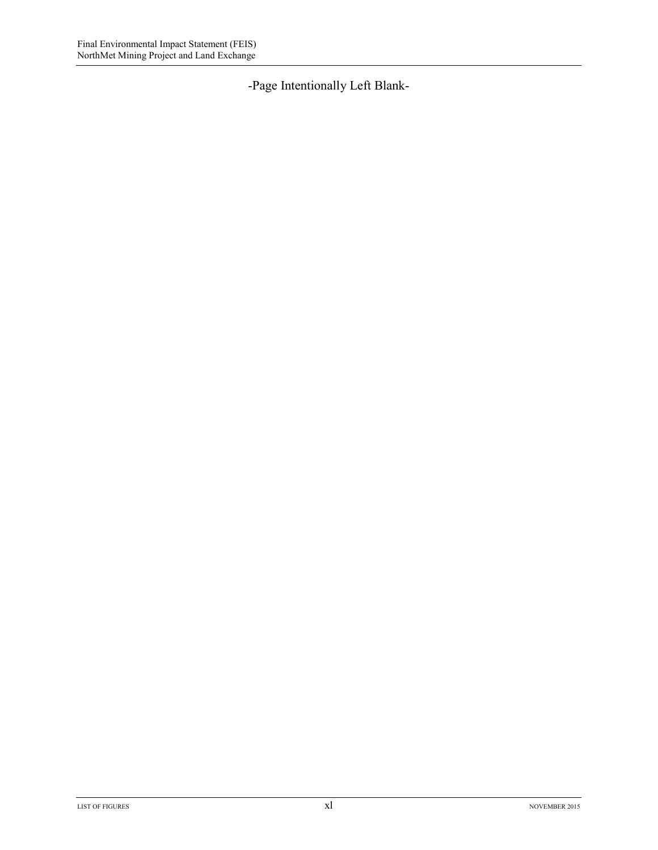-Page Intentionally Left Blank-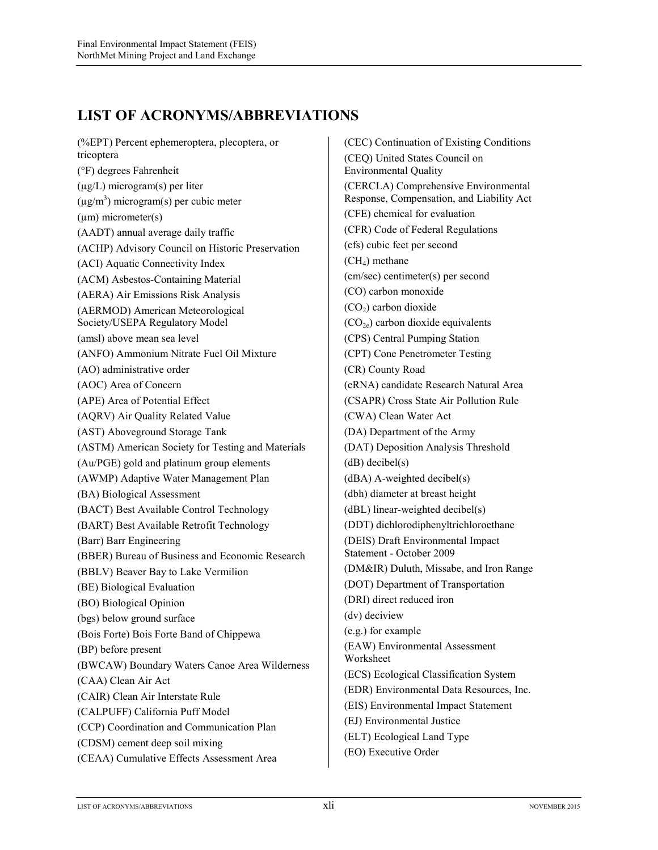### **LIST OF ACRONYMS/ABBREVIATIONS**

(%EPT) Percent ephemeroptera, plecoptera, or tricoptera (°F) degrees Fahrenheit  $(\mu g/L)$  microgram(s) per liter  $(\mu g/m^3)$  microgram(s) per cubic meter  $(\mu m)$  micrometer(s) (AADT) annual average daily traffic (ACHP) Advisory Council on Historic Preservation (ACI) Aquatic Connectivity Index (ACM) Asbestos-Containing Material (AERA) Air Emissions Risk Analysis (AERMOD) American Meteorological Society/USEPA Regulatory Model (amsl) above mean sea level (ANFO) Ammonium Nitrate Fuel Oil Mixture (AO) administrative order (AOC) Area of Concern (APE) Area of Potential Effect (AQRV) Air Quality Related Value (AST) Aboveground Storage Tank (ASTM) American Society for Testing and Materials (Au/PGE) gold and platinum group elements (AWMP) Adaptive Water Management Plan (BA) Biological Assessment (BACT) Best Available Control Technology (BART) Best Available Retrofit Technology (Barr) Barr Engineering (BBER) Bureau of Business and Economic Research (BBLV) Beaver Bay to Lake Vermilion (BE) Biological Evaluation (BO) Biological Opinion (bgs) below ground surface (Bois Forte) Bois Forte Band of Chippewa (BP) before present (BWCAW) Boundary Waters Canoe Area Wilderness (CAA) Clean Air Act (CAIR) Clean Air Interstate Rule (CALPUFF) California Puff Model (CCP) Coordination and Communication Plan (CDSM) cement deep soil mixing (CEAA) Cumulative Effects Assessment Area

(CEC) Continuation of Existing Conditions (CEQ) United States Council on Environmental Quality (CERCLA) Comprehensive Environmental Response, Compensation, and Liability Act (CFE) chemical for evaluation (CFR) Code of Federal Regulations (cfs) cubic feet per second (CH4) methane (cm/sec) centimeter(s) per second (CO) carbon monoxide  $(CO<sub>2</sub>)$  carbon dioxide  $(CO_{2e})$  carbon dioxide equivalents (CPS) Central Pumping Station (CPT) Cone Penetrometer Testing (CR) County Road (cRNA) candidate Research Natural Area (CSAPR) Cross State Air Pollution Rule (CWA) Clean Water Act (DA) Department of the Army (DAT) Deposition Analysis Threshold (dB) decibel(s) (dBA) A-weighted decibel(s) (dbh) diameter at breast height (dBL) linear-weighted decibel(s) (DDT) dichlorodiphenyltrichloroethane (DEIS) Draft Environmental Impact Statement - October 2009 (DM&IR) Duluth, Missabe, and Iron Range (DOT) Department of Transportation (DRI) direct reduced iron (dv) deciview (e.g.) for example (EAW) Environmental Assessment Worksheet (ECS) Ecological Classification System (EDR) Environmental Data Resources, Inc. (EIS) Environmental Impact Statement (EJ) Environmental Justice (ELT) Ecological Land Type (EO) Executive Order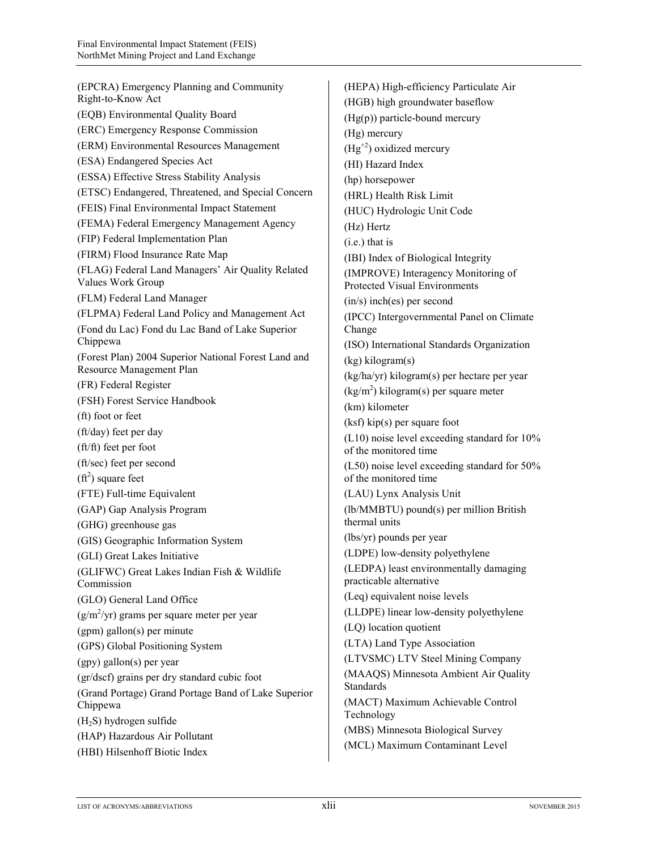(EPCRA) Emergency Planning and Community Right-to-Know Act (EQB) Environmental Quality Board (ERC) Emergency Response Commission (ERM) Environmental Resources Management (ESA) Endangered Species Act (ESSA) Effective Stress Stability Analysis (ETSC) Endangered, Threatened, and Special Concern (FEIS) Final Environmental Impact Statement (FEMA) Federal Emergency Management Agency (FIP) Federal Implementation Plan (FIRM) Flood Insurance Rate Map (FLAG) Federal Land Managers' Air Quality Related Values Work Group (FLM) Federal Land Manager (FLPMA) Federal Land Policy and Management Act (Fond du Lac) Fond du Lac Band of Lake Superior Chippewa (Forest Plan) 2004 Superior National Forest Land and Resource Management Plan (FR) Federal Register (FSH) Forest Service Handbook (ft) foot or feet (ft/day) feet per day (ft/ft) feet per foot (ft/sec) feet per second  $(\text{ft}^2)$  square feet (FTE) Full-time Equivalent (GAP) Gap Analysis Program (GHG) greenhouse gas (GIS) Geographic Information System (GLI) Great Lakes Initiative (GLIFWC) Great Lakes Indian Fish & Wildlife Commission (GLO) General Land Office  $(g/m^2$ /yr) grams per square meter per year (gpm) gallon(s) per minute (GPS) Global Positioning System (gpy) gallon(s) per year (gr/dscf) grains per dry standard cubic foot (Grand Portage) Grand Portage Band of Lake Superior Chippewa (H2S) hydrogen sulfide (HAP) Hazardous Air Pollutant (HBI) Hilsenhoff Biotic Index

(HEPA) High-efficiency Particulate Air (HGB) high groundwater baseflow (Hg(p)) particle-bound mercury (Hg) mercury  $(Hg^{+2})$  oxidized mercury (HI) Hazard Index (hp) horsepower (HRL) Health Risk Limit (HUC) Hydrologic Unit Code (Hz) Hertz (i.e.) that is (IBI) Index of Biological Integrity (IMPROVE) Interagency Monitoring of Protected Visual Environments (in/s) inch(es) per second (IPCC) Intergovernmental Panel on Climate Change (ISO) International Standards Organization (kg) kilogram(s) (kg/ha/yr) kilogram(s) per hectare per year  $(kg/m<sup>2</sup>)$  kilogram(s) per square meter (km) kilometer (ksf) kip(s) per square foot (L10) noise level exceeding standard for 10% of the monitored time (L50) noise level exceeding standard for 50% of the monitored time (LAU) Lynx Analysis Unit (lb/MMBTU) pound(s) per million British thermal units (lbs/yr) pounds per year (LDPE) low-density polyethylene (LEDPA) least environmentally damaging practicable alternative (Leq) equivalent noise levels (LLDPE) linear low-density polyethylene (LQ) location quotient (LTA) Land Type Association (LTVSMC) LTV Steel Mining Company (MAAQS) Minnesota Ambient Air Quality **Standards** (MACT) Maximum Achievable Control Technology (MBS) Minnesota Biological Survey (MCL) Maximum Contaminant Level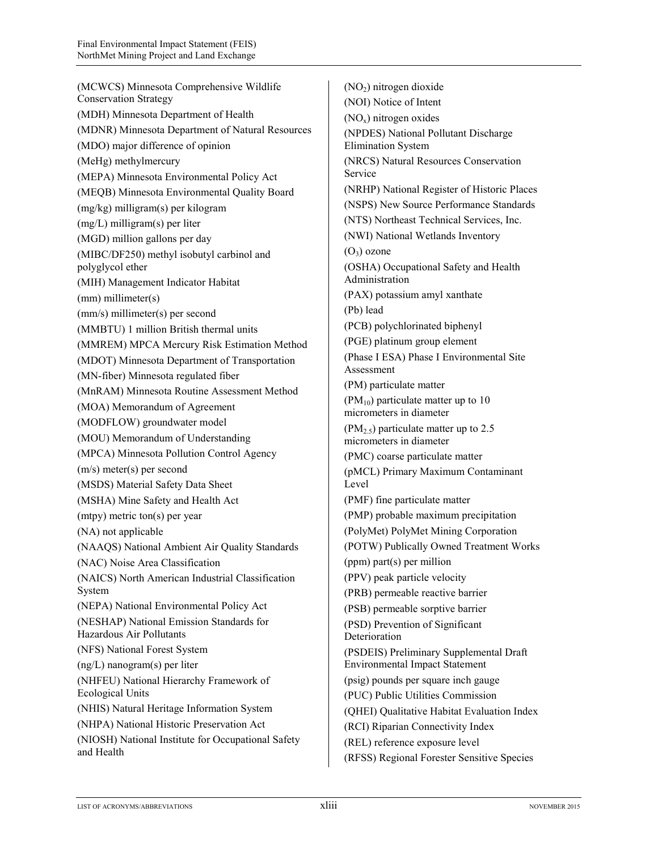(MCWCS) Minnesota Comprehensive Wildlife Conservation Strategy (MDH) Minnesota Department of Health (MDNR) Minnesota Department of Natural Resources (MDO) major difference of opinion (MeHg) methylmercury (MEPA) Minnesota Environmental Policy Act (MEQB) Minnesota Environmental Quality Board (mg/kg) milligram(s) per kilogram (mg/L) milligram(s) per liter (MGD) million gallons per day (MIBC/DF250) methyl isobutyl carbinol and polyglycol ether (MIH) Management Indicator Habitat (mm) millimeter(s) (mm/s) millimeter(s) per second (MMBTU) 1 million British thermal units (MMREM) MPCA Mercury Risk Estimation Method (MDOT) Minnesota Department of Transportation (MN-fiber) Minnesota regulated fiber (MnRAM) Minnesota Routine Assessment Method (MOA) Memorandum of Agreement (MODFLOW) groundwater model (MOU) Memorandum of Understanding (MPCA) Minnesota Pollution Control Agency (m/s) meter(s) per second (MSDS) Material Safety Data Sheet (MSHA) Mine Safety and Health Act (mtpy) metric ton(s) per year (NA) not applicable (NAAQS) National Ambient Air Quality Standards (NAC) Noise Area Classification (NAICS) North American Industrial Classification System (NEPA) National Environmental Policy Act (NESHAP) National Emission Standards for Hazardous Air Pollutants (NFS) National Forest System (ng/L) nanogram(s) per liter (NHFEU) National Hierarchy Framework of Ecological Units (NHIS) Natural Heritage Information System (NHPA) National Historic Preservation Act (NIOSH) National Institute for Occupational Safety and Health

 $(NO<sub>2</sub>)$  nitrogen dioxide (NOI) Notice of Intent  $(NO<sub>x</sub>)$  nitrogen oxides (NPDES) National Pollutant Discharge Elimination System (NRCS) Natural Resources Conservation Service (NRHP) National Register of Historic Places (NSPS) New Source Performance Standards (NTS) Northeast Technical Services, Inc. (NWI) National Wetlands Inventory  $(O_3)$  ozone (OSHA) Occupational Safety and Health Administration (PAX) potassium amyl xanthate (Pb) lead (PCB) polychlorinated biphenyl (PGE) platinum group element (Phase I ESA) Phase I Environmental Site Assessment (PM) particulate matter  $(PM_{10})$  particulate matter up to 10 micrometers in diameter  $(PM<sub>2.5</sub>)$  particulate matter up to 2.5 micrometers in diameter (PMC) coarse particulate matter (pMCL) Primary Maximum Contaminant Level (PMF) fine particulate matter (PMP) probable maximum precipitation (PolyMet) PolyMet Mining Corporation (POTW) Publically Owned Treatment Works (ppm) part(s) per million (PPV) peak particle velocity (PRB) permeable reactive barrier (PSB) permeable sorptive barrier (PSD) Prevention of Significant Deterioration (PSDEIS) Preliminary Supplemental Draft Environmental Impact Statement (psig) pounds per square inch gauge (PUC) Public Utilities Commission (QHEI) Qualitative Habitat Evaluation Index (RCI) Riparian Connectivity Index (REL) reference exposure level (RFSS) Regional Forester Sensitive Species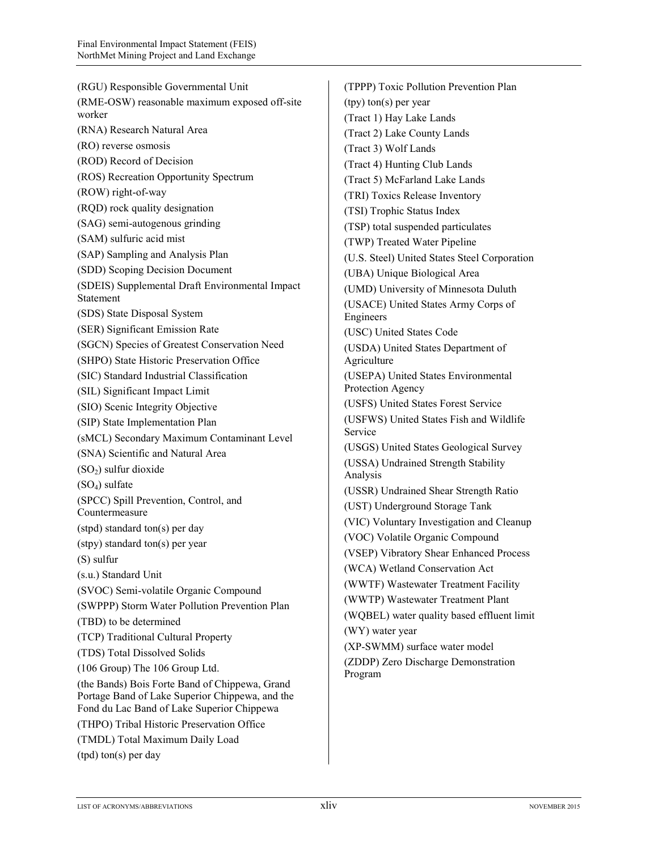(RGU) Responsible Governmental Unit (RME-OSW) reasonable maximum exposed off-site worker (RNA) Research Natural Area (RO) reverse osmosis (ROD) Record of Decision (ROS) Recreation Opportunity Spectrum (ROW) right-of-way (RQD) rock quality designation (SAG) semi-autogenous grinding (SAM) sulfuric acid mist (SAP) Sampling and Analysis Plan (SDD) Scoping Decision Document (SDEIS) Supplemental Draft Environmental Impact Statement (SDS) State Disposal System (SER) Significant Emission Rate (SGCN) Species of Greatest Conservation Need (SHPO) State Historic Preservation Office (SIC) Standard Industrial Classification (SIL) Significant Impact Limit (SIO) Scenic Integrity Objective (SIP) State Implementation Plan (sMCL) Secondary Maximum Contaminant Level (SNA) Scientific and Natural Area  $(SO<sub>2</sub>)$  sulfur dioxide  $(SO<sub>4</sub>)$  sulfate (SPCC) Spill Prevention, Control, and Countermeasure (stpd) standard ton(s) per day (stpy) standard ton(s) per year (S) sulfur (s.u.) Standard Unit (SVOC) Semi-volatile Organic Compound (SWPPP) Storm Water Pollution Prevention Plan (TBD) to be determined (TCP) Traditional Cultural Property (TDS) Total Dissolved Solids (106 Group) The 106 Group Ltd. (the Bands) Bois Forte Band of Chippewa, Grand Portage Band of Lake Superior Chippewa, and the Fond du Lac Band of Lake Superior Chippewa (THPO) Tribal Historic Preservation Office (TMDL) Total Maximum Daily Load (tpd) ton(s) per day

(TPPP) Toxic Pollution Prevention Plan (tpy) ton(s) per year (Tract 1) Hay Lake Lands (Tract 2) Lake County Lands (Tract 3) Wolf Lands (Tract 4) Hunting Club Lands (Tract 5) McFarland Lake Lands (TRI) Toxics Release Inventory (TSI) Trophic Status Index (TSP) total suspended particulates (TWP) Treated Water Pipeline (U.S. Steel) United States Steel Corporation (UBA) Unique Biological Area (UMD) University of Minnesota Duluth (USACE) United States Army Corps of Engineers (USC) United States Code (USDA) United States Department of Agriculture (USEPA) United States Environmental Protection Agency (USFS) United States Forest Service (USFWS) United States Fish and Wildlife Service (USGS) United States Geological Survey (USSA) Undrained Strength Stability Analysis (USSR) Undrained Shear Strength Ratio (UST) Underground Storage Tank (VIC) Voluntary Investigation and Cleanup (VOC) Volatile Organic Compound (VSEP) Vibratory Shear Enhanced Process (WCA) Wetland Conservation Act (WWTF) Wastewater Treatment Facility (WWTP) Wastewater Treatment Plant (WQBEL) water quality based effluent limit (WY) water year (XP-SWMM) surface water model (ZDDP) Zero Discharge Demonstration Program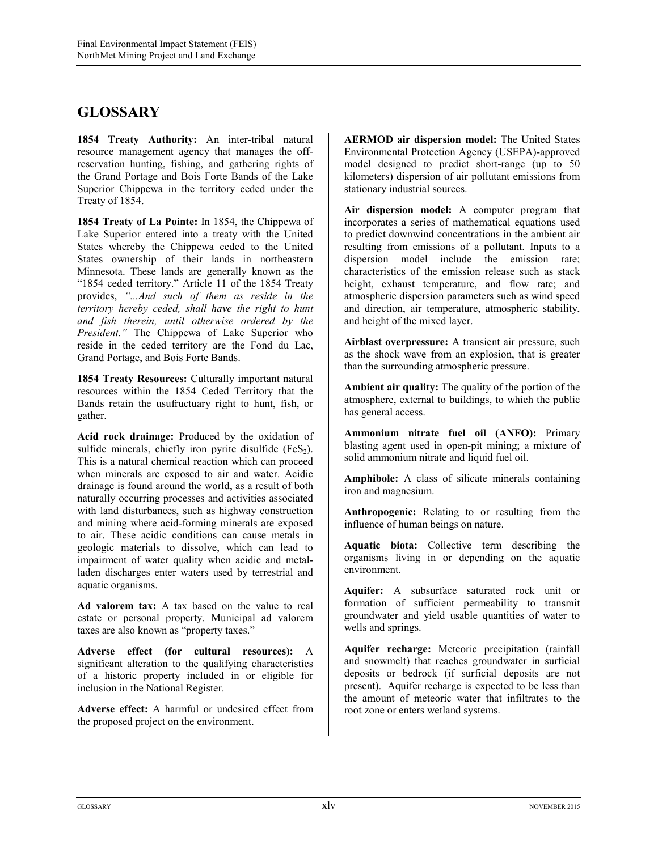#### **GLOSSARY**

**1854 Treaty Authority:** An inter-tribal natural resource management agency that manages the offreservation hunting, fishing, and gathering rights of the Grand Portage and Bois Forte Bands of the Lake Superior Chippewa in the territory ceded under the Treaty of 1854.

**1854 Treaty of La Pointe:** In 1854, the Chippewa of Lake Superior entered into a treaty with the United States whereby the Chippewa ceded to the United States ownership of their lands in northeastern Minnesota. These lands are generally known as the "1854 ceded territory." Article 11 of the 1854 Treaty provides, *"...And such of them as reside in the territory hereby ceded, shall have the right to hunt and fish therein, until otherwise ordered by the President."* The Chippewa of Lake Superior who reside in the ceded territory are the Fond du Lac, Grand Portage, and Bois Forte Bands.

**1854 Treaty Resources:** Culturally important natural resources within the 1854 Ceded Territory that the Bands retain the usufructuary right to hunt, fish, or gather.

**Acid rock drainage:** Produced by the oxidation of sulfide minerals, chiefly iron pyrite disulfide  $(F \cdot eS_2)$ . This is a natural chemical reaction which can proceed when minerals are exposed to air and water. Acidic drainage is found around the world, as a result of both naturally occurring processes and activities associated with land disturbances, such as highway construction and mining where acid-forming minerals are exposed to air. These acidic conditions can cause metals in geologic materials to dissolve, which can lead to impairment of water quality when acidic and metalladen discharges enter waters used by terrestrial and aquatic organisms.

**Ad valorem tax:** A tax based on the value to real estate or personal property. Municipal ad valorem taxes are also known as "property taxes."

**Adverse effect (for cultural resources):** A significant alteration to the qualifying characteristics of a historic property included in or eligible for inclusion in the National Register.

**Adverse effect:** A harmful or undesired effect from the proposed project on the environment.

**AERMOD air dispersion model:** The United States Environmental Protection Agency (USEPA)-approved model designed to predict short-range (up to 50 kilometers) dispersion of air pollutant emissions from stationary industrial sources.

**Air dispersion model:** A computer program that incorporates a series of mathematical equations used to predict downwind concentrations in the ambient air resulting from emissions of a pollutant. Inputs to a dispersion model include the emission rate; characteristics of the emission release such as stack height, exhaust temperature, and flow rate; and atmospheric dispersion parameters such as wind speed and direction, air temperature, atmospheric stability, and height of the mixed layer.

**Airblast overpressure:** A transient air pressure, such as the shock wave from an explosion, that is greater than the surrounding atmospheric pressure.

**Ambient air quality:** The quality of the portion of the atmosphere, external to buildings, to which the public has general access.

**Ammonium nitrate fuel oil (ANFO):** Primary blasting agent used in open-pit mining; a mixture of solid ammonium nitrate and liquid fuel oil.

**Amphibole:** A class of silicate minerals containing iron and magnesium.

**Anthropogenic:** Relating to or resulting from the influence of human beings on nature.

**Aquatic biota:** Collective term describing the organisms living in or depending on the aquatic environment.

**Aquifer:** A subsurface saturated rock unit or formation of sufficient permeability to transmit groundwater and yield usable quantities of water to wells and springs.

**Aquifer recharge:** Meteoric precipitation (rainfall and snowmelt) that reaches groundwater in surficial deposits or bedrock (if surficial deposits are not present). Aquifer recharge is expected to be less than the amount of meteoric water that infiltrates to the root zone or enters wetland systems.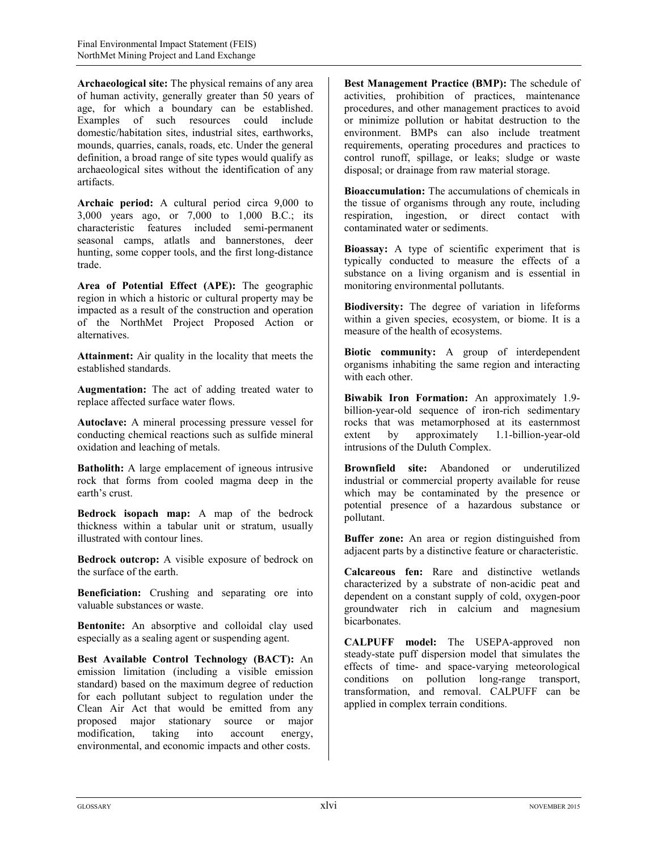**Archaeological site:** The physical remains of any area of human activity, generally greater than 50 years of age, for which a boundary can be established. Examples of such resources could include domestic/habitation sites, industrial sites, earthworks, mounds, quarries, canals, roads, etc. Under the general definition, a broad range of site types would qualify as archaeological sites without the identification of any artifacts.

**Archaic period:** A cultural period circa 9,000 to 3,000 years ago, or 7,000 to 1,000 B.C.; its characteristic features included semi-permanent seasonal camps, atlatls and bannerstones, deer hunting, some copper tools, and the first long-distance trade.

**Area of Potential Effect (APE):** The geographic region in which a historic or cultural property may be impacted as a result of the construction and operation of the NorthMet Project Proposed Action or alternatives.

**Attainment:** Air quality in the locality that meets the established standards.

**Augmentation:** The act of adding treated water to replace affected surface water flows.

**Autoclave:** A mineral processing pressure vessel for conducting chemical reactions such as sulfide mineral oxidation and leaching of metals.

**Batholith:** A large emplacement of igneous intrusive rock that forms from cooled magma deep in the earth's crust.

**Bedrock isopach map:** A map of the bedrock thickness within a tabular unit or stratum, usually illustrated with contour lines.

**Bedrock outcrop:** A visible exposure of bedrock on the surface of the earth.

**Beneficiation:** Crushing and separating ore into valuable substances or waste.

**Bentonite:** An absorptive and colloidal clay used especially as a sealing agent or suspending agent.

**Best Available Control Technology (BACT):** An emission limitation (including a visible emission standard) based on the maximum degree of reduction for each pollutant subject to regulation under the Clean Air Act that would be emitted from any proposed major stationary source or major<br>modification, taking into account energy, modification, taking into account energy, environmental, and economic impacts and other costs.

**Best Management Practice (BMP):** The schedule of activities, prohibition of practices, maintenance procedures, and other management practices to avoid or minimize pollution or habitat destruction to the environment. BMPs can also include treatment requirements, operating procedures and practices to control runoff, spillage, or leaks; sludge or waste disposal; or drainage from raw material storage.

**Bioaccumulation:** The accumulations of chemicals in the tissue of organisms through any route, including respiration, ingestion, or direct contact with contaminated water or sediments.

**Bioassay:** A type of scientific experiment that is typically conducted to measure the effects of a substance on a living organism and is essential in monitoring environmental pollutants.

**Biodiversity:** The degree of variation in lifeforms within a given species, ecosystem, or biome. It is a measure of the health of ecosystems.

**Biotic community:** A group of interdependent organisms inhabiting the same region and interacting with each other.

**Biwabik Iron Formation:** An approximately 1.9 billion-year-old sequence of iron-rich sedimentary rocks that was metamorphosed at its easternmost extent by approximately 1.1-billion-year-old intrusions of the Duluth Complex.

**Brownfield site:** Abandoned or underutilized industrial or commercial property available for reuse which may be contaminated by the presence or potential presence of a hazardous substance or pollutant.

**Buffer zone:** An area or region distinguished from adjacent parts by a distinctive feature or characteristic.

**Calcareous fen:** Rare and distinctive wetlands characterized by a substrate of non-acidic peat and dependent on a constant supply of cold, oxygen-poor groundwater rich in calcium and magnesium bicarbonates.

**CALPUFF model:** The USEPA-approved non steady-state puff dispersion model that simulates the effects of time- and space-varying meteorological conditions on pollution long-range transport, transformation, and removal. CALPUFF can be applied in complex terrain conditions.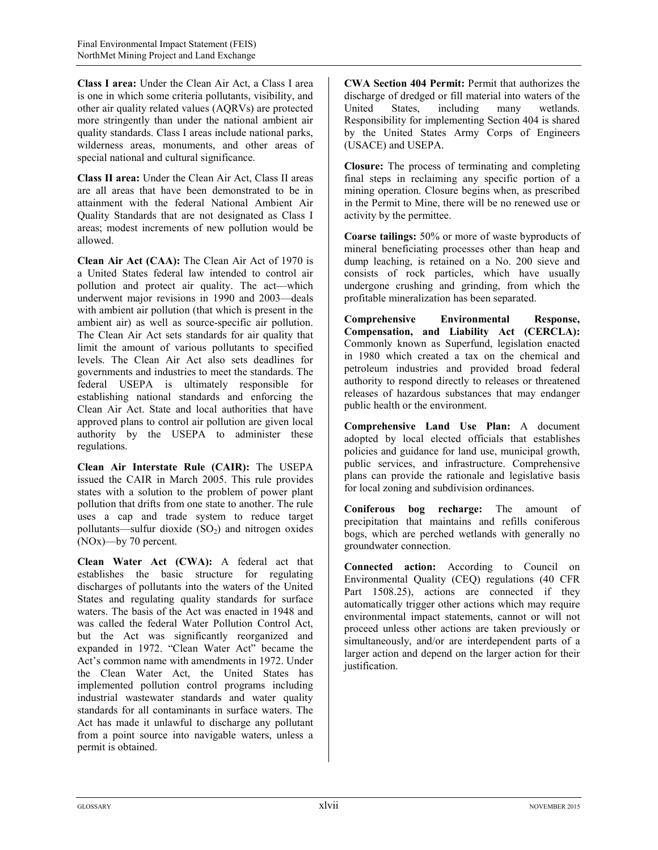**Class I area:** Under the Clean Air Act, a Class I area is one in which some criteria pollutants, visibility, and other air quality related values (AQRVs) are protected more stringently than under the national ambient air quality standards. Class I areas include national parks, wilderness areas, monuments, and other areas of special national and cultural significance.

**Class II area:** Under the Clean Air Act, Class II areas are all areas that have been demonstrated to be in attainment with the federal National Ambient Air Quality Standards that are not designated as Class I areas; modest increments of new pollution would be allowed.

**Clean Air Act (CAA):** The Clean Air Act of 1970 is a United States federal law intended to control air pollution and protect air quality. The act—which underwent major revisions in 1990 and 2003—deals with ambient air pollution (that which is present in the ambient air) as well as source-specific air pollution. The Clean Air Act sets standards for air quality that limit the amount of various pollutants to specified levels. The Clean Air Act also sets deadlines for governments and industries to meet the standards. The federal USEPA is ultimately responsible for establishing national standards and enforcing the Clean Air Act. State and local authorities that have approved plans to control air pollution are given local authority by the USEPA to administer these regulations.

**Clean Air Interstate Rule (CAIR):** The USEPA issued the CAIR in March 2005. This rule provides states with a solution to the problem of power plant pollution that drifts from one state to another. The rule uses a cap and trade system to reduce target pollutants—sulfur dioxide  $(SO<sub>2</sub>)$  and nitrogen oxides (NOx)—by 70 percent.

**Clean Water Act (CWA):** A federal act that establishes the basic structure for regulating discharges of pollutants into the waters of the United States and regulating quality standards for surface waters. The basis of the Act was enacted in 1948 and was called the federal Water Pollution Control Act, but the Act was significantly reorganized and expanded in 1972. "Clean Water Act" became the Act's common name with amendments in 1972. Under the Clean Water Act, the United States has implemented pollution control programs including industrial wastewater standards and water quality standards for all contaminants in surface waters. The Act has made it unlawful to discharge any pollutant from a point source into navigable waters, unless a permit is obtained.

**CWA Section 404 Permit:** Permit that authorizes the discharge of dredged or fill material into waters of the United States, including many wetlands. Responsibility for implementing Section 404 is shared by the United States Army Corps of Engineers (USACE) and USEPA.

**Closure:** The process of terminating and completing final steps in reclaiming any specific portion of a mining operation. Closure begins when, as prescribed in the Permit to Mine, there will be no renewed use or activity by the permittee.

**Coarse tailings:** 50% or more of waste byproducts of mineral beneficiating processes other than heap and dump leaching, is retained on a No. 200 sieve and consists of rock particles, which have usually undergone crushing and grinding, from which the profitable mineralization has been separated.

**Comprehensive Environmental Response, Compensation, and Liability Act (CERCLA):** Commonly known as Superfund, legislation enacted in 1980 which created a tax on the chemical and petroleum industries and provided broad federal authority to respond directly to releases or threatened releases of hazardous substances that may endanger public health or the environment.

**Comprehensive Land Use Plan:** A document adopted by local elected officials that establishes policies and guidance for land use, municipal growth, public services, and infrastructure. Comprehensive plans can provide the rationale and legislative basis for local zoning and subdivision ordinances.

**Coniferous bog recharge:** The amount of precipitation that maintains and refills coniferous bogs, which are perched wetlands with generally no groundwater connection.

**Connected action:** According to Council on Environmental Quality (CEQ) regulations (40 CFR Part 1508.25), actions are connected if they automatically trigger other actions which may require environmental impact statements, cannot or will not proceed unless other actions are taken previously or simultaneously, and/or are interdependent parts of a larger action and depend on the larger action for their justification.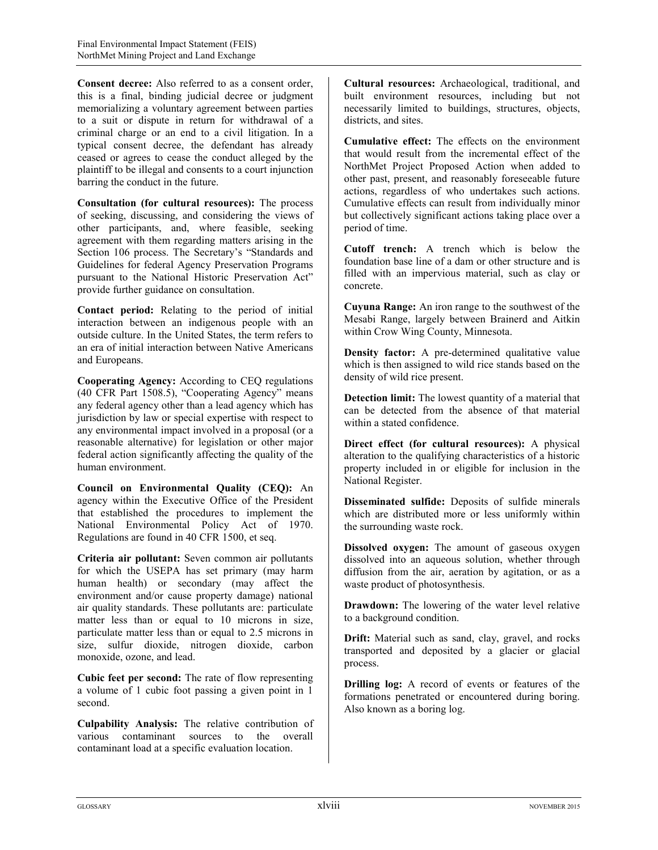**Consent decree:** Also referred to as a consent order, this is a final, binding [judicial](http://en.wikipedia.org/wiki/Judiciary) [decree](http://en.wikipedia.org/wiki/Decree) or [judgment](http://en.wikipedia.org/wiki/Legal_judgment) memorializing a voluntary agreement between parties to a [suit](http://en.wikipedia.org/wiki/Lawsuit) or dispute in return for withdrawal of a criminal [charge](http://en.wikipedia.org/wiki/Indictment) or an end to a civil [litigation.](http://en.wikipedia.org/wiki/Litigation) In a typical consent decree, the [defendant](http://en.wikipedia.org/wiki/Defendant) has already ceased or agrees to cease the conduct alleged by the plaintiff to be illegal and consents to a court injunction barring the conduct in the future.

**Consultation (for cultural resources):** The process of seeking, discussing, and considering the views of other participants, and, where feasible, seeking agreement with them regarding matters arising in the Section 106 process. The Secretary's "Standards and Guidelines for federal Agency Preservation Programs pursuant to the National Historic Preservation Act" provide further guidance on consultation.

**Contact period:** Relating to the period of initial interaction between an indigenous people with an outside culture. In the United States, the term refers to an era of initial interaction between Native Americans and Europeans.

**Cooperating Agency:** According to CEQ regulations (40 CFR Part 1508.5), "Cooperating Agency" means any federal agency other than a lead agency which has jurisdiction by law or special expertise with respect to any environmental impact involved in a proposal (or a reasonable alternative) for legislation or other major federal action significantly affecting the quality of the human environment.

**Council on Environmental Quality (CEQ):** An agency within the Executive Office of the President that established the procedures to implement the National Environmental Policy Act of 1970. Regulations are found in 40 CFR 1500, et seq.

**Criteria air pollutant:** Seven common air pollutants for which the USEPA has set primary (may harm human health) or secondary (may affect the environment and/or cause property damage) national air quality standards. These pollutants are: particulate matter less than or equal to 10 microns in size, particulate matter less than or equal to 2.5 microns in size, sulfur dioxide, nitrogen dioxide, carbon monoxide, ozone, and lead.

**Cubic feet per second:** The rate of flow representing a volume of 1 cubic foot passing a given point in 1 second.

**Culpability Analysis:** The relative contribution of various contaminant sources to the overall contaminant load at a specific evaluation location.

**Cultural resources:** Archaeological, traditional, and built environment resources, including but not necessarily limited to buildings, structures, objects, districts, and sites.

**Cumulative effect:** The effects on the environment that would result from the incremental effect of the NorthMet Project Proposed Action when added to other past, present, and reasonably foreseeable future actions, regardless of who undertakes such actions. Cumulative effects can result from individually minor but collectively significant actions taking place over a period of time.

**Cutoff trench:** A trench which is below the foundation base line of a dam or other structure and is filled with an impervious material, such as clay or concrete.

**Cuyuna Range:** An iron range to the southwest of the Mesabi Range, largely between Brainerd and Aitkin within Crow Wing County, Minnesota.

**Density factor:** A pre-determined qualitative value which is then assigned to wild rice stands based on the density of wild rice present.

**Detection limit:** The lowest quantity of a material that can be detected from the absence of that material within a stated confidence.

**Direct effect (for cultural resources):** A physical alteration to the qualifying characteristics of a historic property included in or eligible for inclusion in the National Register.

**Disseminated sulfide:** Deposits of sulfide minerals which are distributed more or less uniformly within the surrounding waste rock.

**Dissolved oxygen:** The amount of gaseous oxygen dissolved into an aqueous solution, whether through diffusion from the air, aeration by agitation, or as a waste product of photosynthesis.

**Drawdown:** The lowering of the water level relative to a background condition.

**Drift:** Material such as sand, clay, gravel, and rocks transported and deposited by a glacier or glacial process.

**Drilling log:** A record of events or features of the formations penetrated or encountered during boring. Also known as a boring log.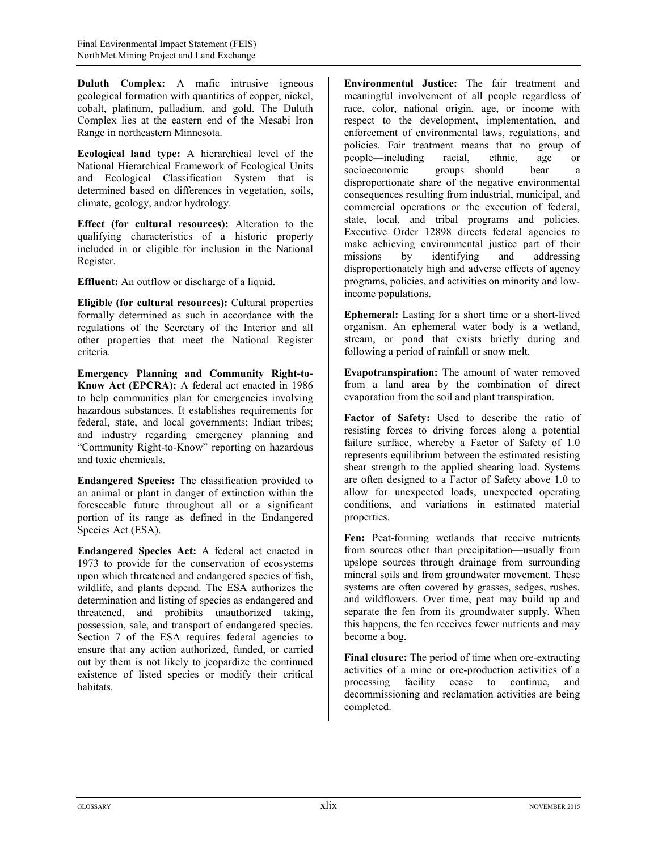**Duluth Complex:** A mafic intrusive igneous geological formation with quantities of copper, nickel, cobalt, platinum, palladium, and gold. The Duluth Complex lies at the eastern end of the Mesabi Iron Range in northeastern Minnesota.

**Ecological land type:** A hierarchical level of the National Hierarchical Framework of Ecological Units and Ecological Classification System that is determined based on differences in vegetation, soils, climate, geology, and/or hydrology.

**Effect (for cultural resources):** Alteration to the qualifying characteristics of a historic property included in or eligible for inclusion in the National Register.

**Effluent:** An outflow or discharge of a liquid.

**Eligible (for cultural resources):** Cultural properties formally determined as such in accordance with the regulations of the Secretary of the Interior and all other properties that meet the National Register criteria.

**Emergency Planning and Community Right-to-Know Act (EPCRA):** A federal act enacted in 1986 to help communities plan for emergencies involving hazardous substances. It establishes requirements for federal, state, and local governments; Indian tribes; and industry regarding emergency planning and "Community Right-to-Know" reporting on hazardous and toxic chemicals.

**Endangered Species:** The classification provided to an animal or plant in danger of extinction within the foreseeable future throughout all or a significant portion of its range as defined in the Endangered Species Act (ESA).

**Endangered Species Act:** A federal act enacted in 1973 to provide for the conservation of ecosystems upon which threatened and endangered species of fish, wildlife, and plants depend. The ESA authorizes the determination and listing of species as endangered and threatened, and prohibits unauthorized taking, possession, sale, and transport of endangered species. Section 7 of the ESA requires federal agencies to ensure that any action authorized, funded, or carried out by them is not likely to jeopardize the continued existence of listed species or modify their critical habitats.

**Environmental Justice:** The fair treatment and meaningful involvement of all people regardless of race, color, national origin, age, or income with respect to the development, implementation, and enforcement of environmental laws, regulations, and policies. Fair treatment means that no group of people—including racial, ethnic, age or socioeconomic groups—should bear a disproportionate share of the negative environmental consequences resulting from industrial, municipal, and commercial operations or the execution of federal, state, local, and tribal programs and policies. Executive Order 12898 directs federal agencies to make achieving environmental justice part of their missions by identifying and addressing disproportionately high and adverse effects of agency programs, policies, and activities on minority and lowincome populations.

**Ephemeral:** Lasting for a short time or a short-lived organism. An ephemeral water body is a wetland, stream, or pond that exists briefly during and following a period of rainfall or snow melt.

**Evapotranspiration:** The amount of water removed from a land area by the combination of direct evaporation from the soil and plant transpiration.

Factor of Safety: Used to describe the ratio of resisting forces to driving forces along a potential failure surface, whereby a Factor of Safety of 1.0 represents equilibrium between the estimated resisting shear strength to the applied shearing load. Systems are often designed to a Factor of Safety above 1.0 to allow for unexpected loads, unexpected operating conditions, and variations in estimated material properties.

Fen: Peat-forming wetlands that receive nutrients from sources other than precipitation—usually from upslope sources through drainage from surrounding mineral soils and from groundwater movement. These systems are often covered by grasses, sedges, rushes, and wildflowers. Over time, peat may build up and separate the fen from its groundwater supply. When this happens, the fen receives fewer nutrients and may become a bog.

**Final closure:** The period of time when ore-extracting activities of a mine or ore-production activities of a processing facility cease to continue, and decommissioning and reclamation activities are being completed.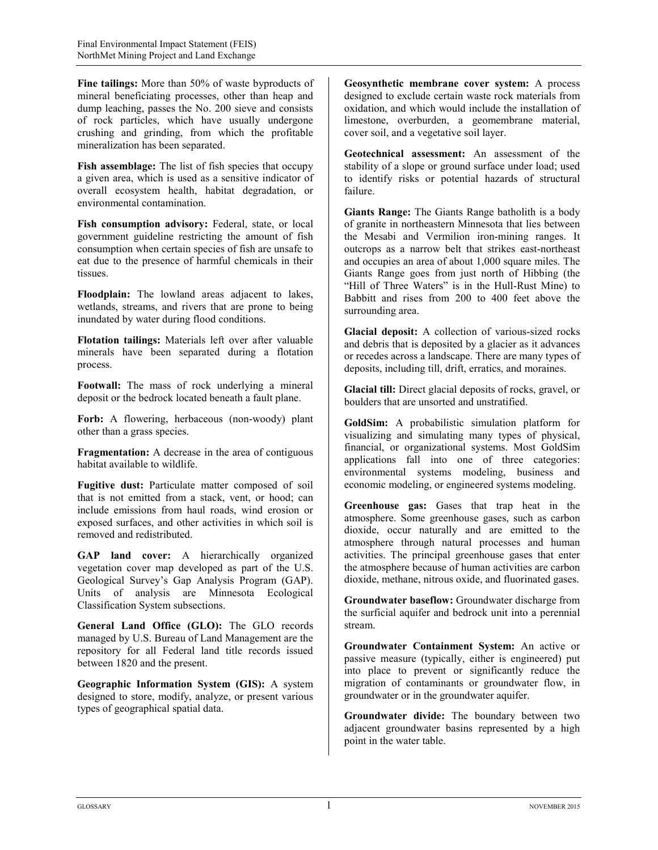**Fine tailings:** More than 50% of waste byproducts of mineral beneficiating processes, other than heap and dump leaching, passes the No. 200 sieve and consists of rock particles, which have usually undergone crushing and grinding, from which the profitable mineralization has been separated.

Fish assemblage: The list of fish species that occupy a given area, which is used as a sensitive indicator of overall ecosystem health, habitat degradation, or environmental contamination.

**Fish consumption advisory:** Federal, state, or local government guideline restricting the amount of fish consumption when certain species of fish are unsafe to eat due to the presence of harmful chemicals in their tissues.

**Floodplain:** The lowland areas adjacent to lakes, wetlands, streams, and rivers that are prone to being inundated by water during flood conditions.

**Flotation tailings:** Materials left over after valuable minerals have been separated during a flotation process.

**Footwall:** The mass of rock underlying a mineral deposit or the bedrock located beneath a fault plane.

**Forb:** A flowering, herbaceous (non-woody) plant other than a grass species.

**Fragmentation:** A decrease in the area of contiguous habitat available to wildlife.

**Fugitive dust:** Particulate matter composed of soil that is not emitted from a stack, vent, or hood; can include emissions from haul roads, wind erosion or exposed surfaces, and other activities in which soil is removed and redistributed.

**GAP land cover:** A hierarchically organized vegetation cover map developed as part of the U.S. Geological Survey's Gap Analysis Program (GAP). Units of analysis are Minnesota Ecological Classification System subsections.

**General Land Office (GLO):** The GLO records managed by U.S. Bureau of Land Management are the repository for all Federal land title records issued between 1820 and the present.

**Geographic Information System (GIS):** A system designed to store, modify, analyze, or present various types of geographical spatial data.

**Geosynthetic membrane cover system:** A process designed to exclude certain waste rock materials from oxidation, and which would include the installation of limestone, overburden, a geomembrane material, cover soil, and a vegetative soil layer.

**Geotechnical assessment:** An assessment of the stability of a slope or ground surface under load; used to identify risks or potential hazards of structural failure.

**Giants Range:** The Giants Range batholith is a body of granite in northeastern Minnesota that lies between the Mesabi and Vermilion iron-mining ranges. It outcrops as a narrow belt that strikes east-northeast and occupies an area of about 1,000 square miles. The Giants Range goes from just north of Hibbing (the "Hill of Three Waters" is in the Hull-Rust Mine) to Babbitt and rises from 200 to 400 feet above the surrounding area.

**Glacial deposit:** A collection of various-sized rocks and debris that is deposited by a glacier as it advances or recedes across a landscape. There are many types of deposits, including till, drift, erratics, and moraines.

**Glacial till:** Direct glacial deposits of rocks, gravel, or boulders that are unsorted and unstratified.

**GoldSim:** A probabilistic simulation platform for visualizing and simulating many types of physical, financial, or organizational systems. Most GoldSim applications fall into one of three categories: environmental systems modeling, business and economic modeling, or engineered systems modeling.

**Greenhouse gas:** Gases that trap heat in the atmosphere. Some greenhouse gases, such as carbon dioxide, occur naturally and are emitted to the atmosphere through natural processes and human activities. The principal greenhouse gases that enter the atmosphere because of human activities are carbon dioxide, methane, nitrous oxide, and fluorinated gases.

**Groundwater baseflow:** Groundwater discharge from the surficial aquifer and bedrock unit into a perennial stream.

**Groundwater Containment System:** An active or passive measure (typically, either is engineered) put into place to prevent or significantly reduce the migration of contaminants or groundwater flow, in groundwater or in the groundwater aquifer.

**Groundwater divide:** The boundary between two adjacent groundwater basins represented by a high point in the water table.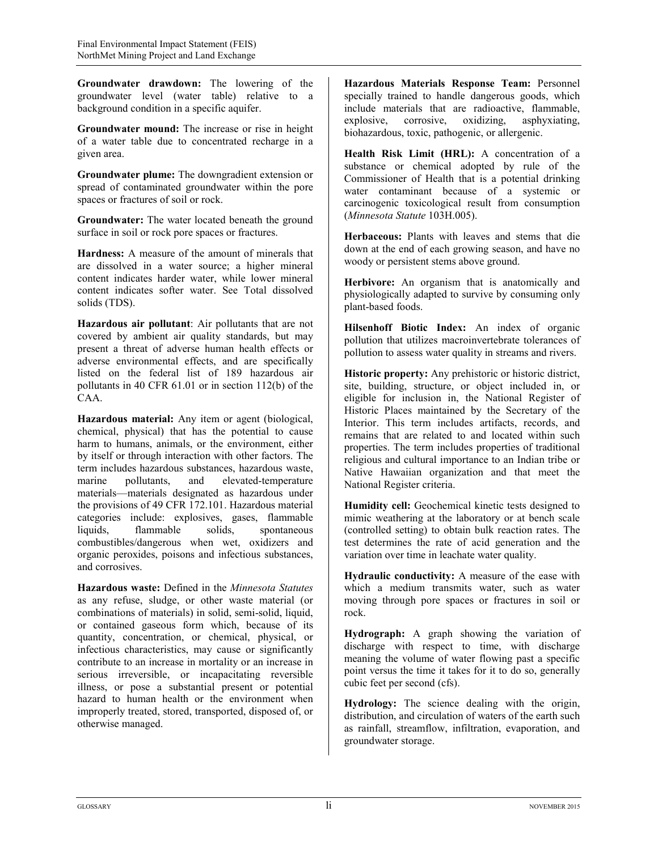**Groundwater drawdown:** The lowering of the groundwater level (water table) relative to a background condition in a specific aquifer.

**Groundwater mound:** The increase or rise in height of a water table due to concentrated recharge in a given area.

**Groundwater plume:** The downgradient extension or spread of contaminated groundwater within the pore spaces or fractures of soil or rock.

**Groundwater:** The water located beneath the ground surface in soil or rock pore spaces or fractures.

**Hardness:** A measure of the amount of minerals that are dissolved in a water source; a higher mineral content indicates harder water, while lower mineral content indicates softer water. See Total dissolved solids (TDS).

**Hazardous air pollutant**: Air pollutants that are not covered by ambient air quality standards, but may present a threat of adverse human health effects or adverse environmental effects, and are specifically listed on the federal list of 189 hazardous air pollutants in 40 CFR 61.01 or in section 112(b) of the CAA.

**Hazardous material:** Any item or agent (biological, chemical, physical) that has the potential to cause harm to humans, animals, or the environment, either by itself or through interaction with other factors. The term includes hazardous substances, hazardous waste, elevated-temperature materials—materials designated as hazardous under the provisions of 49 CFR 172.101. Hazardous material categories include: explosives, gases, flammable liquids, flammable solids, spontaneous combustibles/dangerous when wet, oxidizers and organic peroxides, poisons and infectious substances, and corrosives.

**Hazardous waste:** Defined in the *Minnesota Statutes*  as any refuse, sludge, or other waste material (or combinations of materials) in solid, semi-solid, liquid, or contained gaseous form which, because of its quantity, concentration, or chemical, physical, or infectious characteristics, may cause or significantly contribute to an increase in mortality or an increase in serious irreversible, or incapacitating reversible illness, or pose a substantial present or potential hazard to human health or the environment when improperly treated, stored, transported, disposed of, or otherwise managed.

**Hazardous Materials Response Team:** Personnel specially trained to handle dangerous goods, which include materials that are [radioactive,](http://en.wikipedia.org/wiki/Radioactive) [flammable,](http://en.wikipedia.org/wiki/Flammable) explosive, corrosive, oxidizing, asphyxiating, asphyxiating, [biohazardous,](http://en.wikipedia.org/wiki/Biohazard) [toxic,](http://en.wikipedia.org/wiki/Toxic) [pathogenic,](http://en.wikipedia.org/wiki/Pathogen) or [allergenic.](http://en.wikipedia.org/wiki/Allergen)

**Health Risk Limit (HRL):** A concentration of a substance or chemical adopted by rule of the Commissioner of Health that is a potential drinking water contaminant because of a systemic or carcinogenic toxicological result from consumption (*Minnesota Statute* 103H.005).

**Herbaceous:** Plants with leaves and stems that die down at the end of each growing season, and have no woody or persistent stems above ground.

**Herbivore:** An organism that is anatomically and physiologically adapted to survive by consuming only plant-based foods.

**Hilsenhoff Biotic Index:** An index of organic pollution that utilizes macroinvertebrate tolerances of pollution to assess water quality in streams and rivers.

**Historic property:** Any prehistoric or historic district, site, building, structure, or object included in, or eligible for inclusion in, the National Register of Historic Places maintained by the Secretary of the Interior. This term includes artifacts, records, and remains that are related to and located within such properties. The term includes properties of traditional religious and cultural importance to an Indian tribe or Native Hawaiian organization and that meet the National Register criteria.

**Humidity cell:** Geochemical kinetic tests designed to mimic weathering at the laboratory or at bench scale (controlled setting) to obtain bulk reaction rates. The test determines the rate of acid generation and the variation over time in leachate water quality.

**Hydraulic conductivity:** A measure of the ease with which a medium transmits water, such as water moving through pore spaces or fractures in soil or rock.

**Hydrograph:** A graph showing the variation of discharge with respect to time, with discharge meaning the volume of water flowing past a specific point versus the time it takes for it to do so, generally cubic feet per second (cfs).

**Hydrology:** The science dealing with the origin, distribution, and circulation of waters of the earth such as rainfall, streamflow, infiltration, evaporation, and groundwater storage.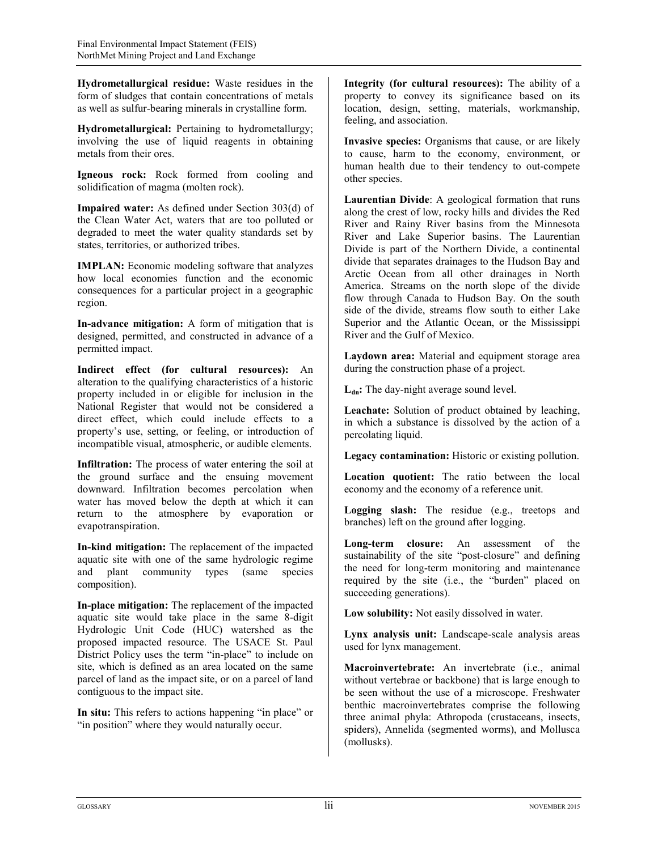**Hydrometallurgical residue:** Waste residues in the form of sludges that contain concentrations of metals as well as sulfur-bearing minerals in crystalline form.

**Hydrometallurgical:** Pertaining to hydrometallurgy; involving the use of liquid reagents in obtaining metals from their ores.

**Igneous rock:** Rock formed from cooling and solidification of magma (molten rock).

**Impaired water:** As defined under Section 303(d) of the Clean Water Act, waters that are too polluted or degraded to meet the water quality standards set by states, territories, or authorized tribes.

**IMPLAN:** Economic modeling software that analyzes how local economies function and the economic consequences for a particular project in a geographic region.

**In-advance mitigation:** A form of mitigation that is designed, permitted, and constructed in advance of a permitted impact.

**Indirect effect (for cultural resources):** An alteration to the qualifying characteristics of a historic property included in or eligible for inclusion in the National Register that would not be considered a direct effect, which could include effects to a property's use, setting, or feeling, or introduction of incompatible visual, atmospheric, or audible elements.

**Infiltration:** The process of water entering the soil at the ground surface and the ensuing movement downward. Infiltration becomes percolation when water has moved below the depth at which it can return to the atmosphere by evaporation or evapotranspiration.

**In-kind mitigation:** The replacement of the impacted aquatic site with one of the same hydrologic regime and plant community types (same species composition).

**In-place mitigation:** The replacement of the impacted aquatic site would take place in the same 8-digit Hydrologic Unit Code (HUC) watershed as the proposed impacted resource. The USACE St. Paul District Policy uses the term "in-place" to include on site, which is defined as an area located on the same parcel of land as the impact site, or on a parcel of land contiguous to the impact site.

**In situ:** This refers to actions happening "in place" or "in position" where they would naturally occur.

**Integrity (for cultural resources):** The ability of a property to convey its significance based on its location, design, setting, materials, workmanship, feeling, and association.

**Invasive species:** Organisms that cause, or are likely to cause, harm to the economy, environment, or human health due to their tendency to out-compete other species.

**Laurentian Divide**: A geological formation that runs along the crest of low, rocky hills and divides the Red River and Rainy River basins from the Minnesota River and Lake Superior basins. The Laurentian Divide is part of the Northern Divide, a continental divide that separates drainages to the Hudson Bay and Arctic Ocean from all other drainages in North America. Streams on the north slope of the divide flow through Canada to Hudson Bay. On the south side of the divide, streams flow south to either Lake Superior and the Atlantic Ocean, or the Mississippi River and the Gulf of Mexico.

**Laydown area:** Material and equipment storage area during the construction phase of a project.

L<sub>dn</sub>: The day-night average sound level.

**Leachate:** Solution of product obtained by leaching, in which a substance is dissolved by the action of a percolating liquid.

**Legacy contamination:** Historic or existing pollution.

**Location quotient:** The ratio between the local economy and the economy of a reference unit.

**Logging slash:** The residue (e.g., treetops and branches) left on the ground after logging.

**Long-term closure:** An assessment of the sustainability of the site "post-closure" and defining the need for long-term monitoring and maintenance required by the site (i.e., the "burden" placed on succeeding generations).

**Low solubility:** Not easily dissolved in water.

**Lynx analysis unit:** Landscape-scale analysis areas used for lynx management.

**Macroinvertebrate:** An invertebrate (i.e., animal without vertebrae or backbone) that is large enough to be seen without the use of a microscope. Freshwater benthic macroinvertebrates comprise the following three animal phyla: Athropoda (crustaceans, insects, spiders), Annelida (segmented worms), and Mollusca (mollusks).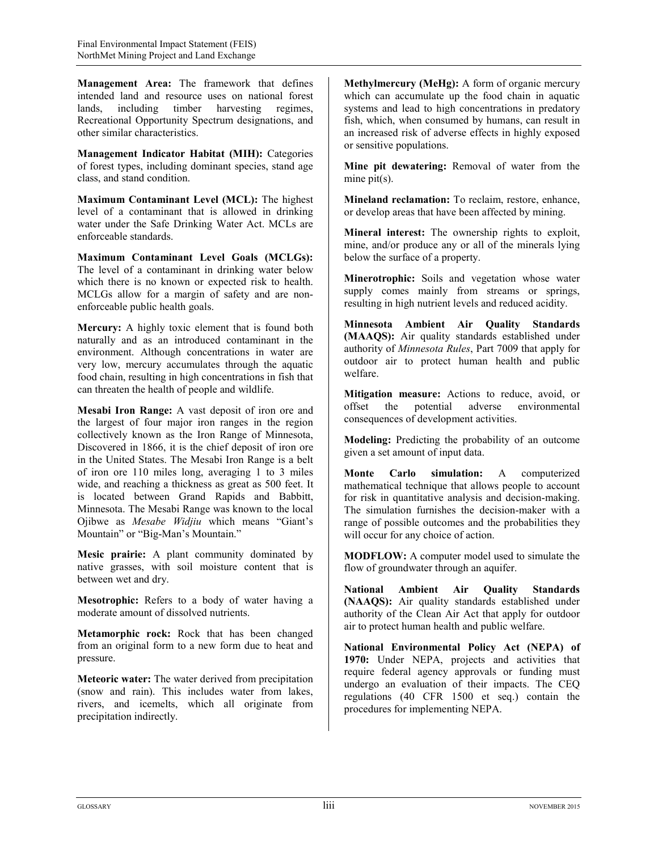**Management Area:** The framework that defines intended land and resource uses on national forest lands, including timber harvesting regimes, Recreational Opportunity Spectrum designations, and other similar characteristics.

**Management Indicator Habitat (MIH):** Categories of forest types, including dominant species, stand age class, and stand condition.

**Maximum Contaminant Level (MCL):** The highest level of a contaminant that is allowed in drinking water under the Safe Drinking Water Act. MCLs are enforceable standards.

**Maximum Contaminant Level Goals (MCLGs):** The level of a contaminant in drinking water below which there is no known or expected risk to health. MCLGs allow for a margin of safety and are nonenforceable public health goals.

**Mercury:** A highly toxic element that is found both naturally and as an introduced contaminant in the environment. Although concentrations in water are very low, mercury accumulates through the aquatic food chain, resulting in high concentrations in fish that can threaten the health of people and wildlife.

**Mesabi Iron Range:** A vast deposit of iron ore and the largest of four major iron ranges in the region collectively known as the Iron Range of Minnesota, Discovered in 1866, it is the chief deposit of iron ore in the United States. The Mesabi Iron Range is a belt of iron ore 110 miles long, averaging 1 to 3 miles wide, and reaching a thickness as great as 500 feet. It is located between Grand Rapids and Babbitt, Minnesota. The Mesabi Range was known to the local Ojibwe as *Mesabe Widjiu* which means "Giant's Mountain" or "Big-Man's Mountain."

**Mesic prairie:** A plant community dominated by native grasses, with soil moisture content that is between wet and dry.

**Mesotrophic:** Refers to a body of water having a moderate amount of dissolved nutrients.

**Metamorphic rock:** Rock that has been changed from an original form to a new form due to heat and pressure.

**Meteoric water:** The water derived from precipitation (snow and rain). This includes water from lakes, rivers, and icemelts, which all originate from precipitation indirectly.

**Methylmercury (MeHg):** A form of organic mercury which can accumulate up the food chain in aquatic systems and lead to high concentrations in predatory fish, which, when consumed by humans, can result in an increased risk of adverse effects in highly exposed or sensitive populations.

**Mine pit dewatering:** Removal of water from the mine pit(s).

**Mineland reclamation:** To reclaim, restore, enhance, or develop areas that have been affected by mining.

**Mineral interest:** The ownership rights to exploit, mine, and/or produce any or all of the minerals lying below the surface of a property.

**Minerotrophic:** Soils and vegetation whose water supply comes mainly from streams or springs, resulting in high nutrient levels and reduced acidity.

**Minnesota Ambient Air Quality Standards (MAAQS):** Air quality standards established under authority of *Minnesota Rules*, Part 7009 that apply for outdoor air to protect human health and public welfare.

**Mitigation measure:** Actions to reduce, avoid, or offset the potential adverse environmental consequences of development activities.

**Modeling:** Predicting the probability of an outcome given a set amount of input data.

**Monte Carlo simulation:** A computerized mathematical technique that allows people to account for risk in quantitative analysis and decision-making. The simulation furnishes the decision-maker with a range of possible outcomes and the probabilities they will occur for any choice of action.

**MODFLOW:** A computer model used to simulate the flow of groundwater through an aquifer.

**National Ambient Air Quality Standards (NAAQS):** Air quality standards established under authority of the Clean Air Act that apply for outdoor air to protect human health and public welfare.

**National Environmental Policy Act (NEPA) of 1970:** Under NEPA, projects and activities that require federal agency approvals or funding must undergo an evaluation of their impacts. The CEQ regulations (40 CFR 1500 et seq.) contain the procedures for implementing NEPA.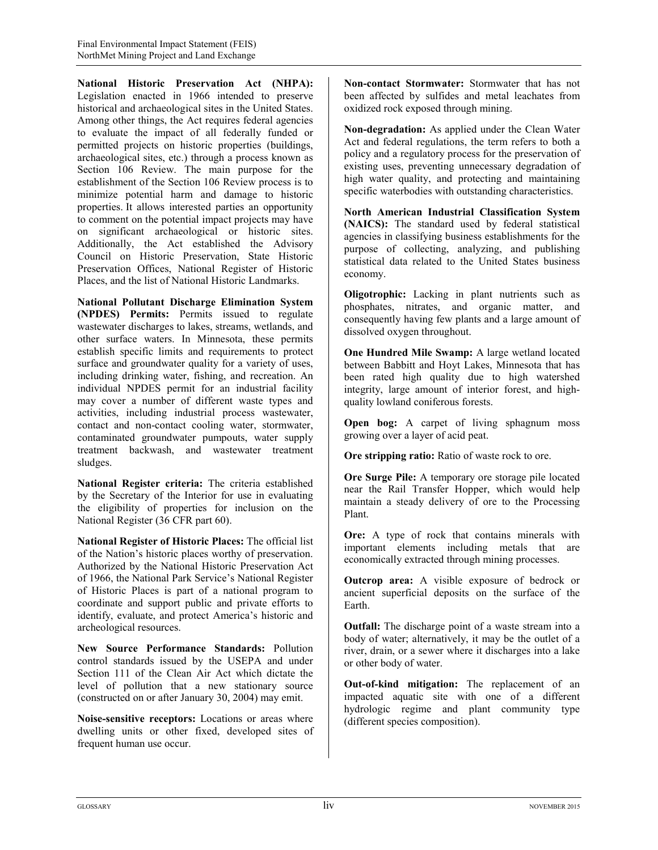**National Historic Preservation Act (NHPA):**  Legislation enacted in 1966 intended to preserve historical and archaeological sites in the United States. Among other things, the Act requires federal agencies to evaluate the impact of all federally funded or permitted projects on historic properties (buildings, archaeological sites, etc.) through a process known as Section 106 Review. The main purpose for the establishment of the Section 106 Review process is to minimize potential harm and damage to historic properties. It allows interested parties an opportunity to comment on the potential impact projects may have on significant archaeological or historic sites. Additionally, the Act established the Advisory Council on Historic Preservation, State Historic Preservation Offices, National Register of Historic Places, and the list of National Historic Landmarks.

**National Pollutant Discharge Elimination System (NPDES) Permits:** Permits issued to regulate wastewater discharges to lakes, streams, wetlands, and other surface waters. In Minnesota, these permits establish specific limits and requirements to protect surface and groundwater quality for a variety of uses, including drinking water, fishing, and recreation. An individual NPDES permit for an industrial facility may cover a number of different waste types and activities, including industrial process wastewater, contact and non-contact cooling water, stormwater, contaminated groundwater pumpouts, water supply treatment backwash, and wastewater treatment sludges.

**National Register criteria:** The criteria established by the Secretary of the Interior for use in evaluating the eligibility of properties for inclusion on the National Register (36 CFR part 60).

**National Register of Historic Places:** The official list of the Nation's historic places worthy of preservation. Authorized by the National Historic Preservation Act of 1966, the National Park Service's National Register of Historic Places is part of a national program to coordinate and support public and private efforts to identify, evaluate, and protect America's historic and archeological resources.

**New Source Performance Standards:** Pollution control standards issued by the USEPA and under Section 111 of the Clean Air Act which dictate the level of pollution that a new stationary source (constructed on or after January 30, 2004) may emit.

**Noise-sensitive receptors:** Locations or areas where dwelling units or other fixed, developed sites of frequent human use occur.

**Non-contact Stormwater:** Stormwater that has not been affected by sulfides and metal leachates from oxidized rock exposed through mining.

**Non-degradation:** As applied under the Clean Water Act and federal regulations, the term refers to both a policy and a regulatory process for the preservation of existing uses, preventing unnecessary degradation of high water quality, and protecting and maintaining specific waterbodies with outstanding characteristics.

**North American Industrial Classification System (NAICS):** The standard used by federal statistical agencies in classifying business establishments for the purpose of collecting, analyzing, and publishing statistical data related to the United States business economy.

**Oligotrophic:** Lacking in plant nutrients such as phosphates, nitrates, and organic matter, and consequently having few plants and a large amount of dissolved oxygen throughout.

**One Hundred Mile Swamp:** A large wetland located between Babbitt and Hoyt Lakes, Minnesota that has been rated high quality due to high watershed integrity, large amount of interior forest, and highquality lowland coniferous forests.

**Open bog:** A carpet of living sphagnum moss growing over a layer of acid peat.

**Ore stripping ratio:** Ratio of waste rock to ore.

**Ore Surge Pile:** A temporary ore storage pile located near the Rail Transfer Hopper, which would help maintain a steady delivery of ore to the Processing Plant.

**Ore:** A type of rock that contains minerals with important elements including metals that are economically extracted through mining processes.

**Outcrop area:** A visible exposure of bedrock or ancient superficial deposits on the surface of the Earth.

**Outfall:** The discharge point of a waste stream into a body of water; alternatively, it may be the outlet of a river, drain, or a sewer where it discharges into a lake or other body of water.

**Out-of-kind mitigation:** The replacement of an impacted aquatic site with one of a different hydrologic regime and plant community type (different species composition).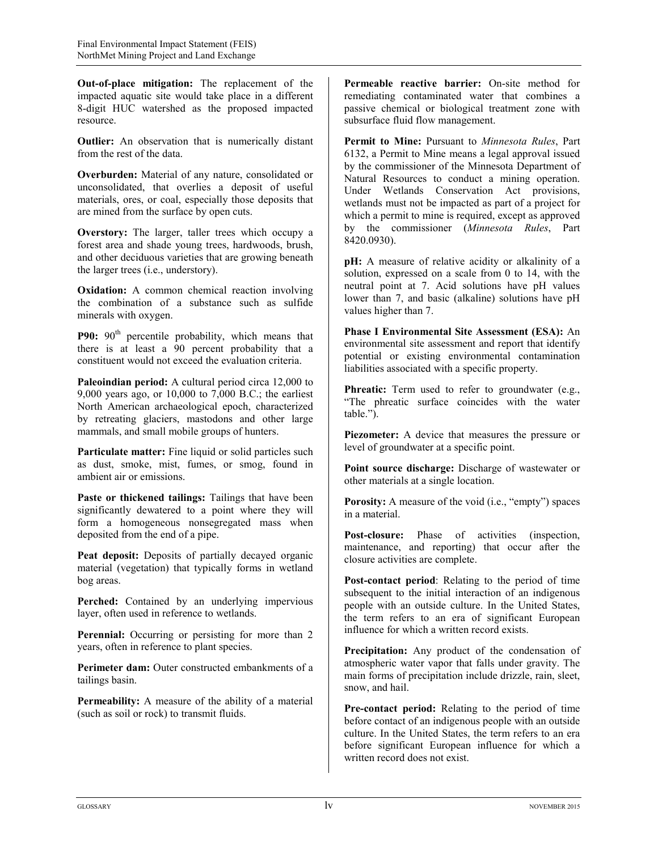**Out-of-place mitigation:** The replacement of the impacted aquatic site would take place in a different 8-digit HUC watershed as the proposed impacted resource.

**Outlier:** An observation that is numerically distant from the rest of the data.

**Overburden:** Material of any nature, consolidated or unconsolidated, that overlies a deposit of useful materials, ores, or coal, especially those deposits that are mined from the surface by open cuts.

**Overstory:** The larger, taller trees which occupy a forest area and shade young trees, hardwoods, brush, and other deciduous varieties that are growing beneath the larger trees (i.e., understory).

**Oxidation:** A common chemical reaction involving the combination of a substance such as sulfide minerals with oxygen.

P90: 90<sup>th</sup> percentile probability, which means that there is at least a 90 percent probability that a constituent would not exceed the evaluation criteria.

**Paleoindian period:** A cultural period circa 12,000 to 9,000 years ago, or 10,000 to 7,000 B.C.; the earliest North American archaeological epoch, characterized by retreating glaciers, mastodons and other large mammals, and small mobile groups of hunters.

**Particulate matter:** Fine liquid or solid particles such as dust, smoke, mist, fumes, or smog, found in ambient air or emissions.

**Paste or thickened tailings:** Tailings that have been significantly dewatered to a point where they will form a homogeneous nonsegregated mass when deposited from the end of a pipe.

Peat deposit: Deposits of partially decayed organic material (vegetation) that typically forms in wetland bog areas.

Perched: Contained by an underlying impervious layer, often used in reference to wetlands.

Perennial: Occurring or persisting for more than 2 years, often in reference to plant species.

Perimeter dam: Outer constructed embankments of a tailings basin.

**Permeability:** A measure of the ability of a material (such as soil or rock) to transmit fluids.

**Permeable reactive barrier:** On-site method for remediating contaminated water that combines a passive chemical or biological treatment zone with subsurface fluid flow management.

**Permit to Mine:** Pursuant to *Minnesota Rules*, Part 6132, a Permit to Mine means a legal approval issued by the commissioner of the Minnesota Department of Natural Resources to conduct a mining operation. Under Wetlands Conservation Act provisions, wetlands must not be impacted as part of a project for which a permit to mine is required, except as approved by the commissioner (*Minnesota Rules*, Part 8420.0930).

**pH:** A measure of relative acidity or alkalinity of a solution, expressed on a scale from 0 to 14, with the neutral point at 7. Acid solutions have pH values lower than 7, and basic (alkaline) solutions have pH values higher than 7.

**Phase I Environmental Site Assessment (ESA):** An environmental site assessment and report that identify potential or existing environmental contamination liabilities associated with a specific property.

Phreatic: Term used to refer to groundwater (e.g., "The phreatic surface coincides with the water table.").

Piezometer: A device that measures the pressure or level of groundwater at a specific point.

**Point source discharge:** Discharge of wastewater or other materials at a single location.

Porosity: A measure of the void (i.e., "empty") spaces in a material.

**Post-closure:** Phase of activities (inspection, maintenance, and reporting) that occur after the closure activities are complete.

**Post-contact period**: Relating to the period of time subsequent to the initial interaction of an indigenous people with an outside culture. In the United States, the term refers to an era of significant European influence for which a written record exists.

**Precipitation:** Any product of the condensation of atmospheric water vapor that falls under gravity. The main forms of precipitation include drizzle, rain, sleet, snow, and hail.

**Pre-contact period:** Relating to the period of time before contact of an indigenous people with an outside culture. In the United States, the term refers to an era before significant European influence for which a written record does not exist.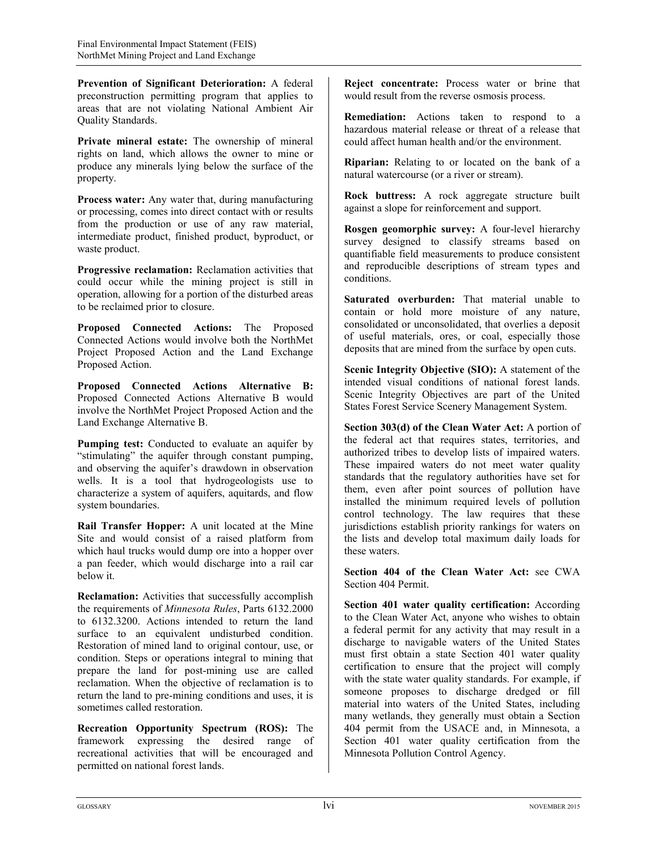**Prevention of Significant Deterioration:** A federal preconstruction permitting program that applies to areas that are not violating National Ambient Air Quality Standards.

**Private mineral estate:** The ownership of mineral rights on land, which allows the owner to mine or produce any minerals lying below the surface of the property.

**Process water:** Any water that, during manufacturing or processing, comes into direct contact with or results from the production or use of any raw material, intermediate product, finished product, byproduct, or waste product.

**Progressive reclamation:** Reclamation activities that could occur while the mining project is still in operation, allowing for a portion of the disturbed areas to be reclaimed prior to closure.

**Proposed Connected Actions:** The Proposed Connected Actions would involve both the NorthMet Project Proposed Action and the Land Exchange Proposed Action.

**Proposed Connected Actions Alternative B:** Proposed Connected Actions Alternative B would involve the NorthMet Project Proposed Action and the Land Exchange Alternative B.

Pumping test: Conducted to evaluate an aquifer by "stimulating" the aquifer through constant pumping, and observing the aquifer's drawdown in observation wells. It is a tool that hydrogeologists use to characterize a system of aquifers, aquitards, and flow system boundaries.

**Rail Transfer Hopper:** A unit located at the Mine Site and would consist of a raised platform from which haul trucks would dump ore into a hopper over a pan feeder, which would discharge into a rail car below it.

**Reclamation:** Activities that successfully accomplish the requirements of *Minnesota Rules*, Parts 6132.2000 to 6132.3200. Actions intended to return the land surface to an equivalent undisturbed condition. Restoration of mined land to original contour, use, or condition. Steps or operations integral to mining that prepare the land for post-mining use are called reclamation. When the objective of reclamation is to return the land to pre-mining conditions and uses, it is sometimes called restoration.

**Recreation Opportunity Spectrum (ROS):** The framework expressing the desired range of recreational activities that will be encouraged and permitted on national forest lands.

**Reject concentrate:** Process water or brine that would result from the reverse osmosis process.

**Remediation:** Actions taken to respond to a hazardous material release or threat of a release that could affect human health and/or the environment.

**Riparian:** Relating to or located on the bank of a natural watercourse (or a river or stream).

**Rock buttress:** A rock aggregate structure built against a slope for reinforcement and support.

**Rosgen geomorphic survey:** A four-level hierarchy survey designed to classify streams based on quantifiable field measurements to produce consistent and reproducible descriptions of stream types and conditions.

**Saturated overburden:** That material unable to contain or hold more moisture of any nature, consolidated or unconsolidated, that overlies a deposit of useful materials, ores, or coal, especially those deposits that are mined from the surface by open cuts.

**Scenic Integrity Objective (SIO):** A statement of the intended visual conditions of national forest lands. Scenic Integrity Objectives are part of the United States Forest Service Scenery Management System.

**Section 303(d) of the Clean Water Act:** A portion of the federal act that requires states, territories, and authorized tribes to develop lists of impaired waters. These impaired waters do not meet water quality standards that the regulatory authorities have set for them, even after point sources of pollution have installed the minimum required levels of pollution control technology. The law requires that these jurisdictions establish priority rankings for waters on the lists and develop total maximum daily loads for these waters.

**Section 404 of the Clean Water Act:** see CWA Section 404 Permit.

**Section 401 water quality certification:** According to the Clean Water Act, anyone who wishes to obtain a federal permit for any activity that may result in a discharge to navigable waters of the United States must first obtain a state Section 401 water quality certification to ensure that the project will comply with the state water quality standards. For example, if someone proposes to discharge dredged or fill material into waters of the United States, including many wetlands, they generally must obtain a Section 404 permit from the USACE and, in Minnesota, a Section 401 water quality certification from the Minnesota Pollution Control Agency.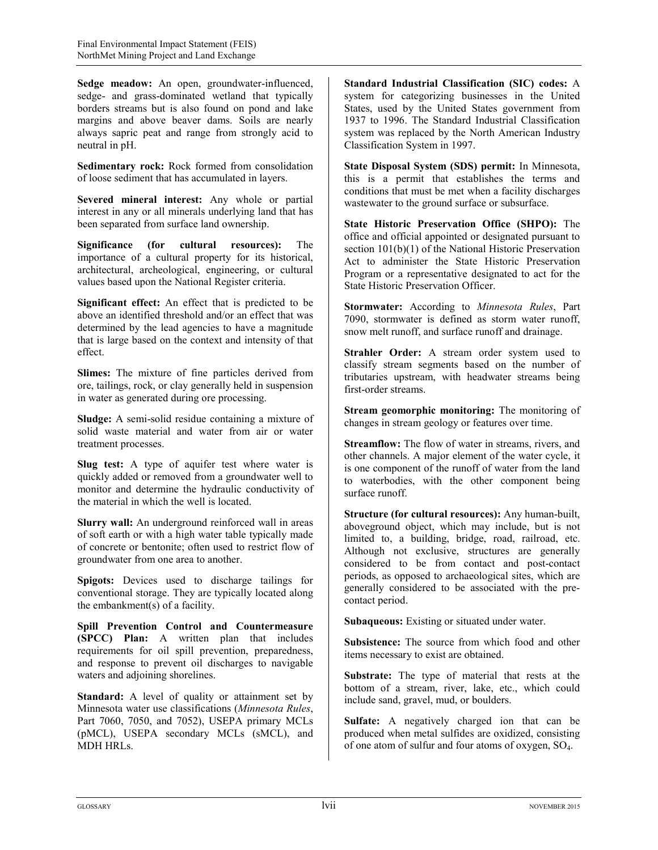**Sedge meadow:** An open, groundwater-influenced, sedge- and grass-dominated wetland that typically borders streams but is also found on pond and lake margins and above beaver dams. Soils are nearly always sapric peat and range from strongly acid to neutral in pH.

**Sedimentary rock:** Rock formed from consolidation of loose sediment that has accumulated in layers.

**Severed mineral interest:** Any whole or partial interest in any or all minerals underlying land that has been separated from surface land ownership.

**Significance (for cultural resources):** The importance of a cultural property for its historical, architectural, archeological, engineering, or cultural values based upon the National Register criteria.

**Significant effect:** An effect that is predicted to be above an identified threshold and/or an effect that was determined by the lead agencies to have a magnitude that is large based on the context and intensity of that effect.

**Slimes:** The mixture of fine particles derived from ore, tailings, rock, or clay generally held in suspension in water as generated during ore processing.

**Sludge:** A semi-solid residue containing a mixture of solid waste material and water from air or water treatment processes.

**Slug test:** A type of aquifer test where water is quickly added or removed from a groundwater well to monitor and determine the hydraulic conductivity of the material in which the well is located.

**Slurry wall:** An underground reinforced wall in areas of soft earth or with a high water table typically made of concrete or bentonite; often used to restrict flow of groundwater from one area to another.

**Spigots:** Devices used to discharge tailings for conventional storage. They are typically located along the embankment(s) of a facility.

**Spill Prevention Control and Countermeasure (SPCC) Plan:** A written plan that includes requirements for oil spill prevention, preparedness, and response to prevent oil discharges to navigable waters and adjoining shorelines.

**Standard:** A level of quality or attainment set by Minnesota water use classifications (*Minnesota Rules*, Part 7060, 7050, and 7052), USEPA primary MCLs (pMCL), USEPA secondary MCLs (sMCL), and MDH HRLs.

**Standard Industrial Classification (SIC) codes:** A system for categorizing businesses in the United States, used by the United States government from 1937 to 1996. The Standard Industrial Classification system was replaced by the North American Industry Classification System in 1997.

**State Disposal System (SDS) permit:** In Minnesota, this is a permit that establishes the terms and conditions that must be met when a facility discharges wastewater to the ground surface or subsurface.

**State Historic Preservation Office (SHPO):** The office and official appointed or designated pursuant to section  $101(b)(1)$  of the National Historic Preservation Act to administer the State Historic Preservation Program or a representative designated to act for the State Historic Preservation Officer.

**Stormwater:** According to *Minnesota Rules*, Part 7090, stormwater is defined as storm water runoff, snow melt runoff, and surface runoff and drainage.

**Strahler Order:** A stream order system used to classify stream segments based on the number of tributaries upstream, with headwater streams being first-order streams.

**Stream geomorphic monitoring:** The monitoring of changes in stream geology or features over time.

**Streamflow:** The flow of water in streams, rivers, and other channels. A major element of the water cycle, it is one component of the runoff of water from the land to waterbodies, with the other component being surface runoff.

**Structure (for cultural resources):** Any human-built, aboveground object, which may include, but is not limited to, a building, bridge, road, railroad, etc. Although not exclusive, structures are generally considered to be from contact and post-contact periods, as opposed to archaeological sites, which are generally considered to be associated with the precontact period.

**Subaqueous:** Existing or situated under water.

**Subsistence:** The source from which food and other items necessary to exist are obtained.

**Substrate:** The type of material that rests at the bottom of a stream, river, lake, etc., which could include sand, gravel, mud, or boulders.

**Sulfate:** A negatively charged ion that can be produced when metal sulfides are oxidized, consisting of one atom of sulfur and four atoms of oxygen,  $SO_4$ .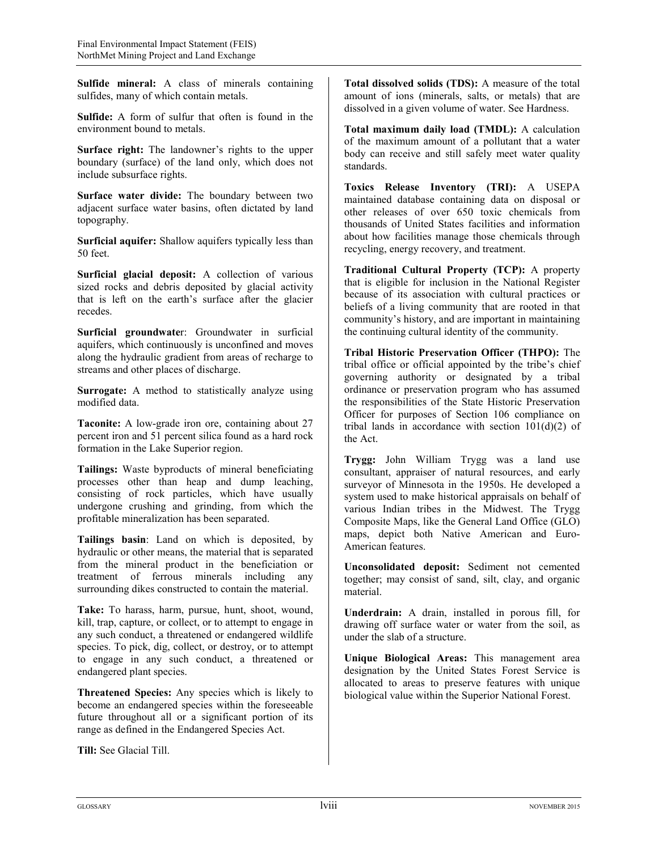**Sulfide mineral:** A class of minerals containing sulfides, many of which contain metals.

**Sulfide:** A form of sulfur that often is found in the environment bound to metals.

**Surface right:** The landowner's rights to the upper boundary (surface) of the land only, which does not include subsurface rights.

**Surface water divide:** The boundary between two adjacent surface water basins, often dictated by land topography.

**Surficial aquifer:** Shallow aquifers typically less than 50 feet.

**Surficial glacial deposit:** A collection of various sized rocks and debris deposited by glacial activity that is left on the earth's surface after the glacier recedes.

**Surficial groundwate**r: Groundwater in surficial aquifers, which continuously is unconfined and moves along the hydraulic gradient from areas of recharge to streams and other places of discharge.

**Surrogate:** A method to statistically analyze using modified data.

**Taconite:** A low-grade iron ore, containing about 27 percent iron and 51 percent silica found as a hard rock formation in the Lake Superior region.

**Tailings:** Waste byproducts of mineral beneficiating processes other than heap and dump leaching, consisting of rock particles, which have usually undergone crushing and grinding, from which the profitable mineralization has been separated.

**Tailings basin**: Land on which is deposited, by hydraulic or other means, the material that is separated from the mineral product in the beneficiation or treatment of ferrous minerals including any surrounding dikes constructed to contain the material.

**Take:** To harass, harm, pursue, hunt, shoot, wound, kill, trap, capture, or collect, or to attempt to engage in any such conduct, a threatened or endangered wildlife species. To pick, dig, collect, or destroy, or to attempt to engage in any such conduct, a threatened or endangered plant species.

**Threatened Species:** Any species which is likely to become an endangered species within the foreseeable future throughout all or a significant portion of its range as defined in the Endangered Species Act.

**Till:** See Glacial Till.

**Total dissolved solids (TDS):** A measure of the total amount of ions (minerals, salts, or metals) that are dissolved in a given volume of water. See Hardness.

**Total maximum daily load (TMDL):** A calculation of the maximum amount of a pollutant that a water body can receive and still safely meet water quality standards.

**Toxics Release Inventory (TRI):** A USEPA maintained database containing data on disposal or other releases of over 650 toxic chemicals from thousands of United States facilities and information about how facilities manage those chemicals through recycling, energy recovery, and treatment.

**Traditional Cultural Property (TCP):** A property that is eligible for inclusion in the National Register because of its association with cultural practices or beliefs of a living community that are rooted in that community's history, and are important in maintaining the continuing cultural identity of the community.

**Tribal Historic Preservation Officer (THPO):** The tribal office or official appointed by the tribe's chief governing authority or designated by a tribal ordinance or preservation program who has assumed the responsibilities of the State Historic Preservation Officer for purposes of Section 106 compliance on tribal lands in accordance with section  $101(d)(2)$  of the Act.

**Trygg:** John William Trygg was a land use consultant, appraiser of natural resources, and early surveyor of Minnesota in the 1950s. He developed a system used to make historical appraisals on behalf of various Indian tribes in the Midwest. The Trygg Composite Maps, like the General Land Office (GLO) maps, depict both Native American and Euro-American features.

**Unconsolidated deposit:** Sediment not cemented together; may consist of sand, silt, clay, and organic material.

**Underdrain:** A drain, installed in porous fill, for drawing off surface water or water from the soil, as under the slab of a structure.

**Unique Biological Areas:** This management area designation by the United States Forest Service is allocated to areas to preserve features with unique biological value within the Superior National Forest.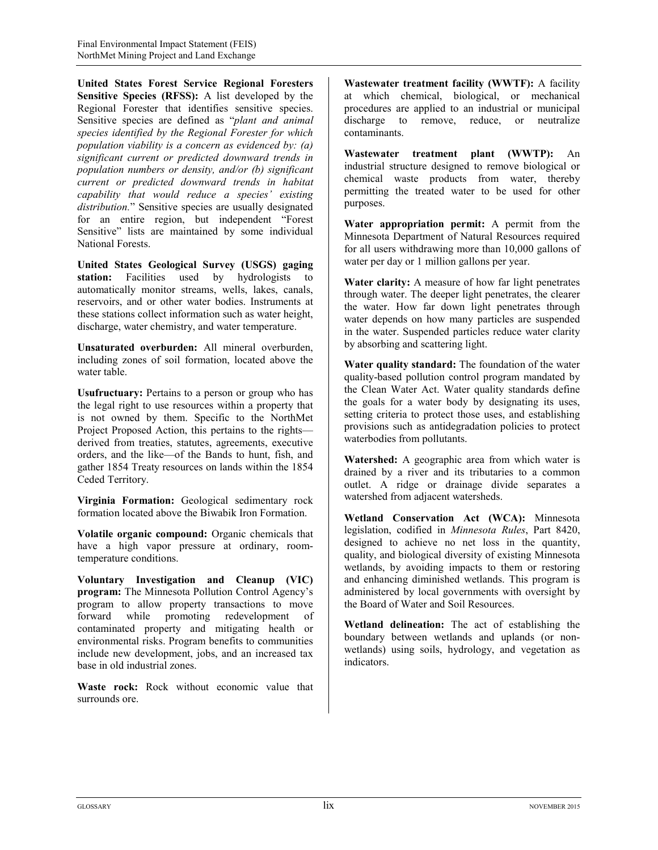**United States Forest Service Regional Foresters Sensitive Species (RFSS):** A list developed by the Regional Forester that identifies sensitive species. Sensitive species are defined as "*plant and animal species identified by the Regional Forester for which population viability is a concern as evidenced by: (a) significant current or predicted downward trends in population numbers or density, and/or (b) significant current or predicted downward trends in habitat capability that would reduce a species' existing distribution.*" Sensitive species are usually designated for an entire region, but independent "Forest Sensitive" lists are maintained by some individual National Forests.

**United States Geological Survey (USGS) gaging**  station: Facilities used by hydrologists to automatically monitor streams, wells, lakes, canals, reservoirs, and or other water bodies. Instruments at these stations collect information such as water height, discharge, water chemistry, and water temperature.

**Unsaturated overburden:** All mineral overburden, including zones of soil formation, located above the water table.

**Usufructuary:** Pertains to a person or group who has the legal right to use resources within a property that is not owned by them. Specific to the NorthMet Project Proposed Action, this pertains to the rights derived from treaties, statutes, agreements, executive orders, and the like—of the Bands to hunt, fish, and gather 1854 Treaty resources on lands within the 1854 Ceded Territory.

**Virginia Formation:** Geological sedimentary rock formation located above the Biwabik Iron Formation.

**Volatile organic compound:** Organic chemicals that have a high vapor pressure at ordinary, roomtemperature conditions.

**Voluntary Investigation and Cleanup (VIC) program:** The Minnesota Pollution Control Agency's program to allow property transactions to move forward while promoting redevelopment of contaminated property and mitigating health or environmental risks. Program benefits to communities include new development, jobs, and an increased tax base in old industrial zones.

**Waste rock:** Rock without economic value that surrounds ore.

**Wastewater treatment facility (WWTF):** A facility at which chemical, biological, or mechanical procedures are applied to an industrial or municipal discharge to remove, reduce, or neutralize contaminants.

**Wastewater treatment plant (WWTP):** An industrial structure designed to remove biological or chemical waste products from water, thereby permitting the treated water to be used for other purposes.

**Water appropriation permit:** A permit from the Minnesota Department of Natural Resources required for all users withdrawing more than 10,000 gallons of water per day or 1 million gallons per year.

**Water clarity:** A measure of how far light penetrates through water. The deeper light penetrates, the clearer the water. How far down light penetrates through water depends on how many particles are suspended in the water. Suspended particles reduce water clarity by absorbing and scattering light.

**Water quality standard:** The foundation of the water quality-based pollution control program mandated by the Clean Water Act. Water quality standards define the goals for a water body by designating its uses, setting criteria to protect those uses, and establishing provisions such as antidegradation policies to protect waterbodies from pollutants.

**Watershed:** A geographic area from which water is drained by a river and its tributaries to a common outlet. A ridge or drainage divide separates a watershed from adjacent watersheds.

**Wetland Conservation Act (WCA):** Minnesota legislation, codified in *Minnesota Rules*, Part 8420, designed to achieve no net loss in the quantity, quality, and biological diversity of existing Minnesota wetlands, by avoiding impacts to them or restoring and enhancing diminished wetlands. This program is administered by local governments with oversight by the Board of Water and Soil Resources.

**Wetland delineation:** The act of establishing the boundary between wetlands and uplands (or nonwetlands) using soils, hydrology, and vegetation as indicators.